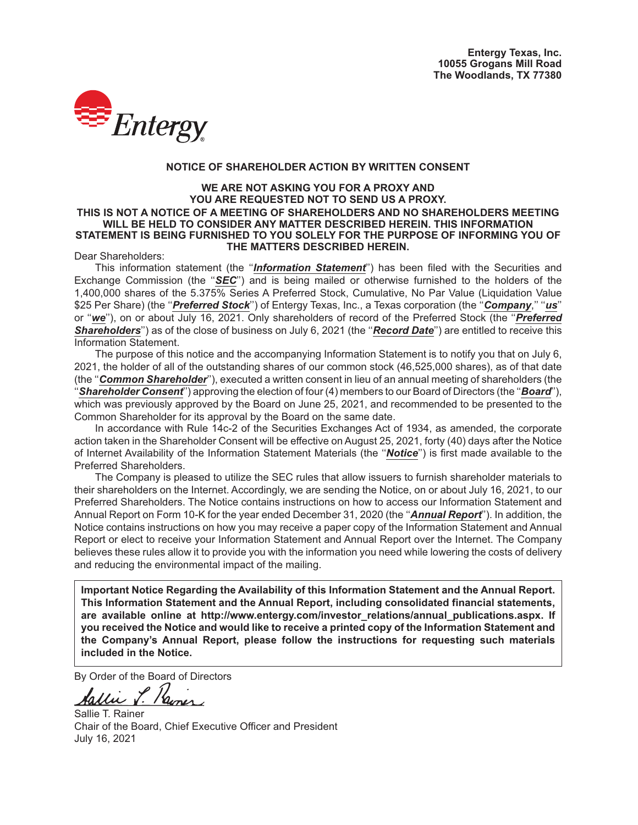

### **NOTICE OF SHAREHOLDER ACTION BY WRITTEN CONSENT**

#### **WE ARE NOT ASKING YOU FOR A PROXY AND YOU ARE REQUESTED NOT TO SEND US A PROXY. THIS IS NOT A NOTICE OF A MEETING OF SHAREHOLDERS AND NO SHAREHOLDERS MEETING WILL BE HELD TO CONSIDER ANY MATTER DESCRIBED HEREIN. THIS INFORMATION STATEMENT IS BEING FURNISHED TO YOU SOLELY FOR THE PURPOSE OF INFORMING YOU OF THE MATTERS DESCRIBED HEREIN.**

## Dear Shareholders:

This information statement (the ''*Information Statement*'') has been filed with the Securities and Exchange Commission (the "*SEC*") and is being mailed or otherwise furnished to the holders of the 1,400,000 shares of the 5.375% Series A Preferred Stock, Cumulative, No Par Value (Liquidation Value \$25 Per Share) (the ''*Preferred Stock*'') of Entergy Texas, Inc., a Texas corporation (the ''*Company*,'' ''*us*'' or ''*we*''), on or about July 16, 2021. Only shareholders of record of the Preferred Stock (the ''*Preferred* **Shareholders**") as of the close of business on July 6, 2021 (the "*Record Date*") are entitled to receive this Information Statement.

The purpose of this notice and the accompanying Information Statement is to notify you that on July 6, 2021, the holder of all of the outstanding shares of our common stock (46,525,000 shares), as of that date (the ''*Common Shareholder*''), executed a written consent in lieu of an annual meeting of shareholders (the ''*Shareholder Consent*'') approving the election of four (4) members to our Board of Directors (the ''*Board*''), which was previously approved by the Board on June 25, 2021, and recommended to be presented to the Common Shareholder for its approval by the Board on the same date.

In accordance with Rule 14c-2 of the Securities Exchanges Act of 1934, as amended, the corporate action taken in the Shareholder Consent will be effective on August 25, 2021, forty (40) days after the Notice of Internet Availability of the Information Statement Materials (the ''*Notice*'') is first made available to the Preferred Shareholders.

The Company is pleased to utilize the SEC rules that allow issuers to furnish shareholder materials to their shareholders on the Internet. Accordingly, we are sending the Notice, on or about July 16, 2021, to our Preferred Shareholders. The Notice contains instructions on how to access our Information Statement and Annual Report on Form 10-K for the year ended December 31, 2020 (the ''*Annual Report*''). In addition, the Notice contains instructions on how you may receive a paper copy of the Information Statement and Annual Report or elect to receive your Information Statement and Annual Report over the Internet. The Company believes these rules allow it to provide you with the information you need while lowering the costs of delivery and reducing the environmental impact of the mailing.

**Important Notice Regarding the Availability of this Information Statement and the Annual Report. This Information Statement and the Annual Report, including consolidated financial statements,** are available online at http://www.entergy.com/investor\_relations/annual\_publications.aspx. If **you received the Notice and would like to receive a printed copy of the Information Statement and the Company's Annual Report, please follow the instructions for requesting such materials included in the Notice.**

By Order of the Board of Directors<br> **Aallie S. Remer** 

Sallie T. Rainer Chair of the Board, Chief Executive Officer and President July 16, 2021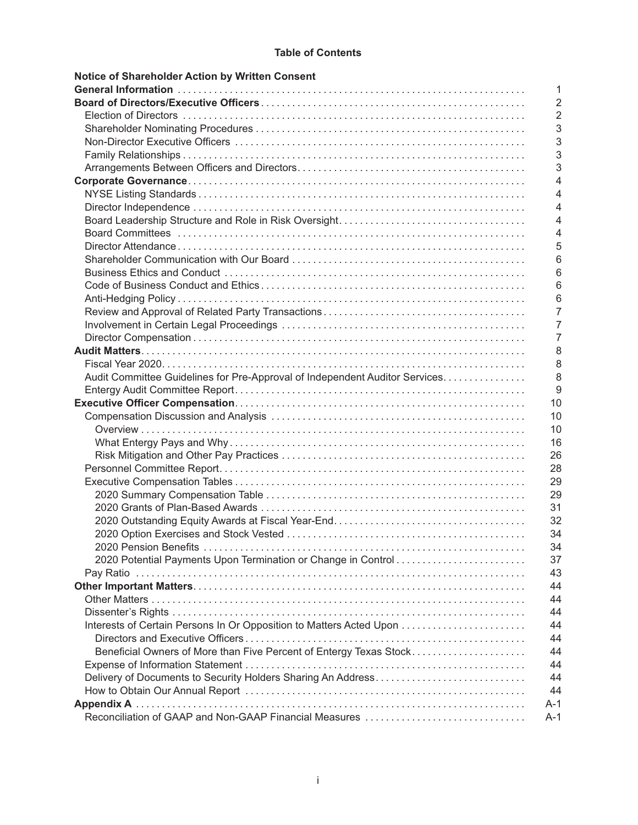## **Table of Contents**

| Notice of Shareholder Action by Written Consent                                  |
|----------------------------------------------------------------------------------|
| 1                                                                                |
| $\overline{2}$                                                                   |
| $\overline{2}$                                                                   |
| 3                                                                                |
| 3                                                                                |
| 3                                                                                |
| 3                                                                                |
| 4                                                                                |
| 4                                                                                |
| 4                                                                                |
| 4                                                                                |
| 4                                                                                |
| 5                                                                                |
| 6                                                                                |
| 6                                                                                |
| 6                                                                                |
| 6                                                                                |
| 7                                                                                |
| 7                                                                                |
| $\overline{7}$                                                                   |
| 8                                                                                |
| 8                                                                                |
| 8<br>Audit Committee Guidelines for Pre-Approval of Independent Auditor Services |
| 9                                                                                |
| 10                                                                               |
| 10                                                                               |
| 10                                                                               |
| 16                                                                               |
| 26                                                                               |
| 28                                                                               |
| 29                                                                               |
| 29                                                                               |
| 31                                                                               |
| 32                                                                               |
| 34                                                                               |
| 34                                                                               |
| 37                                                                               |
| 43                                                                               |
| 44                                                                               |
| 44                                                                               |
| 44                                                                               |
| Interests of Certain Persons In Or Opposition to Matters Acted Upon<br>44        |
| 44                                                                               |
| Beneficial Owners of More than Five Percent of Entergy Texas Stock<br>44         |
| 44                                                                               |
| 44                                                                               |
| 44                                                                               |
| A-1                                                                              |
| Reconciliation of GAAP and Non-GAAP Financial Measures<br>$A-1$                  |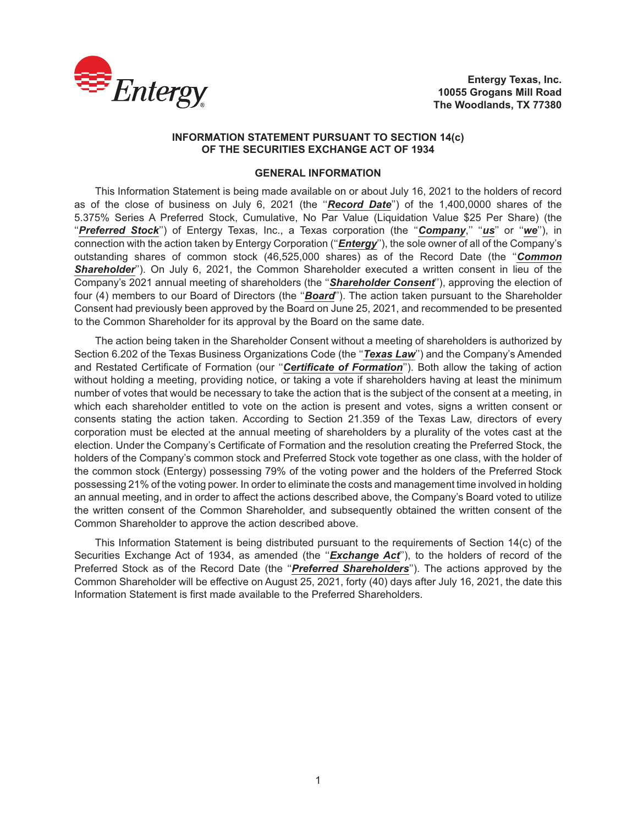

**Entergy Texas, Inc. 10055 Grogans Mill Road The Woodlands, TX 77380**

### **INFORMATION STATEMENT PURSUANT TO SECTION 14(c) OF THE SECURITIES EXCHANGE ACT OF 1934**

## **GENERAL INFORMATION**

This Information Statement is being made available on or about July 16, 2021 to the holders of record as of the close of business on July 6, 2021 (the ''*Record Date*'') of the 1,400,0000 shares of the 5.375% Series A Preferred Stock, Cumulative, No Par Value (Liquidation Value \$25 Per Share) (the ''*Preferred Stock*'') of Entergy Texas, Inc., a Texas corporation (the ''*Company*,'' ''*us*'' or ''*we*''), in connection with the action taken by Entergy Corporation (''*Entergy*''), the sole owner of all of the Company's outstanding shares of common stock (46,525,000 shares) as of the Record Date (the ''*Common Shareholder*''). On July 6, 2021, the Common Shareholder executed a written consent in lieu of the Company's 2021 annual meeting of shareholders (the ''*Shareholder Consent*''), approving the election of four (4) members to our Board of Directors (the ''*Board*''). The action taken pursuant to the Shareholder Consent had previously been approved by the Board on June 25, 2021, and recommended to be presented to the Common Shareholder for its approval by the Board on the same date.

The action being taken in the Shareholder Consent without a meeting of shareholders is authorized by Section 6.202 of the Texas Business Organizations Code (the "*Texas Law*") and the Company's Amended and Restated Certificate of Formation (our ''*Certificate of Formation*''). Both allow the taking of action without holding a meeting, providing notice, or taking a vote if shareholders having at least the minimum number of votes that would be necessary to take the action that is the subject of the consent at a meeting, in which each shareholder entitled to vote on the action is present and votes, signs a written consent or consents stating the action taken. According to Section 21.359 of the Texas Law, directors of every corporation must be elected at the annual meeting of shareholders by a plurality of the votes cast at the election. Under the Company's Certificate of Formation and the resolution creating the Preferred Stock, the holders of the Company's common stock and Preferred Stock vote together as one class, with the holder of the common stock (Entergy) possessing 79% of the voting power and the holders of the Preferred Stock possessing 21% of the voting power. In order to eliminate the costs and management time involved in holding an annual meeting, and in order to affect the actions described above, the Company's Board voted to utilize the written consent of the Common Shareholder, and subsequently obtained the written consent of the Common Shareholder to approve the action described above.

This Information Statement is being distributed pursuant to the requirements of Section 14(c) of the Securities Exchange Act of 1934, as amended (the "*Exchange Act*"), to the holders of record of the Preferred Stock as of the Record Date (the ''*Preferred Shareholders*''). The actions approved by the Common Shareholder will be effective on August 25, 2021, forty (40) days after July 16, 2021, the date this Information Statement is first made available to the Preferred Shareholders.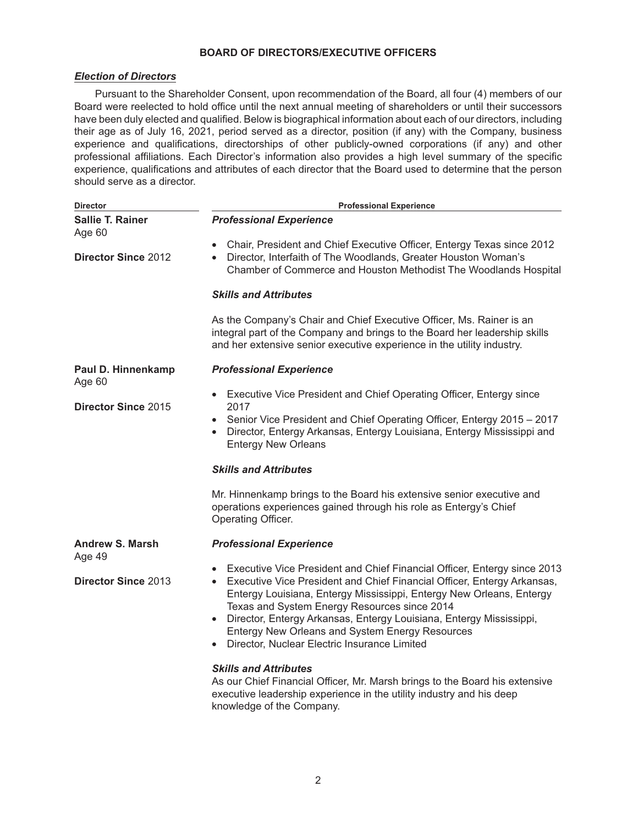## **BOARD OF DIRECTORS/EXECUTIVE OFFICERS**

## *Election of Directors*

Pursuant to the Shareholder Consent, upon recommendation of the Board, all four (4) members of our Board were reelected to hold office until the next annual meeting of shareholders or until their successors have been duly elected and qualified. Below is biographical information about each of our directors, including their age as of July 16, 2021, period served as a director, position (if any) with the Company, business experience and qualifications, directorships of other publicly-owned corporations (if any) and other professional affiliations. Each Director's information also provides a high level summary of the specific experience, qualifications and attributes of each director that the Board used to determine that the person should serve as a director.

| <b>Director</b>                   | <b>Professional Experience</b>                                                                                                                                                                                                                                                                                                                                                                                                                                     |  |  |
|-----------------------------------|--------------------------------------------------------------------------------------------------------------------------------------------------------------------------------------------------------------------------------------------------------------------------------------------------------------------------------------------------------------------------------------------------------------------------------------------------------------------|--|--|
| <b>Sallie T. Rainer</b><br>Age 60 | <b>Professional Experience</b>                                                                                                                                                                                                                                                                                                                                                                                                                                     |  |  |
| <b>Director Since 2012</b>        | Chair, President and Chief Executive Officer, Entergy Texas since 2012<br>$\bullet$<br>Director, Interfaith of The Woodlands, Greater Houston Woman's<br>$\bullet$<br>Chamber of Commerce and Houston Methodist The Woodlands Hospital                                                                                                                                                                                                                             |  |  |
|                                   | <b>Skills and Attributes</b>                                                                                                                                                                                                                                                                                                                                                                                                                                       |  |  |
|                                   | As the Company's Chair and Chief Executive Officer, Ms. Rainer is an<br>integral part of the Company and brings to the Board her leadership skills<br>and her extensive senior executive experience in the utility industry.                                                                                                                                                                                                                                       |  |  |
| Paul D. Hinnenkamp<br>Age 60      | <b>Professional Experience</b>                                                                                                                                                                                                                                                                                                                                                                                                                                     |  |  |
| <b>Director Since 2015</b>        | Executive Vice President and Chief Operating Officer, Entergy since<br>$\bullet$<br>2017                                                                                                                                                                                                                                                                                                                                                                           |  |  |
|                                   | Senior Vice President and Chief Operating Officer, Entergy 2015 - 2017<br>Director, Entergy Arkansas, Entergy Louisiana, Entergy Mississippi and<br>$\bullet$<br><b>Entergy New Orleans</b>                                                                                                                                                                                                                                                                        |  |  |
|                                   | <b>Skills and Attributes</b>                                                                                                                                                                                                                                                                                                                                                                                                                                       |  |  |
|                                   | Mr. Hinnenkamp brings to the Board his extensive senior executive and<br>operations experiences gained through his role as Entergy's Chief<br>Operating Officer.                                                                                                                                                                                                                                                                                                   |  |  |
| <b>Andrew S. Marsh</b><br>Age 49  | <b>Professional Experience</b>                                                                                                                                                                                                                                                                                                                                                                                                                                     |  |  |
| <b>Director Since 2013</b>        | Executive Vice President and Chief Financial Officer, Entergy since 2013<br>Executive Vice President and Chief Financial Officer, Entergy Arkansas,<br>$\bullet$<br>Entergy Louisiana, Entergy Mississippi, Entergy New Orleans, Entergy<br>Texas and System Energy Resources since 2014<br>Director, Entergy Arkansas, Entergy Louisiana, Entergy Mississippi,<br>Entergy New Orleans and System Energy Resources<br>Director, Nuclear Electric Insurance Limited |  |  |
|                                   | <b>Skills and Attributes</b><br>As our Chief Financial Officer, Mr. Marsh brings to the Board his extensive<br>executive leadership experience in the utility industry and his deep<br>knowledge of the Company.                                                                                                                                                                                                                                                   |  |  |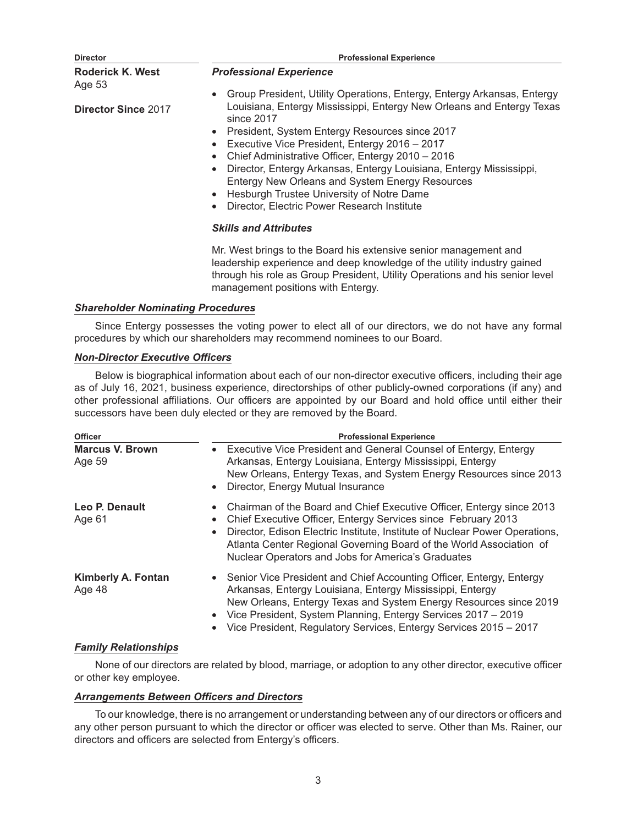| <b>Director</b>                   | <b>Professional Experience</b>                                                                                                                                                                                                                                                                                                                                                                                                                                    |  |  |
|-----------------------------------|-------------------------------------------------------------------------------------------------------------------------------------------------------------------------------------------------------------------------------------------------------------------------------------------------------------------------------------------------------------------------------------------------------------------------------------------------------------------|--|--|
| <b>Roderick K. West</b><br>Age 53 | <b>Professional Experience</b>                                                                                                                                                                                                                                                                                                                                                                                                                                    |  |  |
|                                   | Group President, Utility Operations, Entergy, Entergy Arkansas, Entergy                                                                                                                                                                                                                                                                                                                                                                                           |  |  |
| <b>Director Since 2017</b>        | Louisiana, Entergy Mississippi, Entergy New Orleans and Entergy Texas<br>since 2017<br>President, System Entergy Resources since 2017<br>Executive Vice President, Entergy 2016 - 2017<br>Chief Administrative Officer, Entergy 2010 - 2016<br>Director, Entergy Arkansas, Entergy Louisiana, Entergy Mississippi,<br>Entergy New Orleans and System Energy Resources<br>Hesburgh Trustee University of Notre Dame<br>Director, Electric Power Research Institute |  |  |
|                                   | <b>Skills and Attributes</b>                                                                                                                                                                                                                                                                                                                                                                                                                                      |  |  |
|                                   | Mr. West brings to the Board his extensive senior management and<br>leadership experience and deep knowledge of the utility industry gained                                                                                                                                                                                                                                                                                                                       |  |  |

*Shareholder Nominating Procedures*

Since Entergy possesses the voting power to elect all of our directors, we do not have any formal procedures by which our shareholders may recommend nominees to our Board.

management positions with Entergy.

through his role as Group President, Utility Operations and his senior level

## *Non-Director Executive Officers*

Below is biographical information about each of our non-director executive officers, including their age as of July 16, 2021, business experience, directorships of other publicly-owned corporations (if any) and other professional affiliations. Our officers are appointed by our Board and hold office until either their successors have been duly elected or they are removed by the Board.

| <b>Officer</b><br><b>Marcus V. Brown</b><br>Age 59 | <b>Professional Experience</b><br>• Executive Vice President and General Counsel of Entergy, Entergy<br>Arkansas, Entergy Louisiana, Entergy Mississippi, Entergy<br>New Orleans, Entergy Texas, and System Energy Resources since 2013<br>Director, Energy Mutual Insurance<br>$\bullet$                                                                                                 |  |
|----------------------------------------------------|-------------------------------------------------------------------------------------------------------------------------------------------------------------------------------------------------------------------------------------------------------------------------------------------------------------------------------------------------------------------------------------------|--|
| Leo P. Denault<br>Age 61                           | Chairman of the Board and Chief Executive Officer, Entergy since 2013<br>$\bullet$<br>Chief Executive Officer, Entergy Services since February 2013<br>$\bullet$<br>Director, Edison Electric Institute, Institute of Nuclear Power Operations,<br>$\bullet$<br>Atlanta Center Regional Governing Board of the World Association of<br>Nuclear Operators and Jobs for America's Graduates |  |
| <b>Kimberly A. Fontan</b><br>Age 48                | • Senior Vice President and Chief Accounting Officer, Entergy, Entergy<br>Arkansas, Entergy Louisiana, Entergy Mississippi, Entergy<br>New Orleans, Entergy Texas and System Energy Resources since 2019<br>Vice President, System Planning, Entergy Services 2017 - 2019<br>$\bullet$<br>Vice President, Regulatory Services, Entergy Services 2015 - 2017                               |  |

## *Family Relationships*

None of our directors are related by blood, marriage, or adoption to any other director, executive officer or other key employee.

## *Arrangements Between Officers and Directors*

To our knowledge, there is no arrangement or understanding between any of our directors or officers and any other person pursuant to which the director or officer was elected to serve. Other than Ms. Rainer, our directors and officers are selected from Entergy's officers.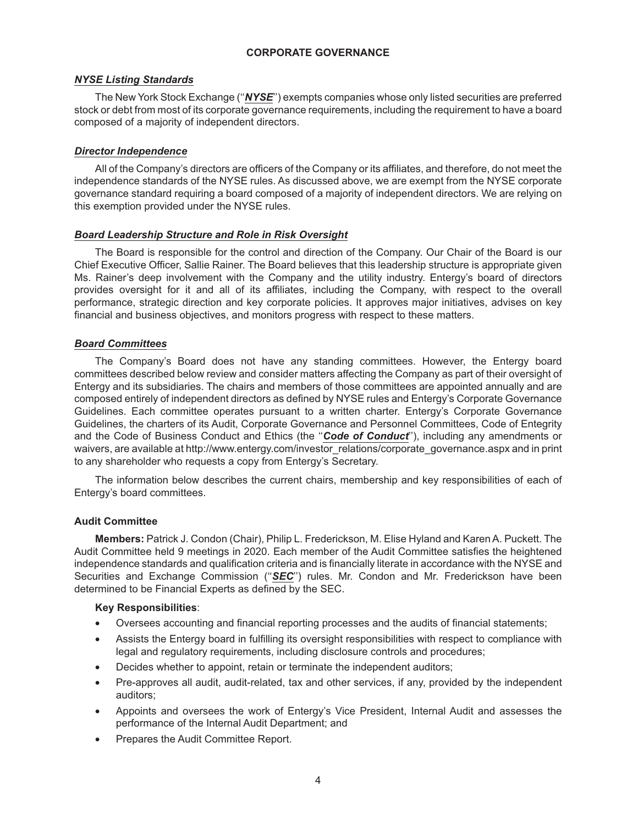## **CORPORATE GOVERNANCE**

## *NYSE Listing Standards*

The New York Stock Exchange (''*NYSE*'') exempts companies whose only listed securities are preferred stock or debt from most of its corporate governance requirements, including the requirement to have a board composed of a majority of independent directors.

## *Director Independence*

All of the Company's directors are officers of the Company or its affiliates, and therefore, do not meet the independence standards of the NYSE rules. As discussed above, we are exempt from the NYSE corporate governance standard requiring a board composed of a majority of independent directors. We are relying on this exemption provided under the NYSE rules.

## *Board Leadership Structure and Role in Risk Oversight*

The Board is responsible for the control and direction of the Company. Our Chair of the Board is our Chief Executive Officer, Sallie Rainer. The Board believes that this leadership structure is appropriate given Ms. Rainer's deep involvement with the Company and the utility industry. Entergy's board of directors provides oversight for it and all of its affiliates, including the Company, with respect to the overall performance, strategic direction and key corporate policies. It approves major initiatives, advises on key financial and business objectives, and monitors progress with respect to these matters.

## *Board Committees*

The Company's Board does not have any standing committees. However, the Entergy board committees described below review and consider matters affecting the Company as part of their oversight of Entergy and its subsidiaries. The chairs and members of those committees are appointed annually and are composed entirely of independent directors as defined by NYSE rules and Entergy's Corporate Governance Guidelines. Each committee operates pursuant to a written charter. Entergy's Corporate Governance Guidelines, the charters of its Audit, Corporate Governance and Personnel Committees, Code of Entegrity and the Code of Business Conduct and Ethics (the ''*Code of Conduct*''), including any amendments or waivers, are available at http://www.entergy.com/investor\_relations/corporate\_governance.aspx and in print to any shareholder who requests a copy from Entergy's Secretary.

The information below describes the current chairs, membership and key responsibilities of each of Entergy's board committees.

## **Audit Committee**

**Members:** Patrick J. Condon (Chair), Philip L. Frederickson, M. Elise Hyland and Karen A. Puckett. The Audit Committee held 9 meetings in 2020. Each member of the Audit Committee satisfies the heightened independence standards and qualification criteria and is financially literate in accordance with the NYSE and Securities and Exchange Commission ("SEC") rules. Mr. Condon and Mr. Frederickson have been determined to be Financial Experts as defined by the SEC.

## **Key Responsibilities**:

- Oversees accounting and financial reporting processes and the audits of financial statements;
- Assists the Entergy board in fulfilling its oversight responsibilities with respect to compliance with legal and regulatory requirements, including disclosure controls and procedures;
- Decides whether to appoint, retain or terminate the independent auditors;
- Pre-approves all audit, audit-related, tax and other services, if any, provided by the independent auditors;
- Appoints and oversees the work of Entergy's Vice President, Internal Audit and assesses the performance of the Internal Audit Department; and
- Prepares the Audit Committee Report.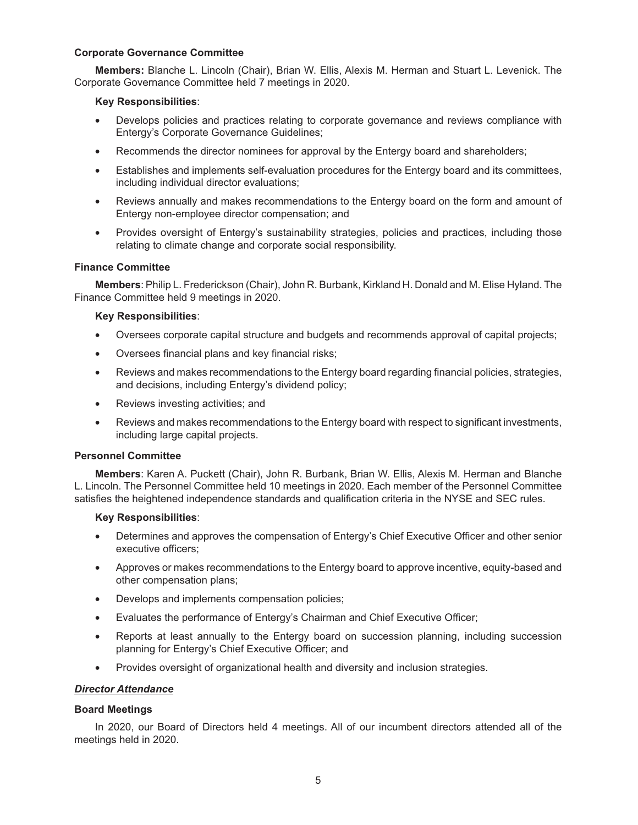### **Corporate Governance Committee**

**Members:** Blanche L. Lincoln (Chair), Brian W. Ellis, Alexis M. Herman and Stuart L. Levenick. The Corporate Governance Committee held 7 meetings in 2020.

## **Key Responsibilities**:

- Develops policies and practices relating to corporate governance and reviews compliance with Entergy's Corporate Governance Guidelines;
- Recommends the director nominees for approval by the Entergy board and shareholders;
- Establishes and implements self-evaluation procedures for the Entergy board and its committees, including individual director evaluations;
- Reviews annually and makes recommendations to the Entergy board on the form and amount of Entergy non-employee director compensation; and
- Provides oversight of Entergy's sustainability strategies, policies and practices, including those relating to climate change and corporate social responsibility.

## **Finance Committee**

**Members**: Philip L. Frederickson (Chair), John R. Burbank, Kirkland H. Donald and M. Elise Hyland. The Finance Committee held 9 meetings in 2020.

## **Key Responsibilities**:

- Oversees corporate capital structure and budgets and recommends approval of capital projects;
- Oversees financial plans and key financial risks;
- Reviews and makes recommendations to the Entergy board regarding financial policies, strategies, and decisions, including Entergy's dividend policy;
- Reviews investing activities; and
- Reviews and makes recommendations to the Entergy board with respect to significant investments, including large capital projects.

## **Personnel Committee**

**Members**: Karen A. Puckett (Chair), John R. Burbank, Brian W. Ellis, Alexis M. Herman and Blanche L. Lincoln. The Personnel Committee held 10 meetings in 2020. Each member of the Personnel Committee satisfies the heightened independence standards and qualification criteria in the NYSE and SEC rules.

## **Key Responsibilities**:

- Determines and approves the compensation of Entergy's Chief Executive Officer and other senior executive officers;
- Approves or makes recommendations to the Entergy board to approve incentive, equity-based and other compensation plans;
- Develops and implements compensation policies;
- Evaluates the performance of Entergy's Chairman and Chief Executive Officer;
- Reports at least annually to the Entergy board on succession planning, including succession planning for Entergy's Chief Executive Officer; and
- Provides oversight of organizational health and diversity and inclusion strategies.

## *Director Attendance*

## **Board Meetings**

In 2020, our Board of Directors held 4 meetings. All of our incumbent directors attended all of the meetings held in 2020.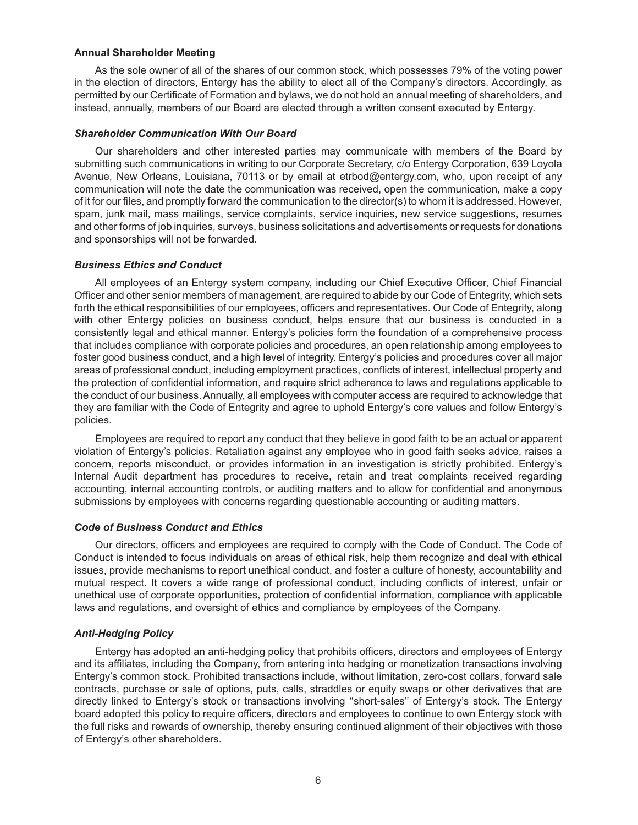#### **Annual Shareholder Meeting**

As the sole owner of all of the shares of our common stock, which possesses 79% of the voting power in the election of directors, Entergy has the ability to elect all of the Company's directors. Accordingly, as permitted by our Certificate of Formation and bylaws, we do not hold an annual meeting of shareholders, and instead, annually, members of our Board are elected through a written consent executed by Entergy.

## *Shareholder Communication With Our Board*

Our shareholders and other interested parties may communicate with members of the Board by submitting such communications in writing to our Corporate Secretary, c/o Entergy Corporation, 639 Loyola Avenue, New Orleans, Louisiana, 70113 or by email at etrbod@entergy.com, who, upon receipt of any communication will note the date the communication was received, open the communication, make a copy of it for our files, and promptly forward the communication to the director(s) to whom it is addressed. However, spam, junk mail, mass mailings, service complaints, service inquiries, new service suggestions, resumes and other forms of job inquiries, surveys, business solicitations and advertisements or requests for donations and sponsorships will not be forwarded.

#### *Business Ethics and Conduct*

All employees of an Entergy system company, including our Chief Executive Officer, Chief Financial Officer and other senior members of management, are required to abide by our Code of Entegrity, which sets forth the ethical responsibilities of our employees, officers and representatives. Our Code of Entegrity, along with other Entergy policies on business conduct, helps ensure that our business is conducted in a consistently legal and ethical manner. Entergy's policies form the foundation of a comprehensive process that includes compliance with corporate policies and procedures, an open relationship among employees to foster good business conduct, and a high level of integrity. Entergy's policies and procedures cover all major areas of professional conduct, including employment practices, conflicts of interest, intellectual property and the protection of confidential information, and require strict adherence to laws and regulations applicable to the conduct of our business. Annually, all employees with computer access are required to acknowledge that they are familiar with the Code of Entegrity and agree to uphold Entergy's core values and follow Entergy's policies.

Employees are required to report any conduct that they believe in good faith to be an actual or apparent violation of Entergy's policies. Retaliation against any employee who in good faith seeks advice, raises a concern, reports misconduct, or provides information in an investigation is strictly prohibited. Entergy's Internal Audit department has procedures to receive, retain and treat complaints received regarding accounting, internal accounting controls, or auditing matters and to allow for confidential and anonymous submissions by employees with concerns regarding questionable accounting or auditing matters.

## *Code of Business Conduct and Ethics*

Our directors, officers and employees are required to comply with the Code of Conduct. The Code of Conduct is intended to focus individuals on areas of ethical risk, help them recognize and deal with ethical issues, provide mechanisms to report unethical conduct, and foster a culture of honesty, accountability and mutual respect. It covers a wide range of professional conduct, including conflicts of interest, unfair or unethical use of corporate opportunities, protection of confidential information, compliance with applicable laws and regulations, and oversight of ethics and compliance by employees of the Company.

## *Anti-Hedging Policy*

Entergy has adopted an anti-hedging policy that prohibits officers, directors and employees of Entergy and its affiliates, including the Company, from entering into hedging or monetization transactions involving Entergy's common stock. Prohibited transactions include, without limitation, zero-cost collars, forward sale contracts, purchase or sale of options, puts, calls, straddles or equity swaps or other derivatives that are directly linked to Entergy's stock or transactions involving ''short-sales'' of Entergy's stock. The Entergy board adopted this policy to require officers, directors and employees to continue to own Entergy stock with the full risks and rewards of ownership, thereby ensuring continued alignment of their objectives with those of Entergy's other shareholders.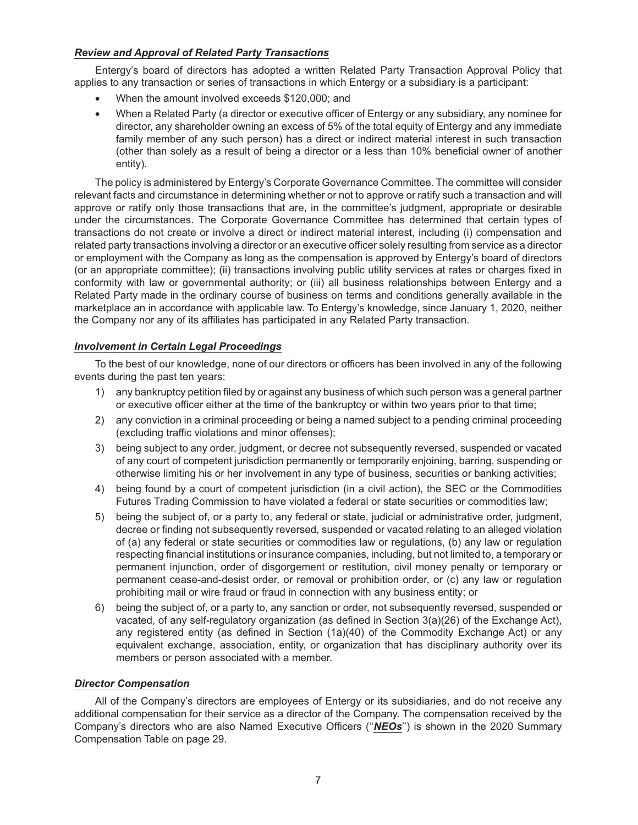## *Review and Approval of Related Party Transactions*

Entergy's board of directors has adopted a written Related Party Transaction Approval Policy that applies to any transaction or series of transactions in which Entergy or a subsidiary is a participant:

- When the amount involved exceeds \$120,000; and
- When a Related Party (a director or executive officer of Entergy or any subsidiary, any nominee for director, any shareholder owning an excess of 5% of the total equity of Entergy and any immediate family member of any such person) has a direct or indirect material interest in such transaction (other than solely as a result of being a director or a less than 10% beneficial owner of another entity).

The policy is administered by Entergy's Corporate Governance Committee. The committee will consider relevant facts and circumstance in determining whether or not to approve or ratify such a transaction and will approve or ratify only those transactions that are, in the committee's judgment, appropriate or desirable under the circumstances. The Corporate Governance Committee has determined that certain types of transactions do not create or involve a direct or indirect material interest, including (i) compensation and related party transactions involving a director or an executive officer solely resulting from service as a director or employment with the Company as long as the compensation is approved by Entergy's board of directors (or an appropriate committee); (ii) transactions involving public utility services at rates or charges fixed in conformity with law or governmental authority; or (iii) all business relationships between Entergy and a Related Party made in the ordinary course of business on terms and conditions generally available in the marketplace an in accordance with applicable law. To Entergy's knowledge, since January 1, 2020, neither the Company nor any of its affiliates has participated in any Related Party transaction.

## *Involvement in Certain Legal Proceedings*

To the best of our knowledge, none of our directors or officers has been involved in any of the following events during the past ten years:

- 1) any bankruptcy petition filed by or against any business of which such person was a general partner or executive officer either at the time of the bankruptcy or within two years prior to that time;
- 2) any conviction in a criminal proceeding or being a named subject to a pending criminal proceeding (excluding traffic violations and minor offenses);
- 3) being subject to any order, judgment, or decree not subsequently reversed, suspended or vacated of any court of competent jurisdiction permanently or temporarily enjoining, barring, suspending or otherwise limiting his or her involvement in any type of business, securities or banking activities;
- 4) being found by a court of competent jurisdiction (in a civil action), the SEC or the Commodities Futures Trading Commission to have violated a federal or state securities or commodities law;
- 5) being the subject of, or a party to, any federal or state, judicial or administrative order, judgment, decree or finding not subsequently reversed, suspended or vacated relating to an alleged violation of (a) any federal or state securities or commodities law or regulations, (b) any law or regulation respecting financial institutions or insurance companies, including, but not limited to, a temporary or permanent injunction, order of disgorgement or restitution, civil money penalty or temporary or permanent cease-and-desist order, or removal or prohibition order, or (c) any law or regulation prohibiting mail or wire fraud or fraud in connection with any business entity; or
- 6) being the subject of, or a party to, any sanction or order, not subsequently reversed, suspended or vacated, of any self-regulatory organization (as defined in Section 3(a)(26) of the Exchange Act), any registered entity (as defined in Section (1a)(40) of the Commodity Exchange Act) or any equivalent exchange, association, entity, or organization that has disciplinary authority over its members or person associated with a member.

## *Director Compensation*

All of the Company's directors are employees of Entergy or its subsidiaries, and do not receive any additional compensation for their service as a director of the Company. The compensation received by the Company's directors who are also Named Executive Officers (''*NEOs*'') is shown in the 2020 Summary Compensation Table on page 29.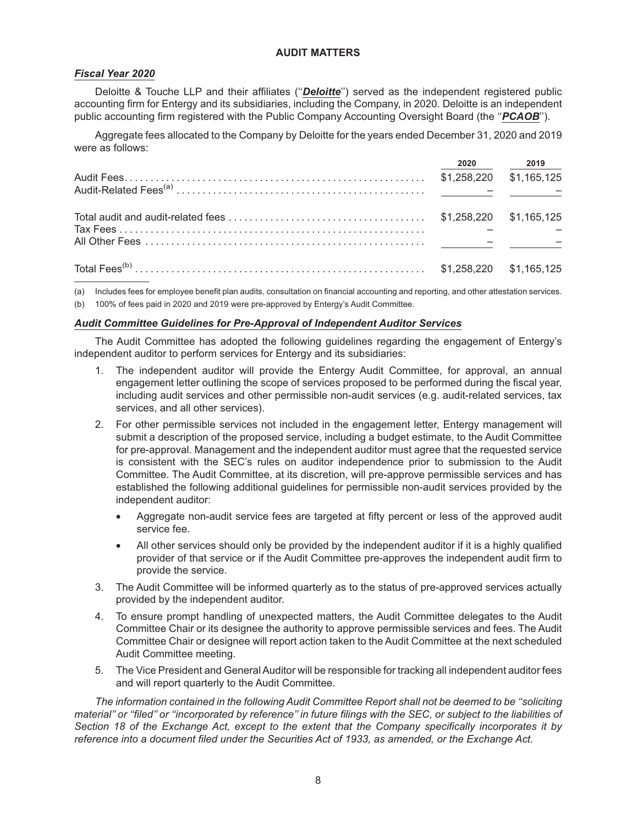## **AUDIT MATTERS**

## *Fiscal Year 2020*

Deloitte & Touche LLP and their affiliates (''*Deloitte*'') served as the independent registered public accounting firm for Entergy and its subsidiaries, including the Company, in 2020. Deloitte is an independent public accounting firm registered with the Public Company Accounting Oversight Board (the ''*PCAOB*'').

Aggregate fees allocated to the Company by Deloitte for the years ended December 31, 2020 and 2019 were as follows:

|  | 2020 2019               |
|--|-------------------------|
|  | \$1,258,220 \$1,165,125 |
|  |                         |
|  |                         |
|  |                         |
|  |                         |
|  |                         |

(a) Includes fees for employee benefit plan audits, consultation on financial accounting and reporting, and other attestation services.

(b) 100% of fees paid in 2020 and 2019 were pre-approved by Entergy's Audit Committee.

## *Audit Committee Guidelines for Pre-Approval of Independent Auditor Services*

The Audit Committee has adopted the following guidelines regarding the engagement of Entergy's independent auditor to perform services for Entergy and its subsidiaries:

- 1. The independent auditor will provide the Entergy Audit Committee, for approval, an annual engagement letter outlining the scope of services proposed to be performed during the fiscal year, including audit services and other permissible non-audit services (e.g. audit-related services, tax services, and all other services).
- 2. For other permissible services not included in the engagement letter, Entergy management will submit a description of the proposed service, including a budget estimate, to the Audit Committee for pre-approval. Management and the independent auditor must agree that the requested service is consistent with the SEC's rules on auditor independence prior to submission to the Audit Committee. The Audit Committee, at its discretion, will pre-approve permissible services and has established the following additional guidelines for permissible non-audit services provided by the independent auditor:
	- Aggregate non-audit service fees are targeted at fifty percent or less of the approved audit service fee.
	- All other services should only be provided by the independent auditor if it is a highly qualified provider of that service or if the Audit Committee pre-approves the independent audit firm to provide the service.
- 3. The Audit Committee will be informed quarterly as to the status of pre-approved services actually provided by the independent auditor.
- 4. To ensure prompt handling of unexpected matters, the Audit Committee delegates to the Audit Committee Chair or its designee the authority to approve permissible services and fees. The Audit Committee Chair or designee will report action taken to the Audit Committee at the next scheduled Audit Committee meeting.
- 5. The Vice President and General Auditor will be responsible for tracking all independent auditor fees and will report quarterly to the Audit Committee.

*The information contained in the following Audit Committee Report shall not be deemed to be ''soliciting material'' or ''filed'' or ''incorporated by reference'' in future filings with the SEC, or subject to the liabilities of Section 18 of the Exchange Act, except to the extent that the Company specifically incorporates it by reference into a document filed under the Securities Act of 1933, as amended, or the Exchange Act.*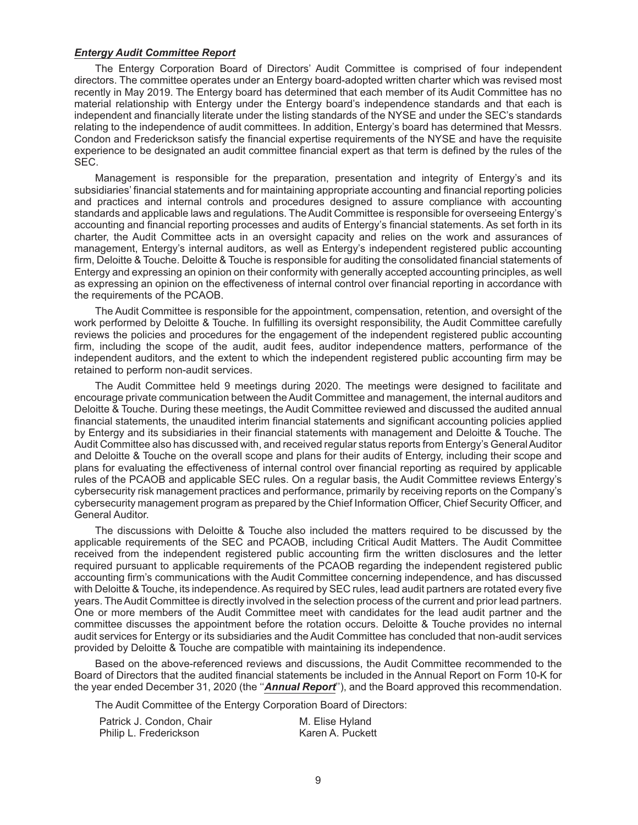#### *Entergy Audit Committee Report*

The Entergy Corporation Board of Directors' Audit Committee is comprised of four independent directors. The committee operates under an Entergy board-adopted written charter which was revised most recently in May 2019. The Entergy board has determined that each member of its Audit Committee has no material relationship with Entergy under the Entergy board's independence standards and that each is independent and financially literate under the listing standards of the NYSE and under the SEC's standards relating to the independence of audit committees. In addition, Entergy's board has determined that Messrs. Condon and Frederickson satisfy the financial expertise requirements of the NYSE and have the requisite experience to be designated an audit committee financial expert as that term is defined by the rules of the SEC.

Management is responsible for the preparation, presentation and integrity of Entergy's and its subsidiaries' financial statements and for maintaining appropriate accounting and financial reporting policies and practices and internal controls and procedures designed to assure compliance with accounting standards and applicable laws and regulations. The Audit Committee is responsible for overseeing Entergy's accounting and financial reporting processes and audits of Entergy's financial statements. As set forth in its charter, the Audit Committee acts in an oversight capacity and relies on the work and assurances of management, Entergy's internal auditors, as well as Entergy's independent registered public accounting firm, Deloitte & Touche. Deloitte & Touche is responsible for auditing the consolidated financial statements of Entergy and expressing an opinion on their conformity with generally accepted accounting principles, as well as expressing an opinion on the effectiveness of internal control over financial reporting in accordance with the requirements of the PCAOB.

The Audit Committee is responsible for the appointment, compensation, retention, and oversight of the work performed by Deloitte & Touche. In fulfilling its oversight responsibility, the Audit Committee carefully reviews the policies and procedures for the engagement of the independent registered public accounting firm, including the scope of the audit, audit fees, auditor independence matters, performance of the independent auditors, and the extent to which the independent registered public accounting firm may be retained to perform non-audit services.

The Audit Committee held 9 meetings during 2020. The meetings were designed to facilitate and encourage private communication between the Audit Committee and management, the internal auditors and Deloitte & Touche. During these meetings, the Audit Committee reviewed and discussed the audited annual financial statements, the unaudited interim financial statements and significant accounting policies applied by Entergy and its subsidiaries in their financial statements with management and Deloitte & Touche. The Audit Committee also has discussed with, and received regular status reports from Entergy's General Auditor and Deloitte & Touche on the overall scope and plans for their audits of Entergy, including their scope and plans for evaluating the effectiveness of internal control over financial reporting as required by applicable rules of the PCAOB and applicable SEC rules. On a regular basis, the Audit Committee reviews Entergy's cybersecurity risk management practices and performance, primarily by receiving reports on the Company's cybersecurity management program as prepared by the Chief Information Officer, Chief Security Officer, and General Auditor.

The discussions with Deloitte & Touche also included the matters required to be discussed by the applicable requirements of the SEC and PCAOB, including Critical Audit Matters. The Audit Committee received from the independent registered public accounting firm the written disclosures and the letter required pursuant to applicable requirements of the PCAOB regarding the independent registered public accounting firm's communications with the Audit Committee concerning independence, and has discussed with Deloitte & Touche, its independence. As required by SEC rules, lead audit partners are rotated every five years. The Audit Committee is directly involved in the selection process of the current and prior lead partners. One or more members of the Audit Committee meet with candidates for the lead audit partner and the committee discusses the appointment before the rotation occurs. Deloitte & Touche provides no internal audit services for Entergy or its subsidiaries and the Audit Committee has concluded that non-audit services provided by Deloitte & Touche are compatible with maintaining its independence.

Based on the above-referenced reviews and discussions, the Audit Committee recommended to the Board of Directors that the audited financial statements be included in the Annual Report on Form 10-K for the year ended December 31, 2020 (the ''*Annual Report*''), and the Board approved this recommendation.

The Audit Committee of the Entergy Corporation Board of Directors:

| Patrick J. Condon, Chair | M. Elise Hyland  |
|--------------------------|------------------|
| Philip L. Frederickson   | Karen A. Puckett |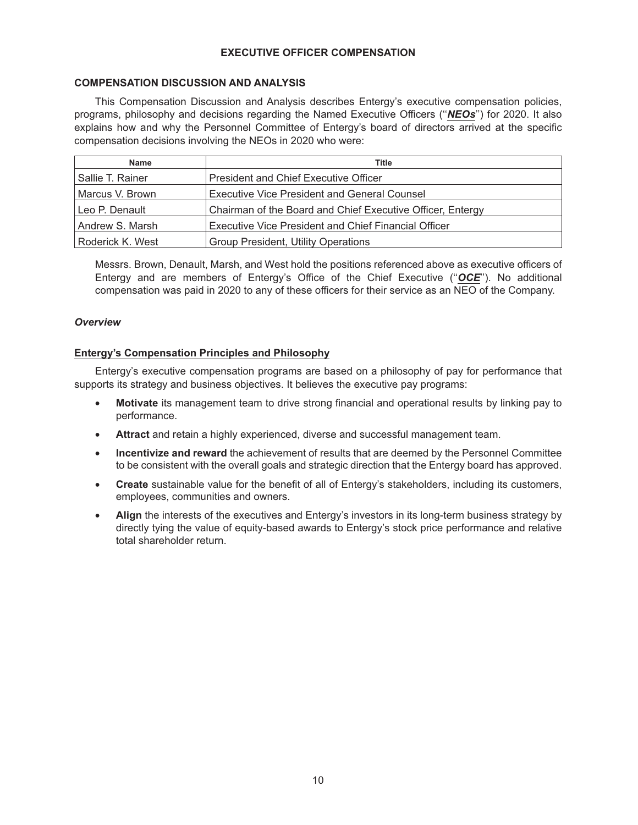## **EXECUTIVE OFFICER COMPENSATION**

## **COMPENSATION DISCUSSION AND ANALYSIS**

This Compensation Discussion and Analysis describes Entergy's executive compensation policies, programs, philosophy and decisions regarding the Named Executive Officers (''*NEOs*'') for 2020. It also explains how and why the Personnel Committee of Entergy's board of directors arrived at the specific compensation decisions involving the NEOs in 2020 who were:

| <b>Name</b>      | Title                                                      |  |
|------------------|------------------------------------------------------------|--|
| Sallie T. Rainer | <b>President and Chief Executive Officer</b>               |  |
| Marcus V. Brown  | <b>Executive Vice President and General Counsel</b>        |  |
| Leo P. Denault   | Chairman of the Board and Chief Executive Officer, Entergy |  |
| Andrew S. Marsh  | Executive Vice President and Chief Financial Officer       |  |
| Roderick K. West | Group President, Utility Operations                        |  |

Messrs. Brown, Denault, Marsh, and West hold the positions referenced above as executive officers of Entergy and are members of Entergy's Office of the Chief Executive (''*OCE*''). No additional compensation was paid in 2020 to any of these officers for their service as an NEO of the Company.

## *Overview*

## **Entergy's Compensation Principles and Philosophy**

Entergy's executive compensation programs are based on a philosophy of pay for performance that supports its strategy and business objectives. It believes the executive pay programs:

- **Motivate** its management team to drive strong financial and operational results by linking pay to performance.
- **Attract** and retain a highly experienced, diverse and successful management team.
- **Incentivize and reward** the achievement of results that are deemed by the Personnel Committee to be consistent with the overall goals and strategic direction that the Entergy board has approved.
- **Create** sustainable value for the benefit of all of Entergy's stakeholders, including its customers, employees, communities and owners.
- **Align** the interests of the executives and Entergy's investors in its long-term business strategy by directly tying the value of equity-based awards to Entergy's stock price performance and relative total shareholder return.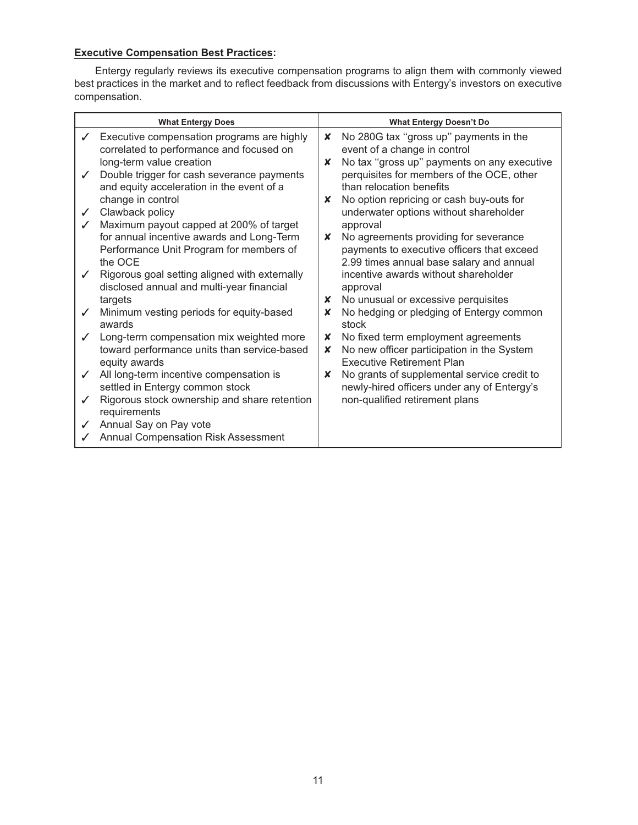# **Executive Compensation Best Practices:**

Entergy regularly reviews its executive compensation programs to align them with commonly viewed best practices in the market and to reflect feedback from discussions with Entergy's investors on executive compensation.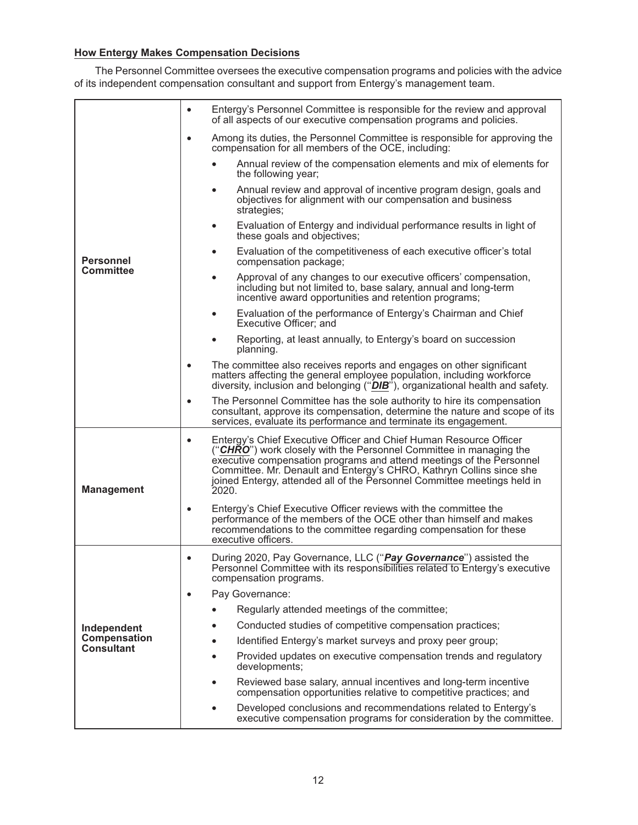# **How Entergy Makes Compensation Decisions**

The Personnel Committee oversees the executive compensation programs and policies with the advice of its independent compensation consultant and support from Entergy's management team.

|                                      | Entergy's Personnel Committee is responsible for the review and approval<br>$\bullet$<br>of all aspects of our executive compensation programs and policies.                                                                                                                                                                                                                               |  |  |
|--------------------------------------|--------------------------------------------------------------------------------------------------------------------------------------------------------------------------------------------------------------------------------------------------------------------------------------------------------------------------------------------------------------------------------------------|--|--|
| <b>Personnel</b><br><b>Committee</b> | Among its duties, the Personnel Committee is responsible for approving the<br>$\bullet$<br>compensation for all members of the OCE, including:                                                                                                                                                                                                                                             |  |  |
|                                      | Annual review of the compensation elements and mix of elements for<br>the following year;                                                                                                                                                                                                                                                                                                  |  |  |
|                                      | Annual review and approval of incentive program design, goals and<br>$\bullet$<br>objectives for alignment with our compensation and business<br>strategies;                                                                                                                                                                                                                               |  |  |
|                                      | Evaluation of Entergy and individual performance results in light of<br>$\bullet$<br>these goals and objectives;                                                                                                                                                                                                                                                                           |  |  |
|                                      | Evaluation of the competitiveness of each executive officer's total<br>$\bullet$<br>compensation package;                                                                                                                                                                                                                                                                                  |  |  |
|                                      | Approval of any changes to our executive officers' compensation,<br>$\bullet$<br>including but not limited to, base salary, annual and long-term<br>incentive award opportunities and retention programs;                                                                                                                                                                                  |  |  |
|                                      | Evaluation of the performance of Entergy's Chairman and Chief<br>$\bullet$<br>Executive Officer; and                                                                                                                                                                                                                                                                                       |  |  |
|                                      | Reporting, at least annually, to Entergy's board on succession<br>planning.                                                                                                                                                                                                                                                                                                                |  |  |
|                                      | The committee also receives reports and engages on other significant<br>$\bullet$<br>matters affecting the general employee population, including workforce<br>diversity, inclusion and belonging ("DIB"), organizational health and safety.                                                                                                                                               |  |  |
|                                      | The Personnel Committee has the sole authority to hire its compensation<br>$\bullet$<br>consultant, approve its compensation, determine the nature and scope of its<br>services, evaluate its performance and terminate its engagement.                                                                                                                                                    |  |  |
| <b>Management</b>                    | Entergy's Chief Executive Officer and Chief Human Resource Officer<br>$\bullet$<br>("CHRO") work closely with the Personnel Committee in managing the<br>executive compensation programs and attend meetings of the Personnel<br>Committee. Mr. Denault and Entergy's CHRO, Kathryn Collins since she<br>joined Entergy, attended all of the Personnel Committee meetings held in<br>2020. |  |  |
|                                      | Entergy's Chief Executive Officer reviews with the committee the<br>$\bullet$<br>performance of the members of the OCE other than himself and makes<br>recommendations to the committee regarding compensation for these<br>executive officers.                                                                                                                                            |  |  |
|                                      | During 2020, Pay Governance, LLC ("Pay Governance") assisted the<br>$\bullet$<br>Personnel Committee with its responsibilities related to Entergy's executive<br>compensation programs.                                                                                                                                                                                                    |  |  |
|                                      | Pay Governance:<br>$\bullet$                                                                                                                                                                                                                                                                                                                                                               |  |  |
|                                      | Regularly attended meetings of the committee;                                                                                                                                                                                                                                                                                                                                              |  |  |
| Independent                          | Conducted studies of competitive compensation practices;                                                                                                                                                                                                                                                                                                                                   |  |  |
| <b>Compensation</b>                  | Identified Entergy's market surveys and proxy peer group;                                                                                                                                                                                                                                                                                                                                  |  |  |
| Consultant                           | Provided updates on executive compensation trends and regulatory<br>developments;                                                                                                                                                                                                                                                                                                          |  |  |
|                                      | Reviewed base salary, annual incentives and long-term incentive<br>compensation opportunities relative to competitive practices; and                                                                                                                                                                                                                                                       |  |  |
|                                      | Developed conclusions and recommendations related to Entergy's<br>executive compensation programs for consideration by the committee.                                                                                                                                                                                                                                                      |  |  |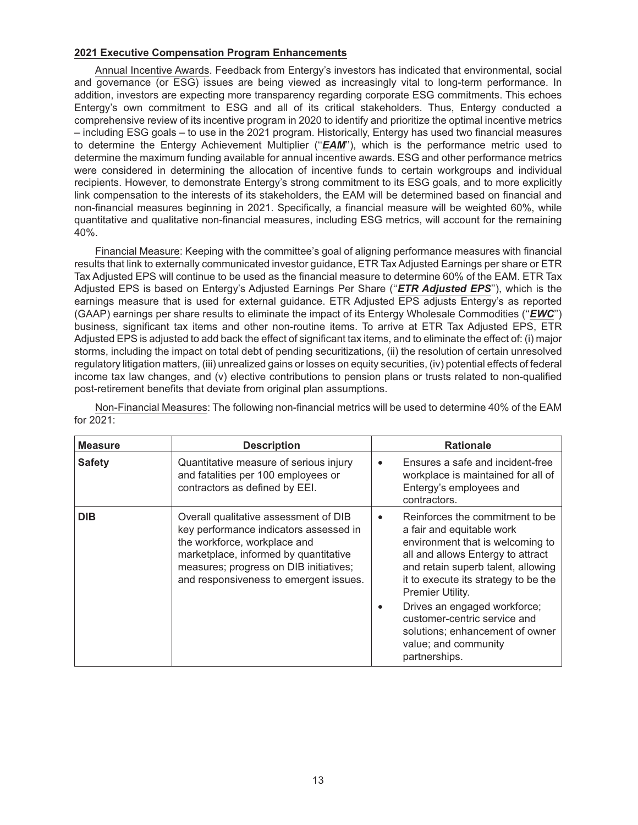## **2021 Executive Compensation Program Enhancements**

Annual Incentive Awards. Feedback from Entergy's investors has indicated that environmental, social and governance (or ESG) issues are being viewed as increasingly vital to long-term performance. In addition, investors are expecting more transparency regarding corporate ESG commitments. This echoes Entergy's own commitment to ESG and all of its critical stakeholders. Thus, Entergy conducted a comprehensive review of its incentive program in 2020 to identify and prioritize the optimal incentive metrics – including ESG goals – to use in the 2021 program. Historically, Entergy has used two financial measures to determine the Entergy Achievement Multiplier (''*EAM*''), which is the performance metric used to determine the maximum funding available for annual incentive awards. ESG and other performance metrics were considered in determining the allocation of incentive funds to certain workgroups and individual recipients. However, to demonstrate Entergy's strong commitment to its ESG goals, and to more explicitly link compensation to the interests of its stakeholders, the EAM will be determined based on financial and non-financial measures beginning in 2021. Specifically, a financial measure will be weighted 60%, while quantitative and qualitative non-financial measures, including ESG metrics, will account for the remaining 40%.

Financial Measure: Keeping with the committee's goal of aligning performance measures with financial results that link to externally communicated investor guidance, ETR Tax Adjusted Earnings per share or ETR Tax Adjusted EPS will continue to be used as the financial measure to determine 60% of the EAM. ETR Tax Adjusted EPS is based on Entergy's Adjusted Earnings Per Share (''*ETR Adjusted EPS*''), which is the earnings measure that is used for external guidance. ETR Adjusted EPS adjusts Entergy's as reported (GAAP) earnings per share results to eliminate the impact of its Entergy Wholesale Commodities (''*EWC*'') business, significant tax items and other non-routine items. To arrive at ETR Tax Adjusted EPS, ETR Adjusted EPS is adjusted to add back the effect of significant tax items, and to eliminate the effect of: (i) major storms, including the impact on total debt of pending securitizations, (ii) the resolution of certain unresolved regulatory litigation matters, (iii) unrealized gains or losses on equity securities, (iv) potential effects of federal income tax law changes, and (v) elective contributions to pension plans or trusts related to non-qualified post-retirement benefits that deviate from original plan assumptions.

| <b>Measure</b> | <b>Description</b>                                                                                                                                                                                                                           | <b>Rationale</b>                                                                                                                                                                                                                                                                                                                                                                |
|----------------|----------------------------------------------------------------------------------------------------------------------------------------------------------------------------------------------------------------------------------------------|---------------------------------------------------------------------------------------------------------------------------------------------------------------------------------------------------------------------------------------------------------------------------------------------------------------------------------------------------------------------------------|
| <b>Safety</b>  | Quantitative measure of serious injury<br>and fatalities per 100 employees or<br>contractors as defined by EEI.                                                                                                                              | Ensures a safe and incident-free<br>$\bullet$<br>workplace is maintained for all of<br>Entergy's employees and<br>contractors.                                                                                                                                                                                                                                                  |
| <b>DIB</b>     | Overall qualitative assessment of DIB<br>key performance indicators assessed in<br>the workforce, workplace and<br>marketplace, informed by quantitative<br>measures; progress on DIB initiatives;<br>and responsiveness to emergent issues. | Reinforces the commitment to be<br>$\bullet$<br>a fair and equitable work<br>environment that is welcoming to<br>all and allows Entergy to attract<br>and retain superb talent, allowing<br>it to execute its strategy to be the<br>Premier Utility.<br>Drives an engaged workforce;<br>customer-centric service and<br>solutions; enhancement of owner<br>value; and community |

Non-Financial Measures: The following non-financial metrics will be used to determine 40% of the EAM for 2021: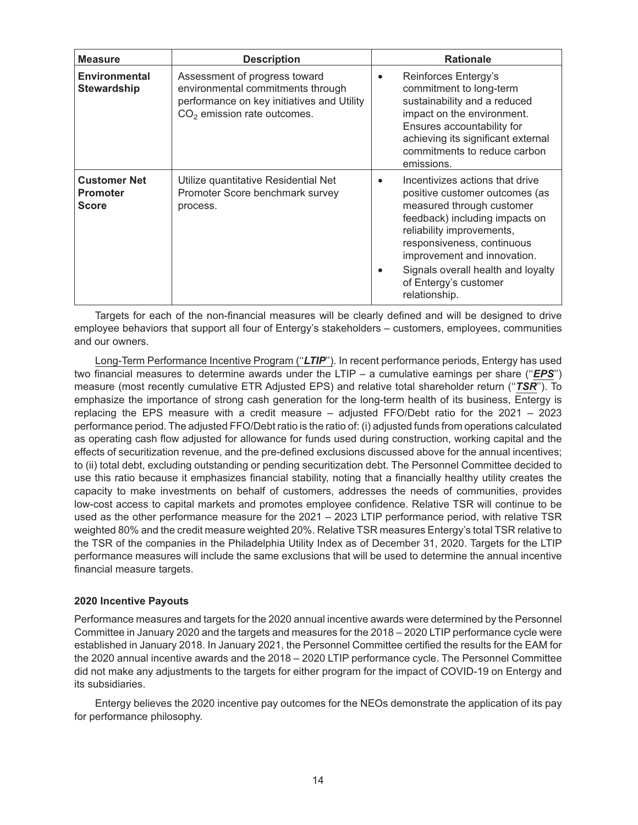| <b>Measure</b>                                         | <b>Description</b>                                                                                                                                          | <b>Rationale</b>                                                                                                                                                                                                                                                                                                        |
|--------------------------------------------------------|-------------------------------------------------------------------------------------------------------------------------------------------------------------|-------------------------------------------------------------------------------------------------------------------------------------------------------------------------------------------------------------------------------------------------------------------------------------------------------------------------|
| <b>Environmental</b><br><b>Stewardship</b>             | Assessment of progress toward<br>environmental commitments through<br>performance on key initiatives and Utility<br>CO <sub>2</sub> emission rate outcomes. | Reinforces Entergy's<br>$\bullet$<br>commitment to long-term<br>sustainability and a reduced<br>impact on the environment.<br>Ensures accountability for<br>achieving its significant external<br>commitments to reduce carbon<br>emissions.                                                                            |
| <b>Customer Net</b><br><b>Promoter</b><br><b>Score</b> | Utilize quantitative Residential Net<br>Promoter Score benchmark survey<br>process.                                                                         | Incentivizes actions that drive<br>$\bullet$<br>positive customer outcomes (as<br>measured through customer<br>feedback) including impacts on<br>reliability improvements,<br>responsiveness, continuous<br>improvement and innovation.<br>Signals overall health and loyalty<br>of Entergy's customer<br>relationship. |

Targets for each of the non-financial measures will be clearly defined and will be designed to drive employee behaviors that support all four of Entergy's stakeholders – customers, employees, communities and our owners.

Long-Term Performance Incentive Program (''*LTIP*''). In recent performance periods, Entergy has used two financial measures to determine awards under the LTIP – a cumulative earnings per share (''*EPS*'') measure (most recently cumulative ETR Adjusted EPS) and relative total shareholder return (''*TSR*''). To emphasize the importance of strong cash generation for the long-term health of its business, Entergy is replacing the EPS measure with a credit measure – adjusted FFO/Debt ratio for the 2021 – 2023 performance period. The adjusted FFO/Debt ratio is the ratio of: (i) adjusted funds from operations calculated as operating cash flow adjusted for allowance for funds used during construction, working capital and the effects of securitization revenue, and the pre-defined exclusions discussed above for the annual incentives; to (ii) total debt, excluding outstanding or pending securitization debt. The Personnel Committee decided to use this ratio because it emphasizes financial stability, noting that a financially healthy utility creates the capacity to make investments on behalf of customers, addresses the needs of communities, provides low-cost access to capital markets and promotes employee confidence. Relative TSR will continue to be used as the other performance measure for the 2021 – 2023 LTIP performance period, with relative TSR weighted 80% and the credit measure weighted 20%. Relative TSR measures Entergy's total TSR relative to the TSR of the companies in the Philadelphia Utility Index as of December 31, 2020. Targets for the LTIP performance measures will include the same exclusions that will be used to determine the annual incentive financial measure targets.

## **2020 Incentive Payouts**

Performance measures and targets for the 2020 annual incentive awards were determined by the Personnel Committee in January 2020 and the targets and measures for the 2018 – 2020 LTIP performance cycle were established in January 2018. In January 2021, the Personnel Committee certified the results for the EAM for the 2020 annual incentive awards and the 2018 – 2020 LTIP performance cycle. The Personnel Committee did not make any adjustments to the targets for either program for the impact of COVID-19 on Entergy and its subsidiaries.

Entergy believes the 2020 incentive pay outcomes for the NEOs demonstrate the application of its pay for performance philosophy.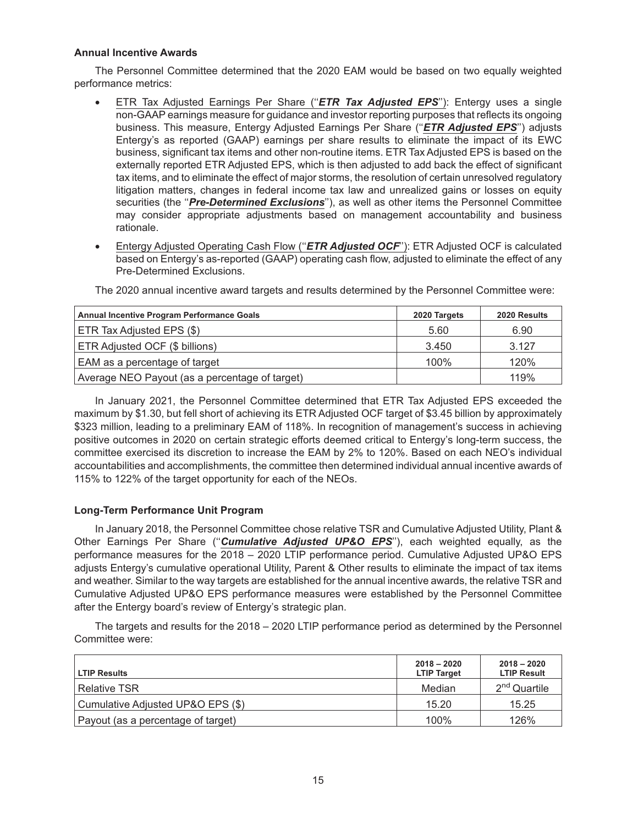## **Annual Incentive Awards**

The Personnel Committee determined that the 2020 EAM would be based on two equally weighted performance metrics:

- ETR Tax Adjusted Earnings Per Share (''*ETR Tax Adjusted EPS*''): Entergy uses a single non-GAAP earnings measure for guidance and investor reporting purposes that reflects its ongoing business. This measure, Entergy Adjusted Earnings Per Share (''*ETR Adjusted EPS*'') adjusts Entergy's as reported (GAAP) earnings per share results to eliminate the impact of its EWC business, significant tax items and other non-routine items. ETR Tax Adjusted EPS is based on the externally reported ETR Adjusted EPS, which is then adjusted to add back the effect of significant tax items, and to eliminate the effect of major storms, the resolution of certain unresolved regulatory litigation matters, changes in federal income tax law and unrealized gains or losses on equity securities (the ''*Pre-Determined Exclusions*''), as well as other items the Personnel Committee may consider appropriate adjustments based on management accountability and business rationale.
- Entergy Adjusted Operating Cash Flow ("*ETR Adjusted OCF*"): ETR Adjusted OCF is calculated based on Entergy's as-reported (GAAP) operating cash flow, adjusted to eliminate the effect of any Pre-Determined Exclusions.

| <b>Annual Incentive Program Performance Goals</b> | 2020 Targets | 2020 Results |
|---------------------------------------------------|--------------|--------------|
| ETR Tax Adjusted EPS (\$)                         | 5.60         | 6.90         |
| ETR Adjusted OCF (\$ billions)                    | 3.450        | 3.127        |
| EAM as a percentage of target                     | 100%         | 120%         |
| Average NEO Payout (as a percentage of target)    |              | 119%         |

The 2020 annual incentive award targets and results determined by the Personnel Committee were:

In January 2021, the Personnel Committee determined that ETR Tax Adjusted EPS exceeded the maximum by \$1.30, but fell short of achieving its ETR Adjusted OCF target of \$3.45 billion by approximately \$323 million, leading to a preliminary EAM of 118%. In recognition of management's success in achieving positive outcomes in 2020 on certain strategic efforts deemed critical to Entergy's long-term success, the committee exercised its discretion to increase the EAM by 2% to 120%. Based on each NEO's individual accountabilities and accomplishments, the committee then determined individual annual incentive awards of 115% to 122% of the target opportunity for each of the NEOs.

## **Long-Term Performance Unit Program**

In January 2018, the Personnel Committee chose relative TSR and Cumulative Adjusted Utility, Plant & Other Earnings Per Share (''*Cumulative Adjusted UP&O EPS*''), each weighted equally, as the performance measures for the 2018 – 2020 LTIP performance period. Cumulative Adjusted UP&O EPS adjusts Entergy's cumulative operational Utility, Parent & Other results to eliminate the impact of tax items and weather. Similar to the way targets are established for the annual incentive awards, the relative TSR and Cumulative Adjusted UP&O EPS performance measures were established by the Personnel Committee after the Entergy board's review of Entergy's strategic plan.

The targets and results for the 2018 – 2020 LTIP performance period as determined by the Personnel Committee were:

| <b>LTIP Results</b>                | $2018 - 2020$<br><b>LTIP Target</b> | $2018 - 2020$<br><b>LTIP Result</b> |
|------------------------------------|-------------------------------------|-------------------------------------|
| <b>Relative TSR</b>                | Median                              | $2nd$ Quartile                      |
| Cumulative Adjusted UP&O EPS (\$)  | 15.20                               | 15.25                               |
| Payout (as a percentage of target) | 100%                                | 126%                                |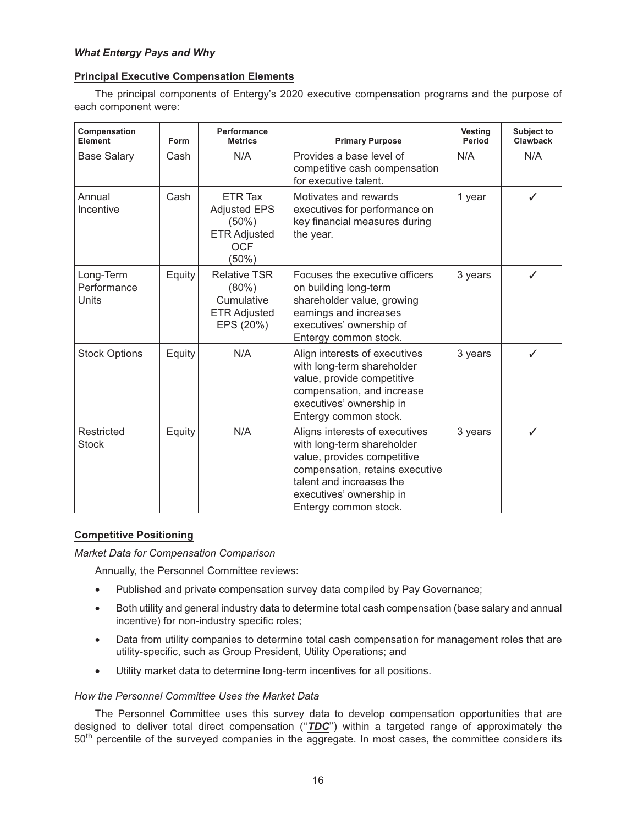## **Principal Executive Compensation Elements**

The principal components of Entergy's 2020 executive compensation programs and the purpose of each component were:

| Compensation<br><b>Element</b>           | Form   | Performance<br><b>Metrics</b>                                                               | <b>Primary Purpose</b>                                                                                                                                                                                          | <b>Vesting</b><br>Period | Subject to<br><b>Clawback</b> |
|------------------------------------------|--------|---------------------------------------------------------------------------------------------|-----------------------------------------------------------------------------------------------------------------------------------------------------------------------------------------------------------------|--------------------------|-------------------------------|
| <b>Base Salary</b>                       | Cash   | N/A                                                                                         | Provides a base level of<br>competitive cash compensation<br>for executive talent.                                                                                                                              | N/A                      | N/A                           |
| Annual<br>Incentive                      | Cash   | ETR Tax<br><b>Adjusted EPS</b><br>$(50\%)$<br><b>ETR Adjusted</b><br><b>OCF</b><br>$(50\%)$ | Motivates and rewards<br>executives for performance on<br>key financial measures during<br>the year.                                                                                                            | 1 year                   | ✓                             |
| Long-Term<br>Performance<br><b>Units</b> | Equity | <b>Relative TSR</b><br>$(80\%)$<br>Cumulative<br><b>ETR Adjusted</b><br>EPS (20%)           | Focuses the executive officers<br>on building long-term<br>shareholder value, growing<br>earnings and increases<br>executives' ownership of<br>Entergy common stock.                                            | 3 years                  | ✓                             |
| <b>Stock Options</b>                     | Equity | N/A                                                                                         | Align interests of executives<br>with long-term shareholder<br>value, provide competitive<br>compensation, and increase<br>executives' ownership in<br>Entergy common stock.                                    | 3 years                  | ✓                             |
| Restricted<br><b>Stock</b>               | Equity | N/A                                                                                         | Aligns interests of executives<br>with long-term shareholder<br>value, provides competitive<br>compensation, retains executive<br>talent and increases the<br>executives' ownership in<br>Entergy common stock. | 3 years                  | ✓                             |

## **Competitive Positioning**

*Market Data for Compensation Comparison*

Annually, the Personnel Committee reviews:

- Published and private compensation survey data compiled by Pay Governance;
- Both utility and general industry data to determine total cash compensation (base salary and annual incentive) for non-industry specific roles;
- Data from utility companies to determine total cash compensation for management roles that are utility-specific, such as Group President, Utility Operations; and
- Utility market data to determine long-term incentives for all positions.

## *How the Personnel Committee Uses the Market Data*

The Personnel Committee uses this survey data to develop compensation opportunities that are designed to deliver total direct compensation (''*TDC*'') within a targeted range of approximately the 50<sup>th</sup> percentile of the surveyed companies in the aggregate. In most cases, the committee considers its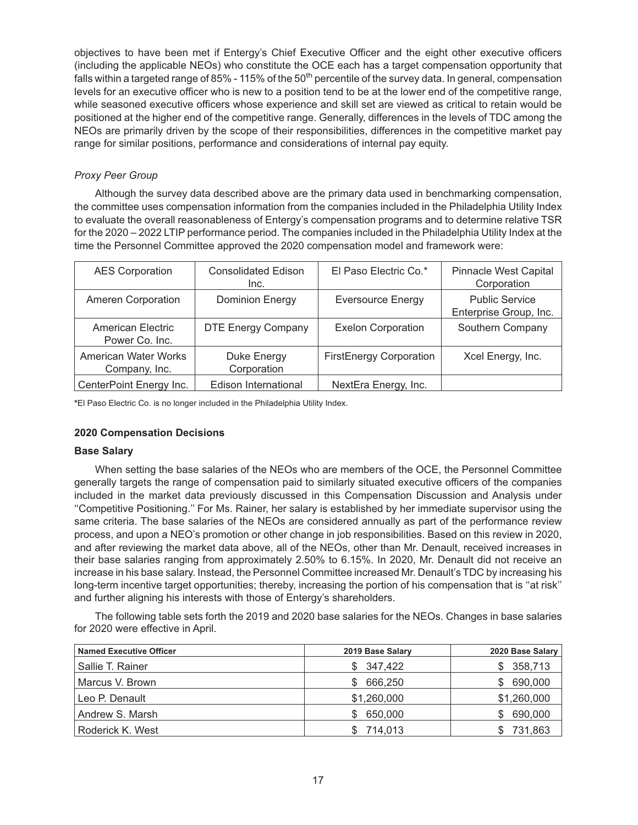objectives to have been met if Entergy's Chief Executive Officer and the eight other executive officers (including the applicable NEOs) who constitute the OCE each has a target compensation opportunity that falls within a targeted range of 85% - 115% of the 50<sup>th</sup> percentile of the survey data. In general, compensation levels for an executive officer who is new to a position tend to be at the lower end of the competitive range, while seasoned executive officers whose experience and skill set are viewed as critical to retain would be positioned at the higher end of the competitive range. Generally, differences in the levels of TDC among the NEOs are primarily driven by the scope of their responsibilities, differences in the competitive market pay range for similar positions, performance and considerations of internal pay equity.

## *Proxy Peer Group*

Although the survey data described above are the primary data used in benchmarking compensation, the committee uses compensation information from the companies included in the Philadelphia Utility Index to evaluate the overall reasonableness of Entergy's compensation programs and to determine relative TSR for the 2020 – 2022 LTIP performance period. The companies included in the Philadelphia Utility Index at the time the Personnel Committee approved the 2020 compensation model and framework were:

| <b>AES Corporation</b>                | <b>Consolidated Edison</b><br>Inc. | El Paso Electric Co.*          | <b>Pinnacle West Capital</b><br>Corporation     |
|---------------------------------------|------------------------------------|--------------------------------|-------------------------------------------------|
| Ameren Corporation                    | <b>Dominion Energy</b>             | <b>Eversource Energy</b>       | <b>Public Service</b><br>Enterprise Group, Inc. |
| American Electric<br>Power Co. Inc.   | <b>DTE Energy Company</b>          | <b>Exelon Corporation</b>      | Southern Company                                |
| American Water Works<br>Company, Inc. | Duke Energy<br>Corporation         | <b>FirstEnergy Corporation</b> | Xcel Energy, Inc.                               |
| CenterPoint Energy Inc.               | Edison International               | NextEra Energy, Inc.           |                                                 |

**\***El Paso Electric Co. is no longer included in the Philadelphia Utility Index.

## **2020 Compensation Decisions**

## **Base Salary**

When setting the base salaries of the NEOs who are members of the OCE, the Personnel Committee generally targets the range of compensation paid to similarly situated executive officers of the companies included in the market data previously discussed in this Compensation Discussion and Analysis under ''Competitive Positioning.'' For Ms. Rainer, her salary is established by her immediate supervisor using the same criteria. The base salaries of the NEOs are considered annually as part of the performance review process, and upon a NEO's promotion or other change in job responsibilities. Based on this review in 2020, and after reviewing the market data above, all of the NEOs, other than Mr. Denault, received increases in their base salaries ranging from approximately 2.50% to 6.15%. In 2020, Mr. Denault did not receive an increase in his base salary. Instead, the Personnel Committee increased Mr. Denault's TDC by increasing his long-term incentive target opportunities; thereby, increasing the portion of his compensation that is ''at risk'' and further aligning his interests with those of Entergy's shareholders.

The following table sets forth the 2019 and 2020 base salaries for the NEOs. Changes in base salaries for 2020 were effective in April.

| <b>Named Executive Officer</b> | 2019 Base Salary | 2020 Base Salary |
|--------------------------------|------------------|------------------|
| Sallie T. Rainer               | \$347,422        | 358,713<br>S.    |
| Marcus V. Brown                | 666.250          | 690,000<br>\$.   |
| Leo P. Denault                 | \$1,260,000      | \$1,260,000      |
| Andrew S. Marsh                | 650,000          | 690,000<br>S     |
| Roderick K. West               | 714,013          | 731,863          |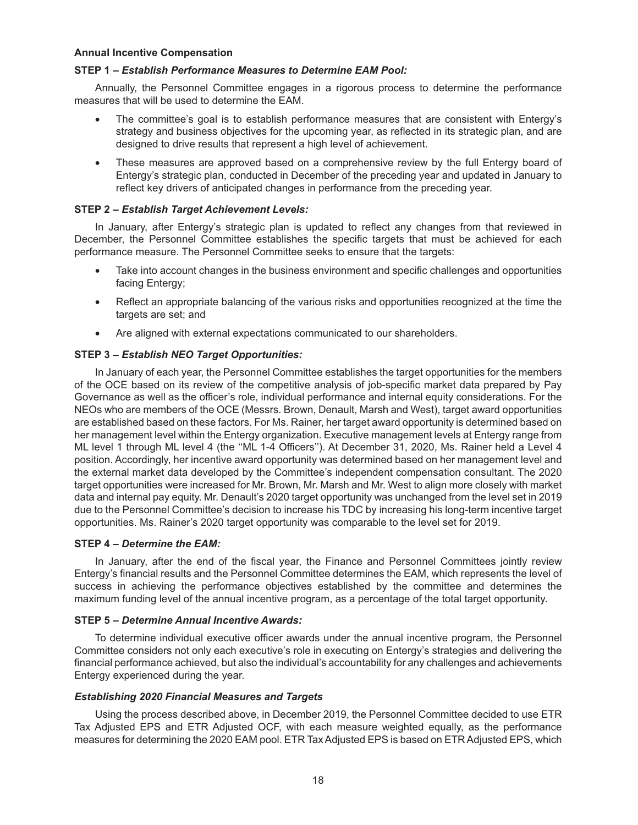#### **Annual Incentive Compensation**

## **STEP 1 –** *Establish Performance Measures to Determine EAM Pool:*

Annually, the Personnel Committee engages in a rigorous process to determine the performance measures that will be used to determine the EAM.

- The committee's goal is to establish performance measures that are consistent with Entergy's strategy and business objectives for the upcoming year, as reflected in its strategic plan, and are designed to drive results that represent a high level of achievement.
- These measures are approved based on a comprehensive review by the full Entergy board of Entergy's strategic plan, conducted in December of the preceding year and updated in January to reflect key drivers of anticipated changes in performance from the preceding year.

## **STEP 2 –** *Establish Target Achievement Levels:*

In January, after Entergy's strategic plan is updated to reflect any changes from that reviewed in December, the Personnel Committee establishes the specific targets that must be achieved for each performance measure. The Personnel Committee seeks to ensure that the targets:

- Take into account changes in the business environment and specific challenges and opportunities facing Entergy;
- Reflect an appropriate balancing of the various risks and opportunities recognized at the time the targets are set; and
- Are aligned with external expectations communicated to our shareholders.

## **STEP 3 –** *Establish NEO Target Opportunities:*

In January of each year, the Personnel Committee establishes the target opportunities for the members of the OCE based on its review of the competitive analysis of job-specific market data prepared by Pay Governance as well as the officer's role, individual performance and internal equity considerations. For the NEOs who are members of the OCE (Messrs. Brown, Denault, Marsh and West), target award opportunities are established based on these factors. For Ms. Rainer, her target award opportunity is determined based on her management level within the Entergy organization. Executive management levels at Entergy range from ML level 1 through ML level 4 (the ''ML 1-4 Officers''). At December 31, 2020, Ms. Rainer held a Level 4 position. Accordingly, her incentive award opportunity was determined based on her management level and the external market data developed by the Committee's independent compensation consultant. The 2020 target opportunities were increased for Mr. Brown, Mr. Marsh and Mr. West to align more closely with market data and internal pay equity. Mr. Denault's 2020 target opportunity was unchanged from the level set in 2019 due to the Personnel Committee's decision to increase his TDC by increasing his long-term incentive target opportunities. Ms. Rainer's 2020 target opportunity was comparable to the level set for 2019.

## **STEP 4 –** *Determine the EAM:*

In January, after the end of the fiscal year, the Finance and Personnel Committees jointly review Entergy's financial results and the Personnel Committee determines the EAM, which represents the level of success in achieving the performance objectives established by the committee and determines the maximum funding level of the annual incentive program, as a percentage of the total target opportunity.

## **STEP 5 –** *Determine Annual Incentive Awards:*

To determine individual executive officer awards under the annual incentive program, the Personnel Committee considers not only each executive's role in executing on Entergy's strategies and delivering the financial performance achieved, but also the individual's accountability for any challenges and achievements Entergy experienced during the year.

## *Establishing 2020 Financial Measures and Targets*

Using the process described above, in December 2019, the Personnel Committee decided to use ETR Tax Adjusted EPS and ETR Adjusted OCF, with each measure weighted equally, as the performance measures for determining the 2020 EAM pool. ETR Tax Adjusted EPS is based on ETR Adjusted EPS, which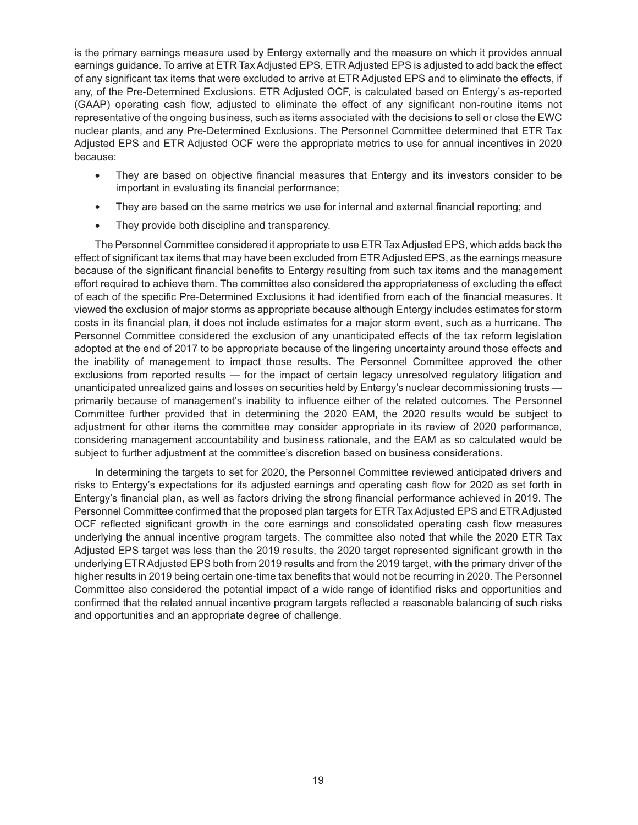is the primary earnings measure used by Entergy externally and the measure on which it provides annual earnings guidance. To arrive at ETR Tax Adjusted EPS, ETR Adjusted EPS is adjusted to add back the effect of any significant tax items that were excluded to arrive at ETR Adjusted EPS and to eliminate the effects, if any, of the Pre-Determined Exclusions. ETR Adjusted OCF, is calculated based on Entergy's as-reported (GAAP) operating cash flow, adjusted to eliminate the effect of any significant non-routine items not representative of the ongoing business, such as items associated with the decisions to sell or close the EWC nuclear plants, and any Pre-Determined Exclusions. The Personnel Committee determined that ETR Tax Adjusted EPS and ETR Adjusted OCF were the appropriate metrics to use for annual incentives in 2020 because:

- They are based on objective financial measures that Entergy and its investors consider to be important in evaluating its financial performance;
- They are based on the same metrics we use for internal and external financial reporting; and
- They provide both discipline and transparency.

The Personnel Committee considered it appropriate to use ETR Tax Adjusted EPS, which adds back the effect of significant tax items that may have been excluded from ETRAdjusted EPS, as the earnings measure because of the significant financial benefits to Entergy resulting from such tax items and the management effort required to achieve them. The committee also considered the appropriateness of excluding the effect of each of the specific Pre-Determined Exclusions it had identified from each of the financial measures. It viewed the exclusion of major storms as appropriate because although Entergy includes estimates for storm costs in its financial plan, it does not include estimates for a major storm event, such as a hurricane. The Personnel Committee considered the exclusion of any unanticipated effects of the tax reform legislation adopted at the end of 2017 to be appropriate because of the lingering uncertainty around those effects and the inability of management to impact those results. The Personnel Committee approved the other exclusions from reported results — for the impact of certain legacy unresolved regulatory litigation and unanticipated unrealized gains and losses on securities held by Entergy's nuclear decommissioning trusts primarily because of management's inability to influence either of the related outcomes. The Personnel Committee further provided that in determining the 2020 EAM, the 2020 results would be subject to adjustment for other items the committee may consider appropriate in its review of 2020 performance, considering management accountability and business rationale, and the EAM as so calculated would be subject to further adjustment at the committee's discretion based on business considerations.

In determining the targets to set for 2020, the Personnel Committee reviewed anticipated drivers and risks to Entergy's expectations for its adjusted earnings and operating cash flow for 2020 as set forth in Entergy's financial plan, as well as factors driving the strong financial performance achieved in 2019. The Personnel Committee confirmed that the proposed plan targets for ETR Tax Adjusted EPS and ETR Adjusted OCF reflected significant growth in the core earnings and consolidated operating cash flow measures underlying the annual incentive program targets. The committee also noted that while the 2020 ETR Tax Adjusted EPS target was less than the 2019 results, the 2020 target represented significant growth in the underlying ETR Adjusted EPS both from 2019 results and from the 2019 target, with the primary driver of the higher results in 2019 being certain one-time tax benefits that would not be recurring in 2020. The Personnel Committee also considered the potential impact of a wide range of identified risks and opportunities and confirmed that the related annual incentive program targets reflected a reasonable balancing of such risks and opportunities and an appropriate degree of challenge.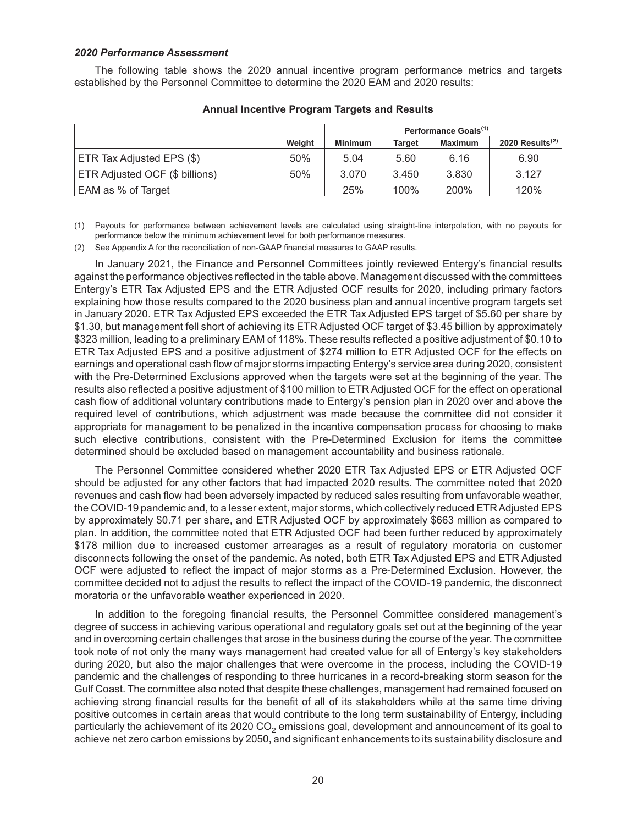#### *2020 Performance Assessment*

The following table shows the 2020 annual incentive program performance metrics and targets established by the Personnel Committee to determine the 2020 EAM and 2020 results:

|                                |        | Performance Goals <sup>(1)</sup> |               |                |                    |
|--------------------------------|--------|----------------------------------|---------------|----------------|--------------------|
|                                | Weight | <b>Minimum</b>                   | <b>Target</b> | <b>Maximum</b> | 2020 Results $(2)$ |
| ETR Tax Adjusted EPS (\$)      | 50%    | 5.04                             | 5.60          | 6.16           | 6.90               |
| ETR Adjusted OCF (\$ billions) | 50%    | 3.070                            | 3.450         | 3.830          | 3.127              |
| EAM as % of Target             |        | 25%                              | 100%          | 200%           | 120%               |

#### **Annual Incentive Program Targets and Results**

(1) Payouts for performance between achievement levels are calculated using straight-line interpolation, with no payouts for performance below the minimum achievement level for both performance measures.

(2) See Appendix A for the reconciliation of non-GAAP financial measures to GAAP results.

In January 2021, the Finance and Personnel Committees jointly reviewed Entergy's financial results against the performance objectives reflected in the table above. Management discussed with the committees Entergy's ETR Tax Adjusted EPS and the ETR Adjusted OCF results for 2020, including primary factors explaining how those results compared to the 2020 business plan and annual incentive program targets set in January 2020. ETR Tax Adjusted EPS exceeded the ETR Tax Adjusted EPS target of \$5.60 per share by \$1.30, but management fell short of achieving its ETR Adjusted OCF target of \$3.45 billion by approximately \$323 million, leading to a preliminary EAM of 118%. These results reflected a positive adjustment of \$0.10 to ETR Tax Adjusted EPS and a positive adjustment of \$274 million to ETR Adjusted OCF for the effects on earnings and operational cash flow of major storms impacting Entergy's service area during 2020, consistent with the Pre-Determined Exclusions approved when the targets were set at the beginning of the year. The results also reflected a positive adjustment of \$100 million to ETR Adjusted OCF for the effect on operational cash flow of additional voluntary contributions made to Entergy's pension plan in 2020 over and above the required level of contributions, which adjustment was made because the committee did not consider it appropriate for management to be penalized in the incentive compensation process for choosing to make such elective contributions, consistent with the Pre-Determined Exclusion for items the committee determined should be excluded based on management accountability and business rationale.

The Personnel Committee considered whether 2020 ETR Tax Adjusted EPS or ETR Adjusted OCF should be adjusted for any other factors that had impacted 2020 results. The committee noted that 2020 revenues and cash flow had been adversely impacted by reduced sales resulting from unfavorable weather, the COVID-19 pandemic and, to a lesser extent, major storms, which collectively reduced ETR Adjusted EPS by approximately \$0.71 per share, and ETR Adjusted OCF by approximately \$663 million as compared to plan. In addition, the committee noted that ETR Adjusted OCF had been further reduced by approximately \$178 million due to increased customer arrearages as a result of regulatory moratoria on customer disconnects following the onset of the pandemic. As noted, both ETR Tax Adjusted EPS and ETR Adjusted OCF were adjusted to reflect the impact of major storms as a Pre-Determined Exclusion. However, the committee decided not to adjust the results to reflect the impact of the COVID-19 pandemic, the disconnect moratoria or the unfavorable weather experienced in 2020.

In addition to the foregoing financial results, the Personnel Committee considered management's degree of success in achieving various operational and regulatory goals set out at the beginning of the year and in overcoming certain challenges that arose in the business during the course of the year. The committee took note of not only the many ways management had created value for all of Entergy's key stakeholders during 2020, but also the major challenges that were overcome in the process, including the COVID-19 pandemic and the challenges of responding to three hurricanes in a record-breaking storm season for the Gulf Coast. The committee also noted that despite these challenges, management had remained focused on achieving strong financial results for the benefit of all of its stakeholders while at the same time driving positive outcomes in certain areas that would contribute to the long term sustainability of Entergy, including particularly the achievement of its 2020 CO<sub>2</sub> emissions goal, development and announcement of its goal to achieve net zero carbon emissions by 2050, and significant enhancements to its sustainability disclosure and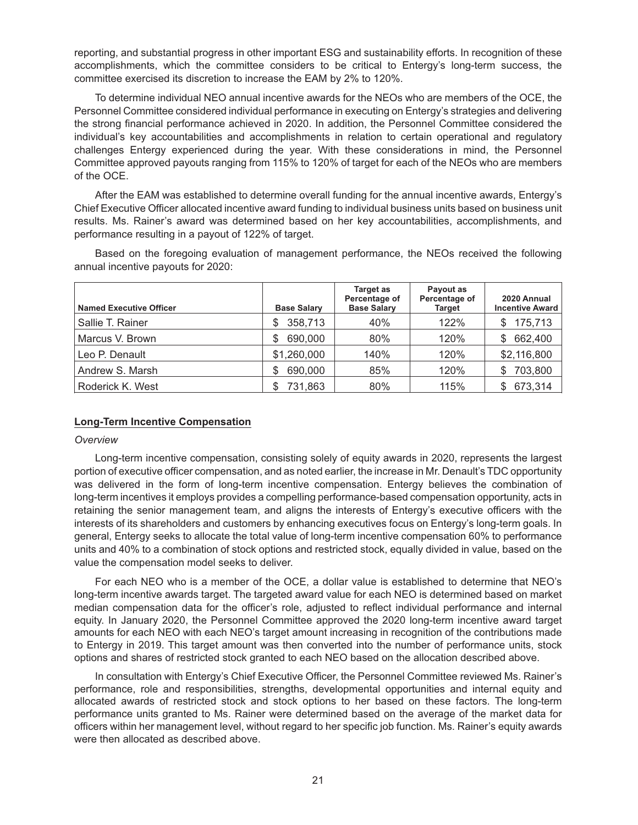reporting, and substantial progress in other important ESG and sustainability efforts. In recognition of these accomplishments, which the committee considers to be critical to Entergy's long-term success, the committee exercised its discretion to increase the EAM by 2% to 120%.

To determine individual NEO annual incentive awards for the NEOs who are members of the OCE, the Personnel Committee considered individual performance in executing on Entergy's strategies and delivering the strong financial performance achieved in 2020. In addition, the Personnel Committee considered the individual's key accountabilities and accomplishments in relation to certain operational and regulatory challenges Entergy experienced during the year. With these considerations in mind, the Personnel Committee approved payouts ranging from 115% to 120% of target for each of the NEOs who are members of the OCE.

After the EAM was established to determine overall funding for the annual incentive awards, Entergy's Chief Executive Officer allocated incentive award funding to individual business units based on business unit results. Ms. Rainer's award was determined based on her key accountabilities, accomplishments, and performance resulting in a payout of 122% of target.

Based on the foregoing evaluation of management performance, the NEOs received the following annual incentive payouts for 2020:

| <b>Named Executive Officer</b> | <b>Base Salary</b> | Target as<br>Percentage of<br><b>Base Salary</b> | Payout as<br>Percentage of<br>Target | 2020 Annual<br><b>Incentive Award</b> |
|--------------------------------|--------------------|--------------------------------------------------|--------------------------------------|---------------------------------------|
| Sallie T. Rainer               | 358,713<br>S.      | 40%                                              | 122%                                 | 175,713<br>S.                         |
| Marcus V. Brown                | 690,000<br>S       | 80%                                              | 120%                                 | 662,400<br>S                          |
| Leo P. Denault                 | \$1,260,000        | 140%                                             | 120%                                 | \$2,116,800                           |
| Andrew S. Marsh                | 690,000<br>S       | 85%                                              | 120%                                 | 703,800<br>S                          |
| Roderick K. West               | 731,863<br>S       | 80%                                              | 115%                                 | 673,314                               |

## **Long-Term Incentive Compensation**

## *Overview*

Long-term incentive compensation, consisting solely of equity awards in 2020, represents the largest portion of executive officer compensation, and as noted earlier, the increase in Mr. Denault's TDC opportunity was delivered in the form of long-term incentive compensation. Entergy believes the combination of long-term incentives it employs provides a compelling performance-based compensation opportunity, acts in retaining the senior management team, and aligns the interests of Entergy's executive officers with the interests of its shareholders and customers by enhancing executives focus on Entergy's long-term goals. In general, Entergy seeks to allocate the total value of long-term incentive compensation 60% to performance units and 40% to a combination of stock options and restricted stock, equally divided in value, based on the value the compensation model seeks to deliver.

For each NEO who is a member of the OCE, a dollar value is established to determine that NEO's long-term incentive awards target. The targeted award value for each NEO is determined based on market median compensation data for the officer's role, adjusted to reflect individual performance and internal equity. In January 2020, the Personnel Committee approved the 2020 long-term incentive award target amounts for each NEO with each NEO's target amount increasing in recognition of the contributions made to Entergy in 2019. This target amount was then converted into the number of performance units, stock options and shares of restricted stock granted to each NEO based on the allocation described above.

In consultation with Entergy's Chief Executive Officer, the Personnel Committee reviewed Ms. Rainer's performance, role and responsibilities, strengths, developmental opportunities and internal equity and allocated awards of restricted stock and stock options to her based on these factors. The long-term performance units granted to Ms. Rainer were determined based on the average of the market data for officers within her management level, without regard to her specific job function. Ms. Rainer's equity awards were then allocated as described above.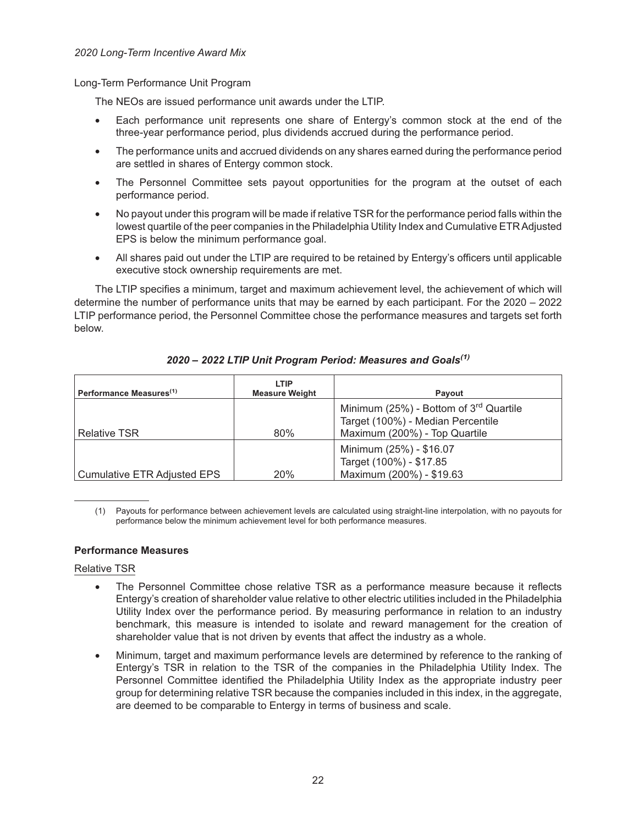Long-Term Performance Unit Program

The NEOs are issued performance unit awards under the LTIP.

- Each performance unit represents one share of Entergy's common stock at the end of the three-year performance period, plus dividends accrued during the performance period.
- The performance units and accrued dividends on any shares earned during the performance period are settled in shares of Entergy common stock.
- The Personnel Committee sets payout opportunities for the program at the outset of each performance period.
- No payout under this program will be made if relative TSR for the performance period falls within the lowest quartile of the peer companies in the Philadelphia Utility Index and Cumulative ETRAdjusted EPS is below the minimum performance goal.
- All shares paid out under the LTIP are required to be retained by Entergy's officers until applicable executive stock ownership requirements are met.

The LTIP specifies a minimum, target and maximum achievement level, the achievement of which will determine the number of performance units that may be earned by each participant. For the 2020 – 2022 LTIP performance period, the Personnel Committee chose the performance measures and targets set forth below.

| Performance Measures <sup>(1)</sup> | LTIP<br><b>Measure Weight</b> | Payout                                                                                                         |
|-------------------------------------|-------------------------------|----------------------------------------------------------------------------------------------------------------|
| <b>Relative TSR</b>                 | 80%                           | Minimum (25%) - Bottom of $3rd$ Quartile<br>Target (100%) - Median Percentile<br>Maximum (200%) - Top Quartile |
| Cumulative ETR Adjusted EPS         | <b>20%</b>                    | Minimum (25%) - \$16.07<br>Target (100%) - \$17.85<br>Maximum (200%) - \$19.63                                 |

*2020 – 2022 LTIP Unit Program Period: Measures and Goals(1)*

(1) Payouts for performance between achievement levels are calculated using straight-line interpolation, with no payouts for performance below the minimum achievement level for both performance measures.

## **Performance Measures**

## Relative TSR

- The Personnel Committee chose relative TSR as a performance measure because it reflects Entergy's creation of shareholder value relative to other electric utilities included in the Philadelphia Utility Index over the performance period. By measuring performance in relation to an industry benchmark, this measure is intended to isolate and reward management for the creation of shareholder value that is not driven by events that affect the industry as a whole.
- Minimum, target and maximum performance levels are determined by reference to the ranking of Entergy's TSR in relation to the TSR of the companies in the Philadelphia Utility Index. The Personnel Committee identified the Philadelphia Utility Index as the appropriate industry peer group for determining relative TSR because the companies included in this index, in the aggregate, are deemed to be comparable to Entergy in terms of business and scale.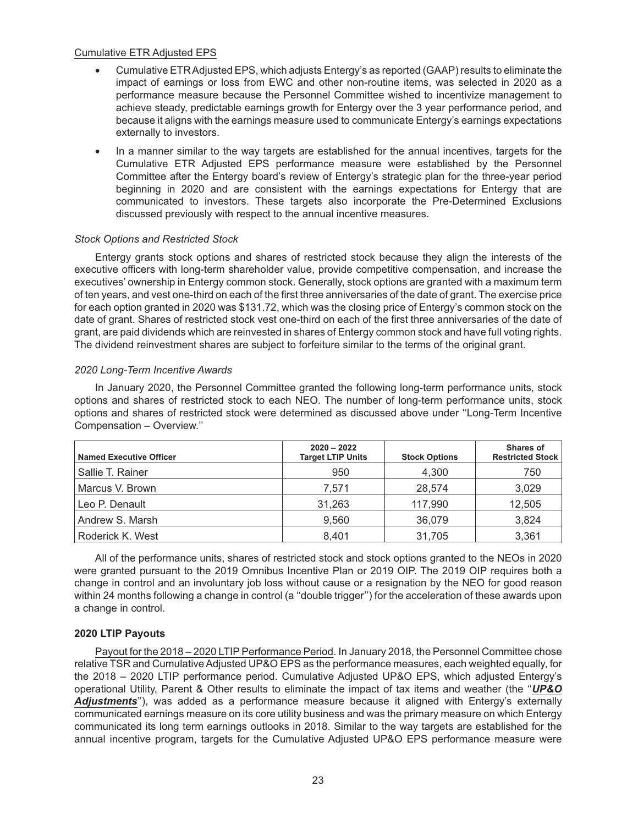## Cumulative ETR Adjusted EPS

- Cumulative ETRAdjusted EPS, which adjusts Entergy's as reported (GAAP) results to eliminate the impact of earnings or loss from EWC and other non-routine items, was selected in 2020 as a performance measure because the Personnel Committee wished to incentivize management to achieve steady, predictable earnings growth for Entergy over the 3 year performance period, and because it aligns with the earnings measure used to communicate Entergy's earnings expectations externally to investors.
- In a manner similar to the way targets are established for the annual incentives, targets for the Cumulative ETR Adjusted EPS performance measure were established by the Personnel Committee after the Entergy board's review of Entergy's strategic plan for the three-year period beginning in 2020 and are consistent with the earnings expectations for Entergy that are communicated to investors. These targets also incorporate the Pre-Determined Exclusions discussed previously with respect to the annual incentive measures.

## *Stock Options and Restricted Stock*

Entergy grants stock options and shares of restricted stock because they align the interests of the executive officers with long-term shareholder value, provide competitive compensation, and increase the executives' ownership in Entergy common stock. Generally, stock options are granted with a maximum term of ten years, and vest one-third on each of the first three anniversaries of the date of grant. The exercise price for each option granted in 2020 was \$131.72, which was the closing price of Entergy's common stock on the date of grant. Shares of restricted stock vest one-third on each of the first three anniversaries of the date of grant, are paid dividends which are reinvested in shares of Entergy common stock and have full voting rights. The dividend reinvestment shares are subject to forfeiture similar to the terms of the original grant.

## *2020 Long-Term Incentive Awards*

In January 2020, the Personnel Committee granted the following long-term performance units, stock options and shares of restricted stock to each NEO. The number of long-term performance units, stock options and shares of restricted stock were determined as discussed above under ''Long-Term Incentive Compensation – Overview.''

| <b>Named Executive Officer</b> | $2020 - 2022$<br><b>Target LTIP Units</b> | <b>Stock Options</b> | <b>Shares of</b><br><b>Restricted Stock</b> |
|--------------------------------|-------------------------------------------|----------------------|---------------------------------------------|
| Sallie T. Rainer               | 950                                       | 4.300                | 750                                         |
| Marcus V. Brown                | 7.571                                     | 28.574               | 3,029                                       |
| Leo P. Denault                 | 31.263                                    | 117,990              | 12,505                                      |
| Andrew S. Marsh                | 9.560                                     | 36,079               | 3,824                                       |
| Roderick K. West               | 8.401                                     | 31.705               | 3,361                                       |

All of the performance units, shares of restricted stock and stock options granted to the NEOs in 2020 were granted pursuant to the 2019 Omnibus Incentive Plan or 2019 OIP. The 2019 OIP requires both a change in control and an involuntary job loss without cause or a resignation by the NEO for good reason within 24 months following a change in control (a ''double trigger'') for the acceleration of these awards upon a change in control.

## **2020 LTIP Payouts**

Payout for the 2018 – 2020 LTIP Performance Period. In January 2018, the Personnel Committee chose relative TSR and Cumulative Adjusted UP&O EPS as the performance measures, each weighted equally, for the 2018 – 2020 LTIP performance period. Cumulative Adjusted UP&O EPS, which adjusted Entergy's operational Utility, Parent & Other results to eliminate the impact of tax items and weather (the ''*UP&O Adjustments*''), was added as a performance measure because it aligned with Entergy's externally communicated earnings measure on its core utility business and was the primary measure on which Entergy communicated its long term earnings outlooks in 2018. Similar to the way targets are established for the annual incentive program, targets for the Cumulative Adjusted UP&O EPS performance measure were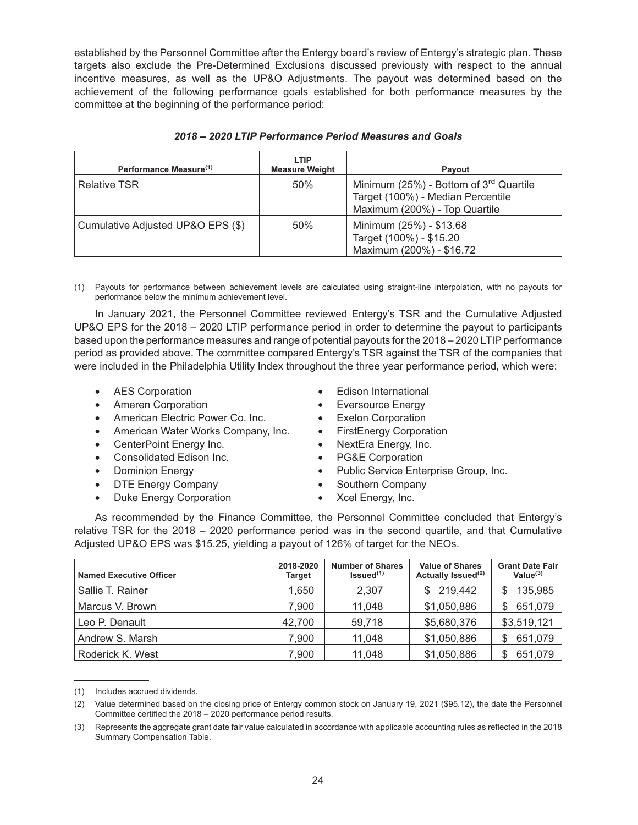established by the Personnel Committee after the Entergy board's review of Entergy's strategic plan. These targets also exclude the Pre-Determined Exclusions discussed previously with respect to the annual incentive measures, as well as the UP&O Adjustments. The payout was determined based on the achievement of the following performance goals established for both performance measures by the committee at the beginning of the performance period:

| Performance Measure <sup>(1)</sup> | LTIP<br><b>Measure Weight</b> | Payout                                                                                                         |
|------------------------------------|-------------------------------|----------------------------------------------------------------------------------------------------------------|
| <b>Relative TSR</b>                | 50%                           | Minimum (25%) - Bottom of $3rd$ Quartile<br>Target (100%) - Median Percentile<br>Maximum (200%) - Top Quartile |
| Cumulative Adjusted UP&O EPS (\$)  | 50%                           | Minimum (25%) - \$13.68<br>Target (100%) - \$15.20<br>Maximum (200%) - \$16.72                                 |

## *2018 – 2020 LTIP Performance Period Measures and Goals*

(1) Payouts for performance between achievement levels are calculated using straight-line interpolation, with no payouts for performance below the minimum achievement level.

In January 2021, the Personnel Committee reviewed Entergy's TSR and the Cumulative Adjusted UP&O EPS for the 2018 – 2020 LTIP performance period in order to determine the payout to participants based upon the performance measures and range of potential payouts for the 2018 – 2020 LTIP performance period as provided above. The committee compared Entergy's TSR against the TSR of the companies that were included in the Philadelphia Utility Index throughout the three year performance period, which were:

- 
- Ameren Corporation **•** Eversource Energy
- American Electric Power Co. Inc. Exelon Corporation
- American Water Works Company, Inc. FirstEnergy Corporation
- 
- Consolidated Edison Inc. • PG&E Corporation
- 
- DTE Energy Company **•** Southern Company
- Duke Energy Corporation Xcel Energy, Inc.
- AES Corporation **•** Edison International
	-
	-
	-
	- CenterPoint Energy Inc. NextEra Energy, Inc.
		-
	- **Dominion Energy Public Service Enterprise Group, Inc.** 
		-
		-

As recommended by the Finance Committee, the Personnel Committee concluded that Entergy's relative TSR for the 2018 – 2020 performance period was in the second quartile, and that Cumulative Adjusted UP&O EPS was \$15.25, yielding a payout of 126% of target for the NEOs.

| <b>Named Executive Officer</b> | 2018-2020<br>Target | <b>Number of Shares</b><br>Is sued <sup>(1)</sup> | <b>Value of Shares</b><br>Actually Issued <sup>(2)</sup> | <b>Grant Date Fair</b><br>Value $(3)$ |
|--------------------------------|---------------------|---------------------------------------------------|----------------------------------------------------------|---------------------------------------|
| Sallie T. Rainer               | 1.650               | 2.307                                             | 219,442                                                  | 135,985                               |
| Marcus V. Brown                | 7.900               | 11,048                                            | \$1,050,886                                              | 651,079<br>S                          |
| Leo P. Denault                 | 42,700              | 59,718                                            | \$5,680,376                                              | \$3,519,121                           |
| Andrew S. Marsh                | 7.900               | 11,048                                            | \$1,050,886                                              | 651,079<br>S                          |
| Roderick K. West               | 7.900               | 11,048                                            | \$1,050,886                                              | 651,079                               |

<sup>(1)</sup> Includes accrued dividends.

<sup>(2)</sup> Value determined based on the closing price of Entergy common stock on January 19, 2021 (\$95.12), the date the Personnel Committee certified the 2018 – 2020 performance period results.

<sup>(3)</sup> Represents the aggregate grant date fair value calculated in accordance with applicable accounting rules as reflected in the 2018 Summary Compensation Table.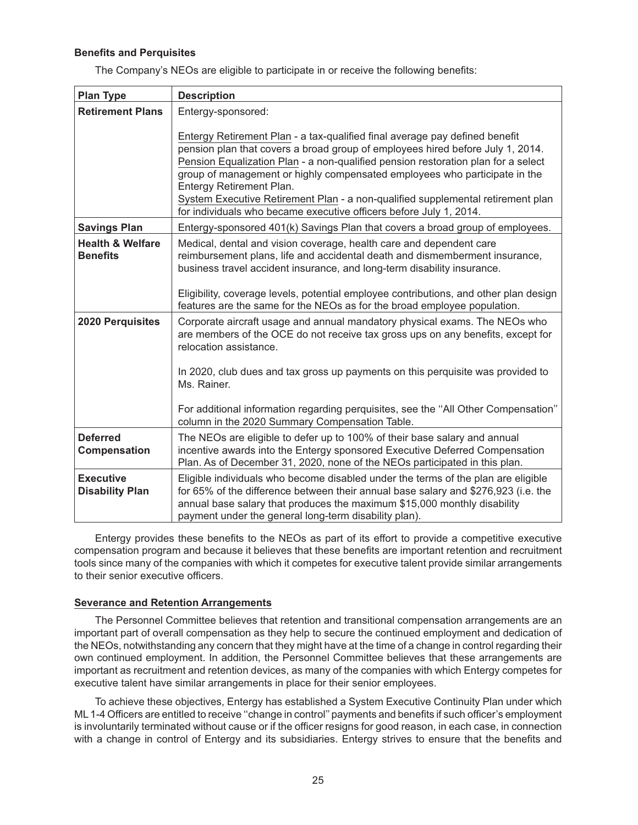## **Benefits and Perquisites**

The Company's NEOs are eligible to participate in or receive the following benefits:

| <b>Plan Type</b>                               | <b>Description</b>                                                                                                                                                                                                                                                                                                                                                                                                                                                                                                    |
|------------------------------------------------|-----------------------------------------------------------------------------------------------------------------------------------------------------------------------------------------------------------------------------------------------------------------------------------------------------------------------------------------------------------------------------------------------------------------------------------------------------------------------------------------------------------------------|
| <b>Retirement Plans</b>                        | Entergy-sponsored:                                                                                                                                                                                                                                                                                                                                                                                                                                                                                                    |
|                                                | Entergy Retirement Plan - a tax-qualified final average pay defined benefit<br>pension plan that covers a broad group of employees hired before July 1, 2014.<br>Pension Equalization Plan - a non-qualified pension restoration plan for a select<br>group of management or highly compensated employees who participate in the<br>Entergy Retirement Plan.<br>System Executive Retirement Plan - a non-qualified supplemental retirement plan<br>for individuals who became executive officers before July 1, 2014. |
| <b>Savings Plan</b>                            | Entergy-sponsored 401(k) Savings Plan that covers a broad group of employees.                                                                                                                                                                                                                                                                                                                                                                                                                                         |
| <b>Health &amp; Welfare</b><br><b>Benefits</b> | Medical, dental and vision coverage, health care and dependent care<br>reimbursement plans, life and accidental death and dismemberment insurance,<br>business travel accident insurance, and long-term disability insurance.<br>Eligibility, coverage levels, potential employee contributions, and other plan design                                                                                                                                                                                                |
|                                                | features are the same for the NEOs as for the broad employee population.                                                                                                                                                                                                                                                                                                                                                                                                                                              |
| <b>2020 Perquisites</b>                        | Corporate aircraft usage and annual mandatory physical exams. The NEOs who<br>are members of the OCE do not receive tax gross ups on any benefits, except for<br>relocation assistance.                                                                                                                                                                                                                                                                                                                               |
|                                                | In 2020, club dues and tax gross up payments on this perquisite was provided to<br>Ms. Rainer.                                                                                                                                                                                                                                                                                                                                                                                                                        |
|                                                | For additional information regarding perquisites, see the "All Other Compensation"<br>column in the 2020 Summary Compensation Table.                                                                                                                                                                                                                                                                                                                                                                                  |
| <b>Deferred</b><br>Compensation                | The NEOs are eligible to defer up to 100% of their base salary and annual<br>incentive awards into the Entergy sponsored Executive Deferred Compensation<br>Plan. As of December 31, 2020, none of the NEOs participated in this plan.                                                                                                                                                                                                                                                                                |
| <b>Executive</b><br><b>Disability Plan</b>     | Eligible individuals who become disabled under the terms of the plan are eligible<br>for 65% of the difference between their annual base salary and \$276,923 (i.e. the<br>annual base salary that produces the maximum \$15,000 monthly disability<br>payment under the general long-term disability plan).                                                                                                                                                                                                          |

Entergy provides these benefits to the NEOs as part of its effort to provide a competitive executive compensation program and because it believes that these benefits are important retention and recruitment tools since many of the companies with which it competes for executive talent provide similar arrangements to their senior executive officers.

#### **Severance and Retention Arrangements**

The Personnel Committee believes that retention and transitional compensation arrangements are an important part of overall compensation as they help to secure the continued employment and dedication of the NEOs, notwithstanding any concern that they might have at the time of a change in control regarding their own continued employment. In addition, the Personnel Committee believes that these arrangements are important as recruitment and retention devices, as many of the companies with which Entergy competes for executive talent have similar arrangements in place for their senior employees.

To achieve these objectives, Entergy has established a System Executive Continuity Plan under which ML 1-4 Officers are entitled to receive ''change in control'' payments and benefits if such officer's employment is involuntarily terminated without cause or if the officer resigns for good reason, in each case, in connection with a change in control of Entergy and its subsidiaries. Entergy strives to ensure that the benefits and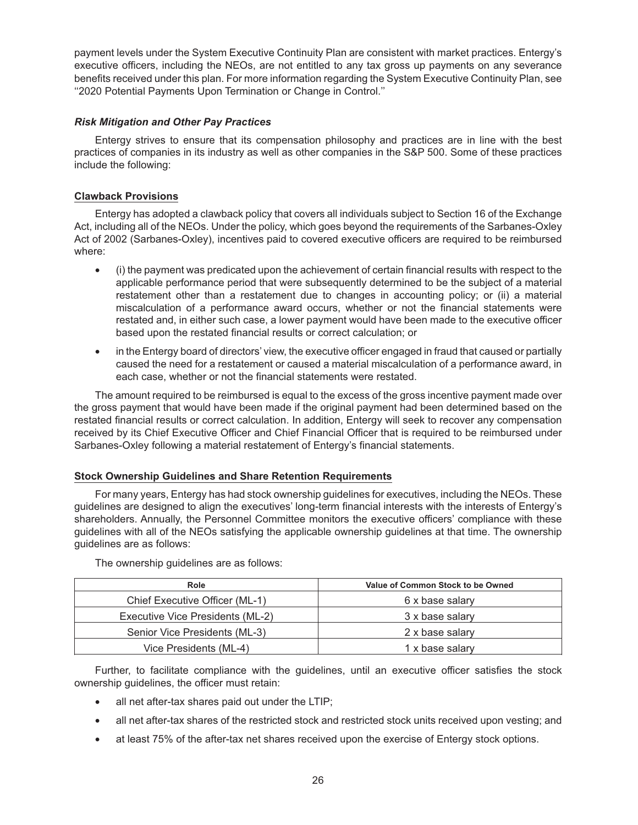payment levels under the System Executive Continuity Plan are consistent with market practices. Entergy's executive officers, including the NEOs, are not entitled to any tax gross up payments on any severance benefits received under this plan. For more information regarding the System Executive Continuity Plan, see ''2020 Potential Payments Upon Termination or Change in Control.''

## *Risk Mitigation and Other Pay Practices*

Entergy strives to ensure that its compensation philosophy and practices are in line with the best practices of companies in its industry as well as other companies in the S&P 500. Some of these practices include the following:

## **Clawback Provisions**

Entergy has adopted a clawback policy that covers all individuals subject to Section 16 of the Exchange Act, including all of the NEOs. Under the policy, which goes beyond the requirements of the Sarbanes-Oxley Act of 2002 (Sarbanes-Oxley), incentives paid to covered executive officers are required to be reimbursed where:

- (i) the payment was predicated upon the achievement of certain financial results with respect to the applicable performance period that were subsequently determined to be the subject of a material restatement other than a restatement due to changes in accounting policy; or (ii) a material miscalculation of a performance award occurs, whether or not the financial statements were restated and, in either such case, a lower payment would have been made to the executive officer based upon the restated financial results or correct calculation; or
- in the Entergy board of directors' view, the executive officer engaged in fraud that caused or partially caused the need for a restatement or caused a material miscalculation of a performance award, in each case, whether or not the financial statements were restated.

The amount required to be reimbursed is equal to the excess of the gross incentive payment made over the gross payment that would have been made if the original payment had been determined based on the restated financial results or correct calculation. In addition, Entergy will seek to recover any compensation received by its Chief Executive Officer and Chief Financial Officer that is required to be reimbursed under Sarbanes-Oxley following a material restatement of Entergy's financial statements.

## **Stock Ownership Guidelines and Share Retention Requirements**

For many years, Entergy has had stock ownership guidelines for executives, including the NEOs. These guidelines are designed to align the executives' long-term financial interests with the interests of Entergy's shareholders. Annually, the Personnel Committee monitors the executive officers' compliance with these guidelines with all of the NEOs satisfying the applicable ownership guidelines at that time. The ownership guidelines are as follows:

| Role                             | Value of Common Stock to be Owned |
|----------------------------------|-----------------------------------|
| Chief Executive Officer (ML-1)   | 6 x base salary                   |
| Executive Vice Presidents (ML-2) | 3 x base salary                   |
| Senior Vice Presidents (ML-3)    | 2 x base salary                   |
| Vice Presidents (ML-4)           | 1 x base salary                   |

The ownership guidelines are as follows:

Further, to facilitate compliance with the guidelines, until an executive officer satisfies the stock ownership guidelines, the officer must retain:

- all net after-tax shares paid out under the LTIP;
- all net after-tax shares of the restricted stock and restricted stock units received upon vesting; and
- at least 75% of the after-tax net shares received upon the exercise of Entergy stock options.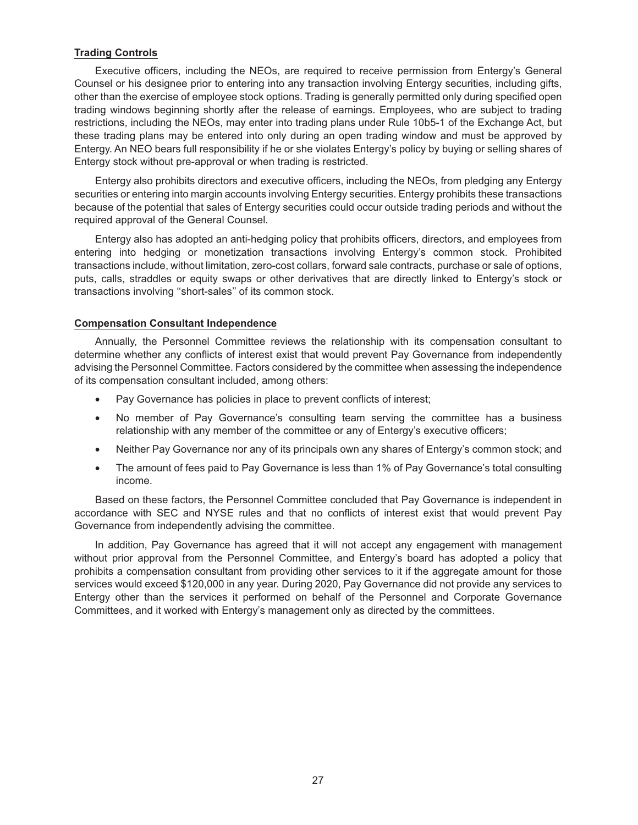## **Trading Controls**

Executive officers, including the NEOs, are required to receive permission from Entergy's General Counsel or his designee prior to entering into any transaction involving Entergy securities, including gifts, other than the exercise of employee stock options. Trading is generally permitted only during specified open trading windows beginning shortly after the release of earnings. Employees, who are subject to trading restrictions, including the NEOs, may enter into trading plans under Rule 10b5-1 of the Exchange Act, but these trading plans may be entered into only during an open trading window and must be approved by Entergy. An NEO bears full responsibility if he or she violates Entergy's policy by buying or selling shares of Entergy stock without pre-approval or when trading is restricted.

Entergy also prohibits directors and executive officers, including the NEOs, from pledging any Entergy securities or entering into margin accounts involving Entergy securities. Entergy prohibits these transactions because of the potential that sales of Entergy securities could occur outside trading periods and without the required approval of the General Counsel.

Entergy also has adopted an anti-hedging policy that prohibits officers, directors, and employees from entering into hedging or monetization transactions involving Entergy's common stock. Prohibited transactions include, without limitation, zero-cost collars, forward sale contracts, purchase or sale of options, puts, calls, straddles or equity swaps or other derivatives that are directly linked to Entergy's stock or transactions involving ''short-sales'' of its common stock.

## **Compensation Consultant Independence**

Annually, the Personnel Committee reviews the relationship with its compensation consultant to determine whether any conflicts of interest exist that would prevent Pay Governance from independently advising the Personnel Committee. Factors considered by the committee when assessing the independence of its compensation consultant included, among others:

- Pay Governance has policies in place to prevent conflicts of interest;
- No member of Pay Governance's consulting team serving the committee has a business relationship with any member of the committee or any of Entergy's executive officers;
- Neither Pay Governance nor any of its principals own any shares of Entergy's common stock; and
- The amount of fees paid to Pay Governance is less than 1% of Pay Governance's total consulting income.

Based on these factors, the Personnel Committee concluded that Pay Governance is independent in accordance with SEC and NYSE rules and that no conflicts of interest exist that would prevent Pay Governance from independently advising the committee.

In addition, Pay Governance has agreed that it will not accept any engagement with management without prior approval from the Personnel Committee, and Entergy's board has adopted a policy that prohibits a compensation consultant from providing other services to it if the aggregate amount for those services would exceed \$120,000 in any year. During 2020, Pay Governance did not provide any services to Entergy other than the services it performed on behalf of the Personnel and Corporate Governance Committees, and it worked with Entergy's management only as directed by the committees.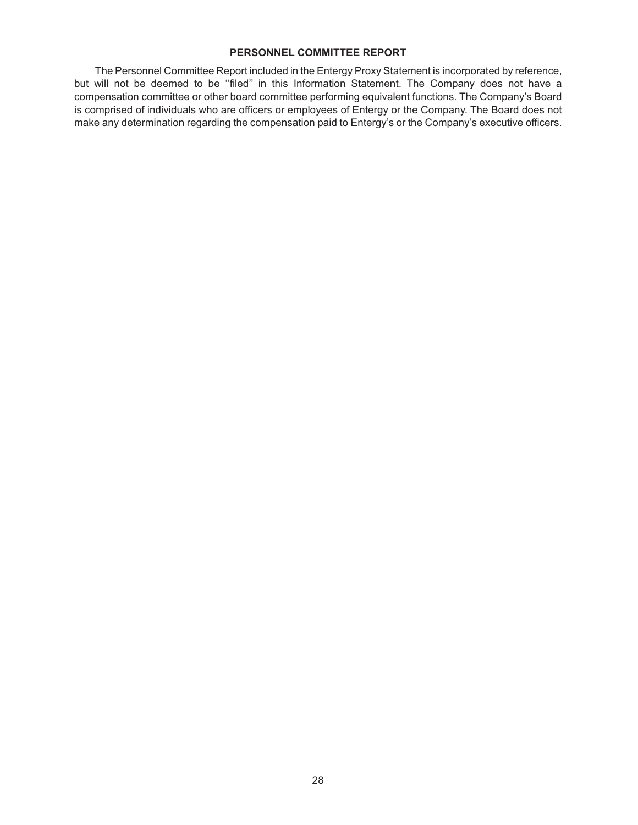## **PERSONNEL COMMITTEE REPORT**

The Personnel Committee Report included in the Entergy Proxy Statement is incorporated by reference, but will not be deemed to be "filed" in this Information Statement. The Company does not have a compensation committee or other board committee performing equivalent functions. The Company's Board is comprised of individuals who are officers or employees of Entergy or the Company. The Board does not make any determination regarding the compensation paid to Entergy's or the Company's executive officers.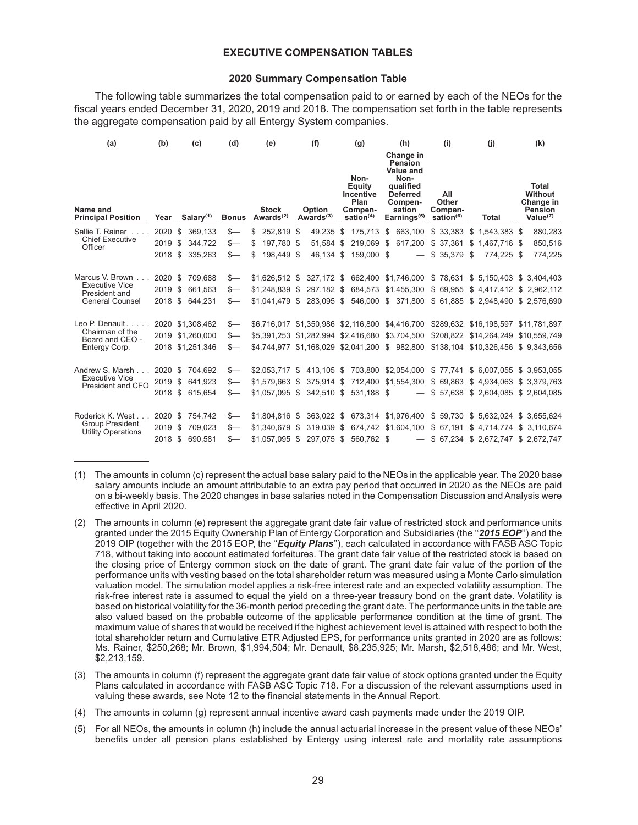#### **EXECUTIVE COMPENSATION TABLES**

#### **2020 Summary Compensation Table**

The following table summarizes the total compensation paid to or earned by each of the NEOs for the fiscal years ended December 31, 2020, 2019 and 2018. The compensation set forth in the table represents the aggregate compensation paid by all Entergy System companies.

| (a)                                                 | (b)     |      | (c)              | (d)          |    | (e)                                   |      | (f)                                            |     | (g)                                                                   |    | (h)                                                                                                                     | (i)                                              |    | (i)                                                                              | (k)                                                            |
|-----------------------------------------------------|---------|------|------------------|--------------|----|---------------------------------------|------|------------------------------------------------|-----|-----------------------------------------------------------------------|----|-------------------------------------------------------------------------------------------------------------------------|--------------------------------------------------|----|----------------------------------------------------------------------------------|----------------------------------------------------------------|
| Name and<br><b>Principal Position</b>               | Year    |      | Salary $(1)$     | <b>Bonus</b> |    | <b>Stock</b><br>Awards <sup>(2)</sup> |      | Option<br>Awards $(3)$                         |     | Non-<br>Equity<br><b>Incentive</b><br>Plan<br>Compen-<br>sation $(4)$ |    | Change in<br><b>Pension</b><br>Value and<br>Non-<br>qualified<br><b>Deferred</b><br>Compen-<br>sation<br>Earnings $(5)$ | All<br>Other<br>Compen-<br>sation <sup>(6)</sup> |    | Total                                                                            | Total<br>Without<br>Change in<br><b>Pension</b><br>Value $(7)$ |
| Sallie T. Rainer                                    | 2020    | \$   | 369,133          | \$—          | \$ | 252,819 \$                            |      | 49,235                                         | \$  |                                                                       |    | 175,713 \$ 663,100                                                                                                      | \$33,383                                         | \$ | 1,543,383 \$                                                                     | 880,283                                                        |
| <b>Chief Executive</b><br>Officer                   | 2019    | -S   | 344,722          | $s-$         | S  | 197.780 \$                            |      | 51,584                                         | \$. | 219.069                                                               | -S | 617,200                                                                                                                 | \$ 37.361                                        | S  | 1.467.716 \$                                                                     | 850,516                                                        |
|                                                     | 2018    | -S   | 335.263          | $s-$         | \$ | 198.449 \$                            |      | 46.134 \$                                      |     | 159,000 \$                                                            |    |                                                                                                                         | $$35,379$ \$                                     |    | 774.225 \$                                                                       | 774,225                                                        |
| Marcus V. Brown                                     | 2020 \$ |      | 709,688          | $s-$         |    | $$1,626,512$ \$                       |      |                                                |     |                                                                       |    |                                                                                                                         |                                                  |    | 327,172 \$ 662,400 \$1,746,000 \$ 78,631 \$ 5,150,403 \$ 3,404,403               |                                                                |
| <b>Executive Vice</b><br>President and              | 2019    | \$   | 661.563          | $s-$         |    | $$1,248,839$ \$                       |      | 297,182 \$                                     |     |                                                                       |    | 684,573 \$1,455,300                                                                                                     | \$ 69,955                                        |    | \$4,417,412 \$2,962,112                                                          |                                                                |
| <b>General Counsel</b>                              |         |      | 2018 \$ 644,231  | $s-$         |    |                                       |      |                                                |     |                                                                       |    |                                                                                                                         |                                                  |    | \$1,041,479 \$ 283,095 \$ 546,000 \$ 371,800 \$ 61,885 \$ 2,948,490 \$ 2,576,690 |                                                                |
| Leo P. Denault.                                     |         |      | 2020 \$1,308,462 | s—           |    |                                       |      |                                                |     |                                                                       |    | \$6,716,017 \$1,350,986 \$2,116,800 \$4,416,700                                                                         |                                                  |    | \$289,632 \$16,198,597 \$11,781,897                                              |                                                                |
| Chairman of the<br>Board and CEO -                  |         |      | 2019 \$1,260,000 | $s-$         |    |                                       |      | \$5.391.253 \$1.282.994                        |     | \$2,416,680 \$3,704,500                                               |    |                                                                                                                         |                                                  |    | \$208,822 \$14,264,249 \$10,559,749                                              |                                                                |
| Entergy Corp.                                       |         |      | 2018 \$1,251,346 | s—           |    |                                       |      | \$4,744,977 \$1,168,029 \$2,041,200 \$ 982,800 |     |                                                                       |    |                                                                                                                         |                                                  |    | \$138,104 \$10,326,456 \$9,343,656                                               |                                                                |
| Andrew S. Marsh                                     | 2020 \$ |      | 704,692          | s—           |    |                                       |      |                                                |     |                                                                       |    | \$2,053,717 \$ 413,105 \$ 703,800 \$2,054,000                                                                           | \$77,741                                         |    | \$ 6,007,055 \$ 3,953,055                                                        |                                                                |
| <b>Executive Vice</b><br>President and CFO          | 2019    | \$   | 641.923          | \$—          |    | $$1.579.663$ \$                       |      | 375.914 \$                                     |     |                                                                       |    | 712,400 \$1,554,300                                                                                                     | \$69.863                                         |    | \$4.934.063                                                                      | \$ 3.379.763                                                   |
|                                                     | 2018 \$ |      | 615.654          | \$—          |    |                                       |      | $$1.057.095$ \$ 342.510 \$                     |     | 531.188 \$                                                            |    | $\overline{\phantom{m}}$                                                                                                |                                                  |    | \$57.638 \$2.604.085 \$2.604.085                                                 |                                                                |
| Roderick K. West                                    | 2020 \$ |      | 754,742          | s—           |    | $$1,804,816$ \$                       |      | 363,022 \$                                     |     |                                                                       |    | 673,314 \$1,976,400                                                                                                     |                                                  |    | \$59,730 \$5,632,024 \$3,655,624                                                 |                                                                |
| <b>Group President</b><br><b>Utility Operations</b> | 2019    | \$   | 709.023          | \$—          |    | \$1.340.679                           | - \$ | 319.039 \$                                     |     |                                                                       |    | 674,742 \$1,604,100                                                                                                     | \$67,191                                         |    | \$4.714.774                                                                      | \$3.110.674                                                    |
|                                                     | 2018    | - \$ | 690,581          | $s-$         |    |                                       |      | \$1,057,095 \$ 297,075 \$ 560,762 \$           |     |                                                                       |    |                                                                                                                         |                                                  |    | $-$ \$ 67,234 \$ 2,672,747 \$ 2,672,747                                          |                                                                |

<sup>(1)</sup> The amounts in column (c) represent the actual base salary paid to the NEOs in the applicable year. The 2020 base salary amounts include an amount attributable to an extra pay period that occurred in 2020 as the NEOs are paid on a bi-weekly basis. The 2020 changes in base salaries noted in the Compensation Discussion and Analysis were effective in April 2020.

(3) The amounts in column (f) represent the aggregate grant date fair value of stock options granted under the Equity Plans calculated in accordance with FASB ASC Topic 718. For a discussion of the relevant assumptions used in valuing these awards, see Note 12 to the financial statements in the Annual Report.

(4) The amounts in column (g) represent annual incentive award cash payments made under the 2019 OIP.

(5) For all NEOs, the amounts in column (h) include the annual actuarial increase in the present value of these NEOs' benefits under all pension plans established by Entergy using interest rate and mortality rate assumptions

<sup>(2)</sup> The amounts in column (e) represent the aggregate grant date fair value of restricted stock and performance units granted under the 2015 Equity Ownership Plan of Entergy Corporation and Subsidiaries (the ''*2015 EOP*'') and the 2019 OIP (together with the 2015 EOP, the ''*Equity Plans*''), each calculated in accordance with FASB ASC Topic 718, without taking into account estimated forfeitures. The grant date fair value of the restricted stock is based on the closing price of Entergy common stock on the date of grant. The grant date fair value of the portion of the performance units with vesting based on the total shareholder return was measured using a Monte Carlo simulation valuation model. The simulation model applies a risk-free interest rate and an expected volatility assumption. The risk-free interest rate is assumed to equal the yield on a three-year treasury bond on the grant date. Volatility is based on historical volatility for the 36-month period preceding the grant date. The performance units in the table are also valued based on the probable outcome of the applicable performance condition at the time of grant. The maximum value of shares that would be received if the highest achievement level is attained with respect to both the total shareholder return and Cumulative ETR Adjusted EPS, for performance units granted in 2020 are as follows: Ms. Rainer, \$250,268; Mr. Brown, \$1,994,504; Mr. Denault, \$8,235,925; Mr. Marsh, \$2,518,486; and Mr. West, \$2,213,159.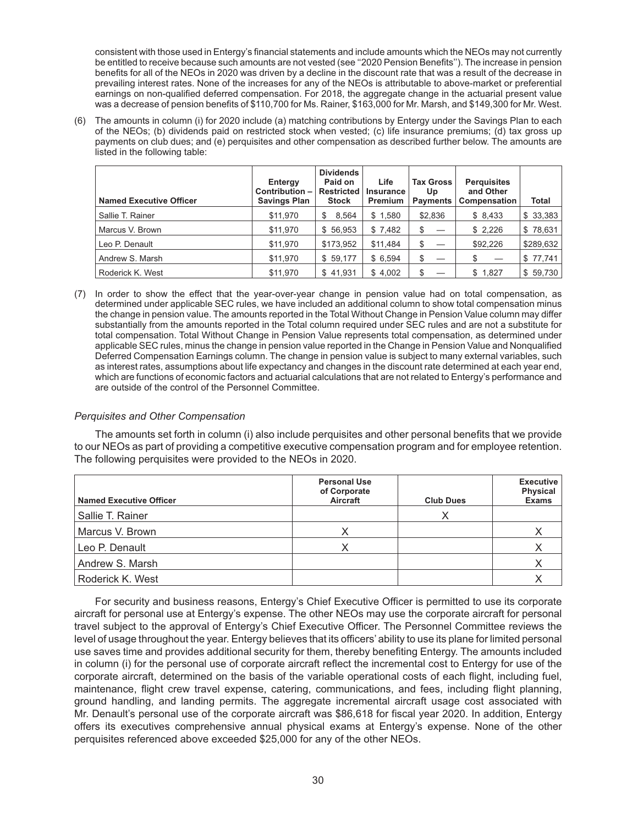consistent with those used in Entergy's financial statements and include amounts which the NEOs may not currently be entitled to receive because such amounts are not vested (see ''2020 Pension Benefits''). The increase in pension benefits for all of the NEOs in 2020 was driven by a decline in the discount rate that was a result of the decrease in prevailing interest rates. None of the increases for any of the NEOs is attributable to above-market or preferential earnings on non-qualified deferred compensation. For 2018, the aggregate change in the actuarial present value was a decrease of pension benefits of \$110,700 for Ms. Rainer, \$163,000 for Mr. Marsh, and \$149,300 for Mr. West.

(6) The amounts in column (i) for 2020 include (a) matching contributions by Entergy under the Savings Plan to each of the NEOs; (b) dividends paid on restricted stock when vested; (c) life insurance premiums; (d) tax gross up payments on club dues; and (e) perquisites and other compensation as described further below. The amounts are listed in the following table:

| <b>Named Executive Officer</b> | Entergy<br>Contribution $-$<br><b>Savings Plan</b> | <b>Dividends</b><br>Paid on<br>Restricted<br>Stock | Life<br>Insurance<br><b>Premium</b> | <b>Tax Gross</b><br>Up<br><b>Payments</b> | <b>Perquisites</b><br>and Other<br><b>Compensation</b> | <b>Total</b> |
|--------------------------------|----------------------------------------------------|----------------------------------------------------|-------------------------------------|-------------------------------------------|--------------------------------------------------------|--------------|
| Sallie T. Rainer               | \$11,970                                           | 8.564<br>S                                         | \$1,580                             | \$2,836                                   | \$8,433                                                | \$33,383     |
| Marcus V. Brown                | \$11,970                                           | \$56,953                                           | \$7,482                             | \$                                        | \$2,226                                                | \$78,631     |
| Leo P. Denault                 | \$11,970                                           | \$173,952                                          | \$11.484                            | \$                                        | \$92,226                                               | \$289,632    |
| Andrew S. Marsh                | \$11,970                                           | \$59,177                                           | \$6,594                             | \$                                        |                                                        | \$77,741     |
| Roderick K. West               | \$11.970                                           | \$41.931                                           | \$4.002                             | \$                                        | \$1,827                                                | \$59,730     |

(7) In order to show the effect that the year-over-year change in pension value had on total compensation, as determined under applicable SEC rules, we have included an additional column to show total compensation minus the change in pension value. The amounts reported in the Total Without Change in Pension Value column may differ substantially from the amounts reported in the Total column required under SEC rules and are not a substitute for total compensation. Total Without Change in Pension Value represents total compensation, as determined under applicable SEC rules, minus the change in pension value reported in the Change in Pension Value and Nonqualified Deferred Compensation Earnings column. The change in pension value is subject to many external variables, such as interest rates, assumptions about life expectancy and changes in the discount rate determined at each year end, which are functions of economic factors and actuarial calculations that are not related to Entergy's performance and are outside of the control of the Personnel Committee.

## *Perquisites and Other Compensation*

The amounts set forth in column (i) also include perquisites and other personal benefits that we provide to our NEOs as part of providing a competitive executive compensation program and for employee retention. The following perquisites were provided to the NEOs in 2020.

| <b>Named Executive Officer</b> | <b>Personal Use</b><br>of Corporate<br>Aircraft | <b>Club Dues</b> | <b>Executive</b><br><b>Physical</b><br><b>Exams</b> |
|--------------------------------|-------------------------------------------------|------------------|-----------------------------------------------------|
| Sallie T. Rainer               |                                                 |                  |                                                     |
| Marcus V. Brown                |                                                 |                  |                                                     |
| Leo P. Denault                 |                                                 |                  |                                                     |
| Andrew S. Marsh                |                                                 |                  |                                                     |
| Roderick K. West               |                                                 |                  |                                                     |

For security and business reasons, Entergy's Chief Executive Officer is permitted to use its corporate aircraft for personal use at Entergy's expense. The other NEOs may use the corporate aircraft for personal travel subject to the approval of Entergy's Chief Executive Officer. The Personnel Committee reviews the level of usage throughout the year. Entergy believes that its officers' ability to use its plane for limited personal use saves time and provides additional security for them, thereby benefiting Entergy. The amounts included in column (i) for the personal use of corporate aircraft reflect the incremental cost to Entergy for use of the corporate aircraft, determined on the basis of the variable operational costs of each flight, including fuel, maintenance, flight crew travel expense, catering, communications, and fees, including flight planning, ground handling, and landing permits. The aggregate incremental aircraft usage cost associated with Mr. Denault's personal use of the corporate aircraft was \$86,618 for fiscal year 2020. In addition, Entergy offers its executives comprehensive annual physical exams at Entergy's expense. None of the other perquisites referenced above exceeded \$25,000 for any of the other NEOs.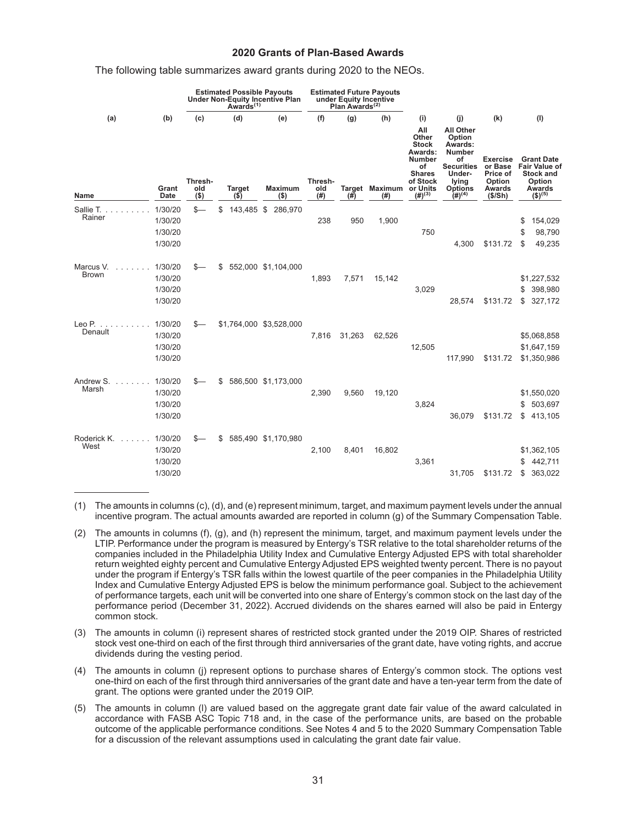#### **2020 Grants of Plan-Based Awards**

#### The following table summarizes award grants during 2020 to the NEOs.

|                           |                                          | <b>Estimated Possible Payouts</b><br>Under Non-Equity Incentive Plan<br>Awards <sup>(1)</sup> |                                 |            |                           | under Equity Incentive<br>Plan Awards <sup>(2)</sup> | <b>Estimated Future Payouts</b> |                                               |                                                                                                                            |                                                                                                                                              |                                                                      |                                                                                                                    |                                           |
|---------------------------|------------------------------------------|-----------------------------------------------------------------------------------------------|---------------------------------|------------|---------------------------|------------------------------------------------------|---------------------------------|-----------------------------------------------|----------------------------------------------------------------------------------------------------------------------------|----------------------------------------------------------------------------------------------------------------------------------------------|----------------------------------------------------------------------|--------------------------------------------------------------------------------------------------------------------|-------------------------------------------|
| (a)<br>Name               | (b)<br>Grant<br>Date                     | (c)<br>Thresh-<br>old<br>$($ \$)                                                              | (d)<br><b>Target</b><br>$($ \$) |            | (e)<br>Maximum<br>$($ \$) | (f)<br>Thresh-<br>old<br>(# )                        | (g)<br>(#)                      | (h)<br><b>Target Maximum or Units</b><br>(# ) | (i)<br>All<br>Other<br><b>Stock</b><br>Awards:<br><b>Number</b><br>of<br><b>Shares</b><br>of Stock<br>$(4)$ <sup>(3)</sup> | (i)<br><b>All Other</b><br>Option<br>Awards:<br><b>Number</b><br>of<br><b>Securities</b><br>Under-<br>lying<br><b>Options</b><br>$(H)^{(4)}$ | (k)<br>Exercise<br>or Base<br>Price of<br>Option<br>Awards<br>(S/Sh) | (1)<br><b>Grant Date</b><br><b>Fair Value of</b><br><b>Stock and</b><br>Option<br>Awards<br>$($ \$) <sup>(5)</sup> |                                           |
| Sallie T.<br>Rainer       | 1/30/20<br>1/30/20<br>1/30/20<br>1/30/20 | $S-$                                                                                          | \$                              | 143,485 \$ | 286,970                   | 238                                                  | 950                             | 1,900                                         | 750                                                                                                                        | 4,300                                                                                                                                        | \$131.72                                                             | \$<br>\$<br>S                                                                                                      | 154,029<br>98,790<br>49,235               |
| Marcus V.<br><b>Brown</b> | 1/30/20<br>1/30/20<br>1/30/20<br>1/30/20 |                                                                                               | \$                              |            | 552,000 \$1,104,000       | 1,893                                                | 7,571                           | 15,142                                        | 3,029                                                                                                                      | 28,574                                                                                                                                       | \$131.72                                                             | S<br>\$                                                                                                            | \$1,227,532<br>398,980<br>327,172         |
| Leo P<br>Denault          | 1/30/20<br>1/30/20<br>1/30/20<br>1/30/20 |                                                                                               |                                 |            | \$1,764,000 \$3,528,000   | 7.816                                                | 31,263                          | 62,526                                        | 12,505                                                                                                                     | 117,990                                                                                                                                      | \$131.72                                                             |                                                                                                                    | \$5,068,858<br>\$1,647,159<br>\$1,350,986 |
| Andrew S.<br>Marsh        | 1/30/20<br>1/30/20<br>1/30/20<br>1/30/20 | \$–                                                                                           | \$                              |            | 586,500 \$1,173,000       | 2,390                                                | 9,560                           | 19,120                                        | 3.824                                                                                                                      | 36.079                                                                                                                                       | \$131.72                                                             | \$<br>\$                                                                                                           | \$1,550,020<br>503,697<br>413,105         |
| Roderick K.<br>West       | 1/30/20<br>1/30/20<br>1/30/20<br>1/30/20 |                                                                                               | S                               |            | 585,490 \$1,170,980       | 2,100                                                | 8,401                           | 16,802                                        | 3,361                                                                                                                      | 31,705                                                                                                                                       | \$131.72                                                             | S<br>\$                                                                                                            | \$1,362,105<br>442,711<br>363,022         |

(1) The amounts in columns (c), (d), and (e) represent minimum, target, and maximum payment levels under the annual incentive program. The actual amounts awarded are reported in column (g) of the Summary Compensation Table.

- (3) The amounts in column (i) represent shares of restricted stock granted under the 2019 OIP. Shares of restricted stock vest one-third on each of the first through third anniversaries of the grant date, have voting rights, and accrue dividends during the vesting period.
- (4) The amounts in column (j) represent options to purchase shares of Entergy's common stock. The options vest one-third on each of the first through third anniversaries of the grant date and have a ten-year term from the date of grant. The options were granted under the 2019 OIP.
- (5) The amounts in column (l) are valued based on the aggregate grant date fair value of the award calculated in accordance with FASB ASC Topic 718 and, in the case of the performance units, are based on the probable outcome of the applicable performance conditions. See Notes 4 and 5 to the 2020 Summary Compensation Table for a discussion of the relevant assumptions used in calculating the grant date fair value.

<sup>(2)</sup> The amounts in columns (f), (g), and (h) represent the minimum, target, and maximum payment levels under the LTIP. Performance under the program is measured by Entergy's TSR relative to the total shareholder returns of the companies included in the Philadelphia Utility Index and Cumulative Entergy Adjusted EPS with total shareholder return weighted eighty percent and Cumulative Entergy Adjusted EPS weighted twenty percent. There is no payout under the program if Entergy's TSR falls within the lowest quartile of the peer companies in the Philadelphia Utility Index and Cumulative Entergy Adjusted EPS is below the minimum performance goal. Subject to the achievement of performance targets, each unit will be converted into one share of Entergy's common stock on the last day of the performance period (December 31, 2022). Accrued dividends on the shares earned will also be paid in Entergy common stock.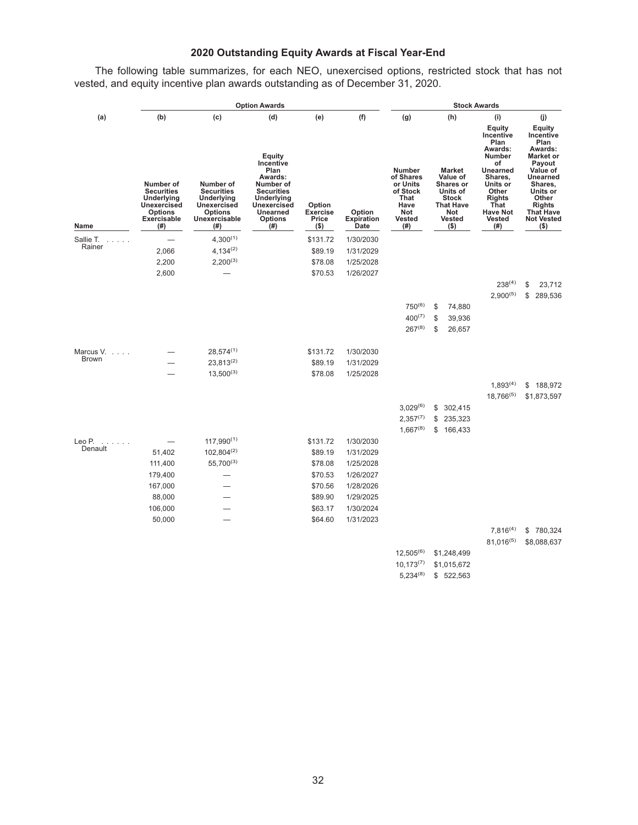# **2020 Outstanding Equity Awards at Fiscal Year-End**

The following table summarizes, for each NEO, unexercised options, restricted stock that has not vested, and equity incentive plan awards outstanding as of December 31, 2020.

|                   |                                                                                                                    | <b>Option Awards</b>                                                                                         | <b>Stock Awards</b>                                                                                                                                       |                                        |                                     |                                                                                            |    |                                                                                                                    |                                                                                                                                                                                |    |                                                                                                                                                                                                          |
|-------------------|--------------------------------------------------------------------------------------------------------------------|--------------------------------------------------------------------------------------------------------------|-----------------------------------------------------------------------------------------------------------------------------------------------------------|----------------------------------------|-------------------------------------|--------------------------------------------------------------------------------------------|----|--------------------------------------------------------------------------------------------------------------------|--------------------------------------------------------------------------------------------------------------------------------------------------------------------------------|----|----------------------------------------------------------------------------------------------------------------------------------------------------------------------------------------------------------|
| (a)               | (b)                                                                                                                | (c)                                                                                                          | (d)                                                                                                                                                       | (e)                                    | (f)                                 | (g)                                                                                        |    | (h)                                                                                                                | (i)                                                                                                                                                                            |    | (j)                                                                                                                                                                                                      |
| Name              | Number of<br><b>Securities</b><br>Underlying<br><b>Unexercised</b><br><b>Options</b><br><b>Exercisable</b><br>(# ) | Number of<br><b>Securities</b><br>Underlying<br><b>Unexercised</b><br><b>Options</b><br>Unexercisable<br>(#) | Equity<br>Incentive<br>Plan<br>Awards:<br>Number of<br><b>Securities</b><br>Underlying<br><b>Unexercised</b><br><b>Unearned</b><br><b>Options</b><br>(# ) | Option<br>Exercise<br>Price<br>$($ \$) | Option<br><b>Expiration</b><br>Date | <b>Number</b><br>of Shares<br>or Units<br>of Stock<br>That<br>Have<br>Not<br>Vested<br>(#) |    | <b>Market</b><br>Value of<br>Shares or<br>Units of<br><b>Stock</b><br>That Have<br>Not<br><b>Vested</b><br>$($ \$) | Equity<br>Incentive<br>Plan<br>Awards:<br>Number<br>of<br><b>Unearned</b><br>Shares,<br>Units or<br>Other<br><b>Rights</b><br>That<br><b>Have Not</b><br><b>Vested</b><br>(# ) |    | <b>Equity</b><br>Incentive<br>Plan<br>Awards:<br><b>Market or</b><br>Payout<br>Value of<br><b>Unearned</b><br>Shares,<br>Units or<br>Other<br><b>Rights</b><br>That Have<br><b>Not Vested</b><br>$($ \$) |
| Sallie T.         |                                                                                                                    | $4,300^{(1)}$                                                                                                |                                                                                                                                                           | \$131.72                               | 1/30/2030                           |                                                                                            |    |                                                                                                                    |                                                                                                                                                                                |    |                                                                                                                                                                                                          |
| Rainer            | 2,066                                                                                                              | $4,134^{(2)}$                                                                                                |                                                                                                                                                           | \$89.19                                | 1/31/2029                           |                                                                                            |    |                                                                                                                    |                                                                                                                                                                                |    |                                                                                                                                                                                                          |
|                   | 2,200                                                                                                              | $2,200^{(3)}$                                                                                                |                                                                                                                                                           | \$78.08                                | 1/25/2028                           |                                                                                            |    |                                                                                                                    |                                                                                                                                                                                |    |                                                                                                                                                                                                          |
|                   | 2,600                                                                                                              |                                                                                                              |                                                                                                                                                           | \$70.53                                | 1/26/2027                           |                                                                                            |    |                                                                                                                    |                                                                                                                                                                                |    |                                                                                                                                                                                                          |
|                   |                                                                                                                    |                                                                                                              |                                                                                                                                                           |                                        |                                     |                                                                                            |    |                                                                                                                    | $238^{(4)}$                                                                                                                                                                    | \$ | 23,712                                                                                                                                                                                                   |
|                   |                                                                                                                    |                                                                                                              |                                                                                                                                                           |                                        |                                     |                                                                                            |    |                                                                                                                    | $2,900^{(5)}$                                                                                                                                                                  | \$ | 289,536                                                                                                                                                                                                  |
|                   |                                                                                                                    |                                                                                                              |                                                                                                                                                           |                                        |                                     | $750^{(6)}$                                                                                | \$ | 74,880                                                                                                             |                                                                                                                                                                                |    |                                                                                                                                                                                                          |
|                   |                                                                                                                    |                                                                                                              |                                                                                                                                                           |                                        |                                     | $400^{(7)}$                                                                                | \$ | 39,936                                                                                                             |                                                                                                                                                                                |    |                                                                                                                                                                                                          |
|                   |                                                                                                                    |                                                                                                              |                                                                                                                                                           |                                        |                                     | $267^{(8)}$                                                                                | \$ | 26,657                                                                                                             |                                                                                                                                                                                |    |                                                                                                                                                                                                          |
| Marcus V.         |                                                                                                                    | $28,574^{(1)}$                                                                                               |                                                                                                                                                           | \$131.72                               | 1/30/2030                           |                                                                                            |    |                                                                                                                    |                                                                                                                                                                                |    |                                                                                                                                                                                                          |
| Brown             |                                                                                                                    | $23,813^{(2)}$                                                                                               |                                                                                                                                                           | \$89.19                                | 1/31/2029                           |                                                                                            |    |                                                                                                                    |                                                                                                                                                                                |    |                                                                                                                                                                                                          |
|                   |                                                                                                                    | $13,500^{(3)}$                                                                                               |                                                                                                                                                           | \$78.08                                | 1/25/2028                           |                                                                                            |    |                                                                                                                    |                                                                                                                                                                                |    |                                                                                                                                                                                                          |
|                   |                                                                                                                    |                                                                                                              |                                                                                                                                                           |                                        |                                     |                                                                                            |    |                                                                                                                    | $1,893^{(4)}$                                                                                                                                                                  | \$ | 188,972                                                                                                                                                                                                  |
|                   |                                                                                                                    |                                                                                                              |                                                                                                                                                           |                                        |                                     |                                                                                            |    |                                                                                                                    | $18,766^{(5)}$                                                                                                                                                                 |    | \$1,873,597                                                                                                                                                                                              |
|                   |                                                                                                                    |                                                                                                              |                                                                                                                                                           |                                        |                                     | $3,029^{(6)}$                                                                              | \$ | 302,415                                                                                                            |                                                                                                                                                                                |    |                                                                                                                                                                                                          |
|                   |                                                                                                                    |                                                                                                              |                                                                                                                                                           |                                        |                                     | $2,357^{(7)}$                                                                              | \$ | 235,323                                                                                                            |                                                                                                                                                                                |    |                                                                                                                                                                                                          |
|                   |                                                                                                                    |                                                                                                              |                                                                                                                                                           |                                        |                                     | $1,667^{(8)}$                                                                              | \$ | 166,433                                                                                                            |                                                                                                                                                                                |    |                                                                                                                                                                                                          |
| Leo P.<br>Denault |                                                                                                                    | $117,990^{(1)}$                                                                                              |                                                                                                                                                           | \$131.72                               | 1/30/2030                           |                                                                                            |    |                                                                                                                    |                                                                                                                                                                                |    |                                                                                                                                                                                                          |
|                   | 51,402                                                                                                             | $102,804^{(2)}$                                                                                              |                                                                                                                                                           | \$89.19                                | 1/31/2029                           |                                                                                            |    |                                                                                                                    |                                                                                                                                                                                |    |                                                                                                                                                                                                          |
|                   | 111,400                                                                                                            | $55,700^{(3)}$                                                                                               |                                                                                                                                                           | \$78.08                                | 1/25/2028                           |                                                                                            |    |                                                                                                                    |                                                                                                                                                                                |    |                                                                                                                                                                                                          |
|                   | 179,400                                                                                                            |                                                                                                              |                                                                                                                                                           | \$70.53                                | 1/26/2027                           |                                                                                            |    |                                                                                                                    |                                                                                                                                                                                |    |                                                                                                                                                                                                          |
|                   | 167,000                                                                                                            |                                                                                                              |                                                                                                                                                           | \$70.56                                | 1/28/2026                           |                                                                                            |    |                                                                                                                    |                                                                                                                                                                                |    |                                                                                                                                                                                                          |
|                   | 88,000                                                                                                             |                                                                                                              |                                                                                                                                                           | \$89.90                                | 1/29/2025                           |                                                                                            |    |                                                                                                                    |                                                                                                                                                                                |    |                                                                                                                                                                                                          |
|                   | 106,000                                                                                                            |                                                                                                              |                                                                                                                                                           | \$63.17                                | 1/30/2024<br>1/31/2023              |                                                                                            |    |                                                                                                                    |                                                                                                                                                                                |    |                                                                                                                                                                                                          |
|                   | 50,000                                                                                                             |                                                                                                              |                                                                                                                                                           | \$64.60                                |                                     |                                                                                            |    |                                                                                                                    | $7,816^{(4)}$                                                                                                                                                                  |    | \$780,324                                                                                                                                                                                                |
|                   |                                                                                                                    |                                                                                                              |                                                                                                                                                           |                                        |                                     |                                                                                            |    |                                                                                                                    | $81,016^{(5)}$                                                                                                                                                                 |    | \$8,088,637                                                                                                                                                                                              |
|                   |                                                                                                                    |                                                                                                              |                                                                                                                                                           |                                        |                                     | $12,505^{(6)}$                                                                             |    | \$1,248,499                                                                                                        |                                                                                                                                                                                |    |                                                                                                                                                                                                          |
|                   |                                                                                                                    |                                                                                                              |                                                                                                                                                           |                                        |                                     | $10,173^{(7)}$                                                                             |    | \$1,015,672                                                                                                        |                                                                                                                                                                                |    |                                                                                                                                                                                                          |
|                   |                                                                                                                    |                                                                                                              |                                                                                                                                                           |                                        |                                     | $5,234^{(8)}$                                                                              |    | \$522,563                                                                                                          |                                                                                                                                                                                |    |                                                                                                                                                                                                          |
|                   |                                                                                                                    |                                                                                                              |                                                                                                                                                           |                                        |                                     |                                                                                            |    |                                                                                                                    |                                                                                                                                                                                |    |                                                                                                                                                                                                          |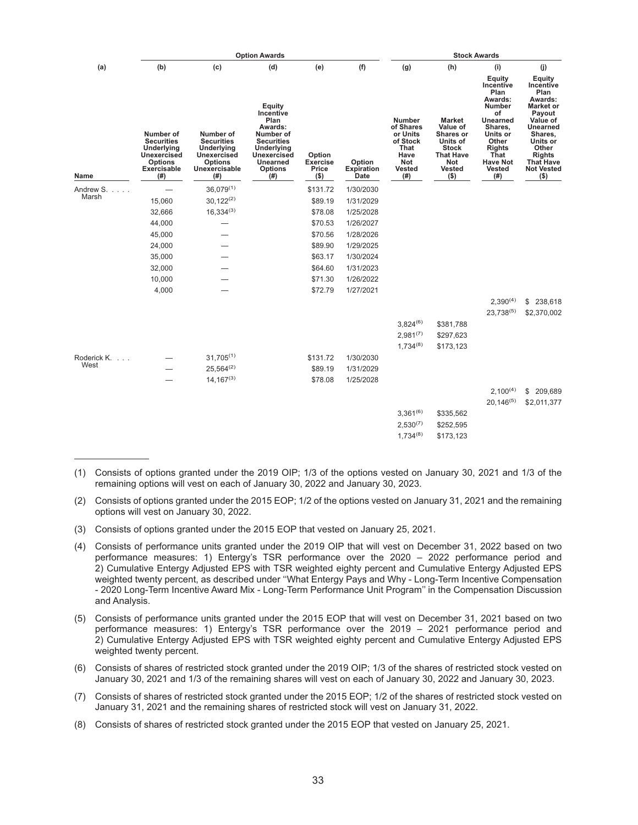|                                             | <b>Option Awards</b>                                                                                        |                                                                                                               |                                                                                                                                                    |                                               |                              |                                                                                             | <b>Stock Awards</b>                                                                                                              |                                                                                                                                                                                       |                                                                                                                                                                                                          |  |  |  |  |
|---------------------------------------------|-------------------------------------------------------------------------------------------------------------|---------------------------------------------------------------------------------------------------------------|----------------------------------------------------------------------------------------------------------------------------------------------------|-----------------------------------------------|------------------------------|---------------------------------------------------------------------------------------------|----------------------------------------------------------------------------------------------------------------------------------|---------------------------------------------------------------------------------------------------------------------------------------------------------------------------------------|----------------------------------------------------------------------------------------------------------------------------------------------------------------------------------------------------------|--|--|--|--|
| (a)                                         | (b)                                                                                                         | (c)                                                                                                           | (d)                                                                                                                                                | (e)                                           | (f)                          | (g)                                                                                         | (h)                                                                                                                              | (i)                                                                                                                                                                                   | (i)                                                                                                                                                                                                      |  |  |  |  |
| Name                                        | Number of<br><b>Securities</b><br>Underlying<br>Unexercised<br><b>Options</b><br><b>Exercisable</b><br>(# ) | Number of<br><b>Securities</b><br>Underlying<br><b>Unexercised</b><br><b>Options</b><br>Unexercisable<br>(# ) | Equity<br>Incentive<br>Plan<br>Awards:<br>Number of<br><b>Securities</b><br>Underlying<br><b>Unexercised</b><br>Unearned<br><b>Options</b><br>(# ) | Option<br><b>Exercise</b><br>Price<br>$($ \$) | Option<br>Expiration<br>Date | <b>Number</b><br>of Shares<br>or Units<br>of Stock<br>That<br>Have<br>Not<br>Vested<br>(# ) | <b>Market</b><br>Value of<br><b>Shares or</b><br>Units of<br><b>Stock</b><br><b>That Have</b><br>Not<br><b>Vested</b><br>$($ \$) | Equity<br>Incentive<br>Plan<br>Awards:<br><b>Number</b><br>of<br><b>Unearned</b><br>Shares,<br>Units or<br>Other<br><b>Rights</b><br>That<br><b>Have Not</b><br><b>Vested</b><br>(# ) | Equity<br>Incentive<br>Plan<br>Awards:<br><b>Market or</b><br>Payout<br>Value of<br><b>Unearned</b><br>Shares,<br>Units or<br>Other<br><b>Rights</b><br><b>That Have</b><br><b>Not Vested</b><br>$($ \$) |  |  |  |  |
| Andrew S                                    |                                                                                                             | $36,079^{(1)}$                                                                                                |                                                                                                                                                    | \$131.72                                      | 1/30/2030                    |                                                                                             |                                                                                                                                  |                                                                                                                                                                                       |                                                                                                                                                                                                          |  |  |  |  |
| Marsh                                       | 15,060                                                                                                      | $30,122^{(2)}$                                                                                                |                                                                                                                                                    | \$89.19                                       | 1/31/2029                    |                                                                                             |                                                                                                                                  |                                                                                                                                                                                       |                                                                                                                                                                                                          |  |  |  |  |
|                                             | 32,666                                                                                                      | $16,334^{(3)}$                                                                                                |                                                                                                                                                    | \$78.08                                       | 1/25/2028                    |                                                                                             |                                                                                                                                  |                                                                                                                                                                                       |                                                                                                                                                                                                          |  |  |  |  |
|                                             | 44,000                                                                                                      |                                                                                                               |                                                                                                                                                    | \$70.53                                       | 1/26/2027                    |                                                                                             |                                                                                                                                  |                                                                                                                                                                                       |                                                                                                                                                                                                          |  |  |  |  |
|                                             | 45,000                                                                                                      |                                                                                                               |                                                                                                                                                    | \$70.56                                       | 1/28/2026                    |                                                                                             |                                                                                                                                  |                                                                                                                                                                                       |                                                                                                                                                                                                          |  |  |  |  |
|                                             | 24,000                                                                                                      |                                                                                                               |                                                                                                                                                    | \$89.90                                       | 1/29/2025                    |                                                                                             |                                                                                                                                  |                                                                                                                                                                                       |                                                                                                                                                                                                          |  |  |  |  |
|                                             | 35,000                                                                                                      |                                                                                                               |                                                                                                                                                    | \$63.17                                       | 1/30/2024                    |                                                                                             |                                                                                                                                  |                                                                                                                                                                                       |                                                                                                                                                                                                          |  |  |  |  |
|                                             | 32,000                                                                                                      |                                                                                                               |                                                                                                                                                    | \$64.60                                       | 1/31/2023                    |                                                                                             |                                                                                                                                  |                                                                                                                                                                                       |                                                                                                                                                                                                          |  |  |  |  |
|                                             | 10,000                                                                                                      |                                                                                                               |                                                                                                                                                    | \$71.30                                       | 1/26/2022                    |                                                                                             |                                                                                                                                  |                                                                                                                                                                                       |                                                                                                                                                                                                          |  |  |  |  |
|                                             | 4,000                                                                                                       |                                                                                                               |                                                                                                                                                    | \$72.79                                       | 1/27/2021                    |                                                                                             |                                                                                                                                  |                                                                                                                                                                                       |                                                                                                                                                                                                          |  |  |  |  |
|                                             |                                                                                                             |                                                                                                               |                                                                                                                                                    |                                               |                              |                                                                                             |                                                                                                                                  | $2,390^{(4)}$                                                                                                                                                                         | \$238,618                                                                                                                                                                                                |  |  |  |  |
|                                             |                                                                                                             |                                                                                                               |                                                                                                                                                    |                                               |                              |                                                                                             |                                                                                                                                  | 23,738(5)                                                                                                                                                                             | \$2,370,002                                                                                                                                                                                              |  |  |  |  |
|                                             |                                                                                                             |                                                                                                               |                                                                                                                                                    |                                               |                              | $3,824^{(6)}$                                                                               | \$381,788                                                                                                                        |                                                                                                                                                                                       |                                                                                                                                                                                                          |  |  |  |  |
|                                             |                                                                                                             |                                                                                                               |                                                                                                                                                    |                                               |                              | $2,981^{(7)}$                                                                               | \$297,623                                                                                                                        |                                                                                                                                                                                       |                                                                                                                                                                                                          |  |  |  |  |
|                                             |                                                                                                             |                                                                                                               |                                                                                                                                                    |                                               |                              | $1,734^{(8)}$                                                                               | \$173,123                                                                                                                        |                                                                                                                                                                                       |                                                                                                                                                                                                          |  |  |  |  |
| Roderick K.<br>$\sim$ $\sim$ $\sim$<br>West |                                                                                                             | $31,705^{(1)}$                                                                                                |                                                                                                                                                    | \$131.72                                      | 1/30/2030                    |                                                                                             |                                                                                                                                  |                                                                                                                                                                                       |                                                                                                                                                                                                          |  |  |  |  |
|                                             |                                                                                                             | $25,564^{(2)}$                                                                                                |                                                                                                                                                    | \$89.19                                       | 1/31/2029                    |                                                                                             |                                                                                                                                  |                                                                                                                                                                                       |                                                                                                                                                                                                          |  |  |  |  |
|                                             |                                                                                                             | $14,167^{(3)}$                                                                                                |                                                                                                                                                    | \$78.08                                       | 1/25/2028                    |                                                                                             |                                                                                                                                  |                                                                                                                                                                                       |                                                                                                                                                                                                          |  |  |  |  |
|                                             |                                                                                                             |                                                                                                               |                                                                                                                                                    |                                               |                              |                                                                                             |                                                                                                                                  | $2,100^{(4)}$                                                                                                                                                                         | \$ 209,689                                                                                                                                                                                               |  |  |  |  |
|                                             |                                                                                                             |                                                                                                               |                                                                                                                                                    |                                               |                              |                                                                                             |                                                                                                                                  | $20,146^{(5)}$                                                                                                                                                                        | \$2,011,377                                                                                                                                                                                              |  |  |  |  |
|                                             |                                                                                                             |                                                                                                               |                                                                                                                                                    |                                               |                              | $3,361^{(6)}$                                                                               | \$335,562                                                                                                                        |                                                                                                                                                                                       |                                                                                                                                                                                                          |  |  |  |  |
|                                             |                                                                                                             |                                                                                                               |                                                                                                                                                    |                                               |                              | $2,530^{(7)}$                                                                               | \$252,595                                                                                                                        |                                                                                                                                                                                       |                                                                                                                                                                                                          |  |  |  |  |
|                                             |                                                                                                             |                                                                                                               |                                                                                                                                                    |                                               |                              | $1,734^{(8)}$                                                                               | \$173,123                                                                                                                        |                                                                                                                                                                                       |                                                                                                                                                                                                          |  |  |  |  |

<sup>(1)</sup> Consists of options granted under the 2019 OIP; 1/3 of the options vested on January 30, 2021 and 1/3 of the remaining options will vest on each of January 30, 2022 and January 30, 2023.

- (3) Consists of options granted under the 2015 EOP that vested on January 25, 2021.
- (4) Consists of performance units granted under the 2019 OIP that will vest on December 31, 2022 based on two performance measures: 1) Entergy's TSR performance over the 2020 – 2022 performance period and 2) Cumulative Entergy Adjusted EPS with TSR weighted eighty percent and Cumulative Entergy Adjusted EPS weighted twenty percent, as described under ''What Entergy Pays and Why - Long-Term Incentive Compensation - 2020 Long-Term Incentive Award Mix - Long-Term Performance Unit Program'' in the Compensation Discussion and Analysis.
- (5) Consists of performance units granted under the 2015 EOP that will vest on December 31, 2021 based on two performance measures: 1) Entergy's TSR performance over the 2019 – 2021 performance period and 2) Cumulative Entergy Adjusted EPS with TSR weighted eighty percent and Cumulative Entergy Adjusted EPS weighted twenty percent.
- (6) Consists of shares of restricted stock granted under the 2019 OIP; 1/3 of the shares of restricted stock vested on January 30, 2021 and 1/3 of the remaining shares will vest on each of January 30, 2022 and January 30, 2023.
- (7) Consists of shares of restricted stock granted under the 2015 EOP; 1/2 of the shares of restricted stock vested on January 31, 2021 and the remaining shares of restricted stock will vest on January 31, 2022.
- (8) Consists of shares of restricted stock granted under the 2015 EOP that vested on January 25, 2021.

<sup>(2)</sup> Consists of options granted under the 2015 EOP; 1/2 of the options vested on January 31, 2021 and the remaining options will vest on January 30, 2022.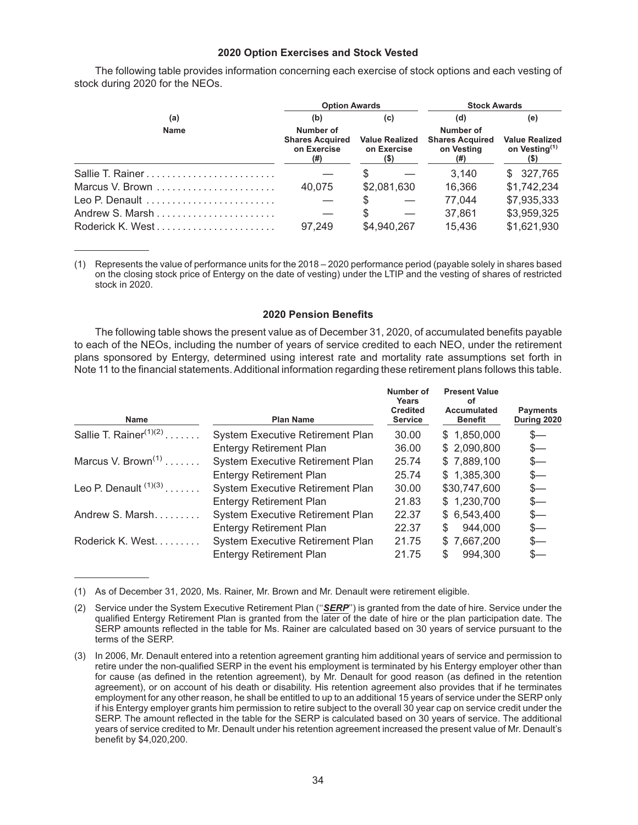#### **2020 Option Exercises and Stock Vested**

The following table provides information concerning each exercise of stock options and each vesting of stock during 2020 for the NEOs.

|                                                                  | <b>Option Awards</b>                                      |                                              | <b>Stock Awards</b>                                      |                                                           |  |  |
|------------------------------------------------------------------|-----------------------------------------------------------|----------------------------------------------|----------------------------------------------------------|-----------------------------------------------------------|--|--|
| (a)                                                              | (b)                                                       | (c)                                          | (d)                                                      | (e)                                                       |  |  |
| <b>Name</b>                                                      | Number of<br><b>Shares Acquired</b><br>on Exercise<br>(#) | <b>Value Realized</b><br>on Exercise<br>(\$) | Number of<br><b>Shares Acquired</b><br>on Vesting<br>(#) | <b>Value Realized</b><br>on Vesting <sup>(1)</sup><br>(5) |  |  |
|                                                                  |                                                           |                                              | 3.140                                                    | \$327,765                                                 |  |  |
| Marcus V. Brown $\ldots, \ldots, \ldots, \ldots, \ldots, \ldots$ | 40.075                                                    | \$2,081,630                                  | 16.366                                                   | \$1,742,234                                               |  |  |
| Leo P. Denault                                                   |                                                           |                                              | 77.044                                                   | \$7,935,333                                               |  |  |
|                                                                  |                                                           |                                              | 37.861                                                   | \$3,959,325                                               |  |  |
|                                                                  | 97.249                                                    | \$4,940,267                                  | 15,436                                                   | \$1,621,930                                               |  |  |

(1) Represents the value of performance units for the 2018 – 2020 performance period (payable solely in shares based on the closing stock price of Entergy on the date of vesting) under the LTIP and the vesting of shares of restricted stock in 2020.

#### **2020 Pension Benefits**

The following table shows the present value as of December 31, 2020, of accumulated benefits payable to each of the NEOs, including the number of years of service credited to each NEO, under the retirement plans sponsored by Entergy, determined using interest rate and mortality rate assumptions set forth in Note 11 to the financial statements. Additional information regarding these retirement plans follows this table.

| Number of<br>Years<br><b>Credited</b><br><b>Service</b>                                                                                                    | <b>Present Value</b><br>οt<br><b>Accumulated</b><br><b>Benefit</b> | <b>Payments</b><br>During 2020 |
|------------------------------------------------------------------------------------------------------------------------------------------------------------|--------------------------------------------------------------------|--------------------------------|
| 30.00                                                                                                                                                      | \$1,850,000                                                        | \$—                            |
| 36.00                                                                                                                                                      | \$2,090,800                                                        | \$—                            |
| 25.74                                                                                                                                                      | \$7,889,100                                                        | \$—                            |
| 25.74                                                                                                                                                      | \$1,385,300                                                        | \$—                            |
| 30.00                                                                                                                                                      | \$30,747,600                                                       | \$—                            |
| 21.83                                                                                                                                                      | \$1,230,700                                                        | s—                             |
| 22.37                                                                                                                                                      | \$6,543,400                                                        | \$—                            |
| 22.37                                                                                                                                                      | 944.000<br>S                                                       | s—                             |
| 21.75                                                                                                                                                      | \$7,667,200                                                        | s—                             |
| 21.75                                                                                                                                                      | 994,300                                                            |                                |
| <b>System Executive Retirement Plan</b><br>System Executive Retirement Plan<br>System Executive Retirement Plan<br><b>System Executive Retirement Plan</b> |                                                                    |                                |

(1) As of December 31, 2020, Ms. Rainer, Mr. Brown and Mr. Denault were retirement eligible.

<sup>(2)</sup> Service under the System Executive Retirement Plan (''*SERP*'') is granted from the date of hire. Service under the qualified Entergy Retirement Plan is granted from the later of the date of hire or the plan participation date. The SERP amounts reflected in the table for Ms. Rainer are calculated based on 30 years of service pursuant to the terms of the SERP.

<sup>(3)</sup> In 2006, Mr. Denault entered into a retention agreement granting him additional years of service and permission to retire under the non-qualified SERP in the event his employment is terminated by his Entergy employer other than for cause (as defined in the retention agreement), by Mr. Denault for good reason (as defined in the retention agreement), or on account of his death or disability. His retention agreement also provides that if he terminates employment for any other reason, he shall be entitled to up to an additional 15 years of service under the SERP only if his Entergy employer grants him permission to retire subject to the overall 30 year cap on service credit under the SERP. The amount reflected in the table for the SERP is calculated based on 30 years of service. The additional years of service credited to Mr. Denault under his retention agreement increased the present value of Mr. Denault's benefit by \$4,020,200.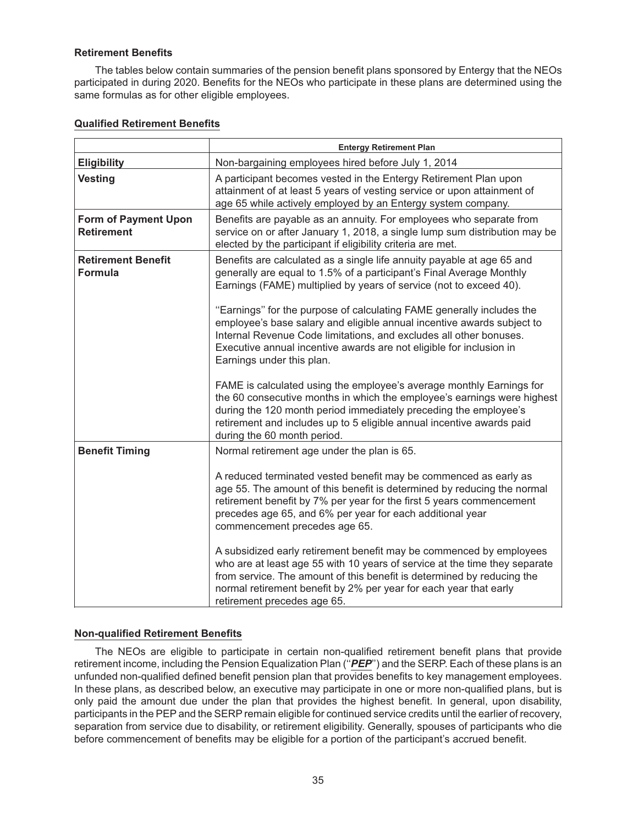## **Retirement Benefits**

The tables below contain summaries of the pension benefit plans sponsored by Entergy that the NEOs participated in during 2020. Benefits for the NEOs who participate in these plans are determined using the same formulas as for other eligible employees.

|                                                  | <b>Entergy Retirement Plan</b>                                                                                                                                                                                                                                                                                                  |
|--------------------------------------------------|---------------------------------------------------------------------------------------------------------------------------------------------------------------------------------------------------------------------------------------------------------------------------------------------------------------------------------|
| <b>Eligibility</b>                               | Non-bargaining employees hired before July 1, 2014                                                                                                                                                                                                                                                                              |
| <b>Vesting</b>                                   | A participant becomes vested in the Entergy Retirement Plan upon<br>attainment of at least 5 years of vesting service or upon attainment of<br>age 65 while actively employed by an Entergy system company.                                                                                                                     |
| <b>Form of Payment Upon</b><br><b>Retirement</b> | Benefits are payable as an annuity. For employees who separate from<br>service on or after January 1, 2018, a single lump sum distribution may be<br>elected by the participant if eligibility criteria are met.                                                                                                                |
| <b>Retirement Benefit</b><br><b>Formula</b>      | Benefits are calculated as a single life annuity payable at age 65 and<br>generally are equal to 1.5% of a participant's Final Average Monthly<br>Earnings (FAME) multiplied by years of service (not to exceed 40).                                                                                                            |
|                                                  | "Earnings" for the purpose of calculating FAME generally includes the<br>employee's base salary and eligible annual incentive awards subject to<br>Internal Revenue Code limitations, and excludes all other bonuses.<br>Executive annual incentive awards are not eligible for inclusion in<br>Earnings under this plan.       |
|                                                  | FAME is calculated using the employee's average monthly Earnings for<br>the 60 consecutive months in which the employee's earnings were highest<br>during the 120 month period immediately preceding the employee's<br>retirement and includes up to 5 eligible annual incentive awards paid<br>during the 60 month period.     |
| <b>Benefit Timing</b>                            | Normal retirement age under the plan is 65.                                                                                                                                                                                                                                                                                     |
|                                                  | A reduced terminated vested benefit may be commenced as early as<br>age 55. The amount of this benefit is determined by reducing the normal<br>retirement benefit by 7% per year for the first 5 years commencement<br>precedes age 65, and 6% per year for each additional year<br>commencement precedes age 65.               |
|                                                  | A subsidized early retirement benefit may be commenced by employees<br>who are at least age 55 with 10 years of service at the time they separate<br>from service. The amount of this benefit is determined by reducing the<br>normal retirement benefit by 2% per year for each year that early<br>retirement precedes age 65. |

## **Qualified Retirement Benefits**

## **Non-qualified Retirement Benefits**

The NEOs are eligible to participate in certain non-qualified retirement benefit plans that provide retirement income, including the Pension Equalization Plan (''*PEP*'') and the SERP. Each of these plans is an unfunded non-qualified defined benefit pension plan that provides benefits to key management employees. In these plans, as described below, an executive may participate in one or more non-qualified plans, but is only paid the amount due under the plan that provides the highest benefit. In general, upon disability, participants in the PEP and the SERP remain eligible for continued service credits until the earlier of recovery, separation from service due to disability, or retirement eligibility. Generally, spouses of participants who die before commencement of benefits may be eligible for a portion of the participant's accrued benefit.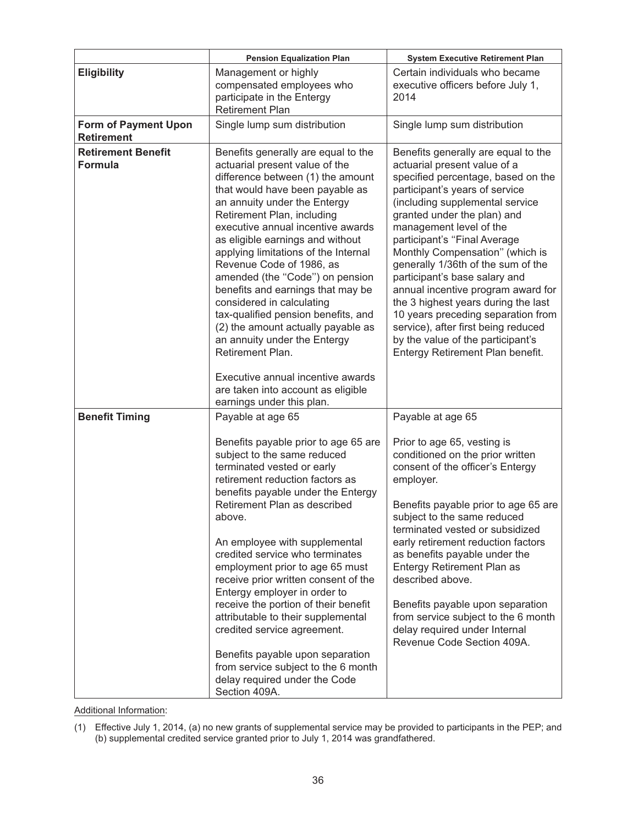| <b>Eligibility</b>                               | Management or highly                                                                                                                                                                                                                                                                                                                                                                                                                                                                                                                                                                                                                                                                                   |                                                                                                                                                                                                                                                                                                                                                                                                                                                                                                                                                                                                                       |
|--------------------------------------------------|--------------------------------------------------------------------------------------------------------------------------------------------------------------------------------------------------------------------------------------------------------------------------------------------------------------------------------------------------------------------------------------------------------------------------------------------------------------------------------------------------------------------------------------------------------------------------------------------------------------------------------------------------------------------------------------------------------|-----------------------------------------------------------------------------------------------------------------------------------------------------------------------------------------------------------------------------------------------------------------------------------------------------------------------------------------------------------------------------------------------------------------------------------------------------------------------------------------------------------------------------------------------------------------------------------------------------------------------|
|                                                  | compensated employees who<br>participate in the Entergy<br><b>Retirement Plan</b>                                                                                                                                                                                                                                                                                                                                                                                                                                                                                                                                                                                                                      | Certain individuals who became<br>executive officers before July 1,<br>2014                                                                                                                                                                                                                                                                                                                                                                                                                                                                                                                                           |
| <b>Form of Payment Upon</b><br><b>Retirement</b> | Single lump sum distribution                                                                                                                                                                                                                                                                                                                                                                                                                                                                                                                                                                                                                                                                           | Single lump sum distribution                                                                                                                                                                                                                                                                                                                                                                                                                                                                                                                                                                                          |
| <b>Retirement Benefit</b><br><b>Formula</b>      | Benefits generally are equal to the<br>actuarial present value of the<br>difference between (1) the amount<br>that would have been payable as<br>an annuity under the Entergy<br>Retirement Plan, including<br>executive annual incentive awards<br>as eligible earnings and without<br>applying limitations of the Internal<br>Revenue Code of 1986, as<br>amended (the "Code") on pension<br>benefits and earnings that may be<br>considered in calculating<br>tax-qualified pension benefits, and<br>(2) the amount actually payable as<br>an annuity under the Entergy<br>Retirement Plan.<br>Executive annual incentive awards<br>are taken into account as eligible<br>earnings under this plan. | Benefits generally are equal to the<br>actuarial present value of a<br>specified percentage, based on the<br>participant's years of service<br>(including supplemental service<br>granted under the plan) and<br>management level of the<br>participant's "Final Average<br>Monthly Compensation" (which is<br>generally 1/36th of the sum of the<br>participant's base salary and<br>annual incentive program award for<br>the 3 highest years during the last<br>10 years preceding separation from<br>service), after first being reduced<br>by the value of the participant's<br>Entergy Retirement Plan benefit. |
| <b>Benefit Timing</b>                            | Payable at age 65<br>Benefits payable prior to age 65 are<br>subject to the same reduced<br>terminated vested or early<br>retirement reduction factors as<br>benefits payable under the Entergy<br>Retirement Plan as described<br>above.<br>An employee with supplemental<br>credited service who terminates<br>employment prior to age 65 must<br>receive prior written consent of the<br>Entergy employer in order to<br>receive the portion of their benefit<br>attributable to their supplemental<br>credited service agreement.<br>Benefits payable upon separation<br>from service subject to the 6 month<br>delay required under the Code                                                      | Payable at age 65<br>Prior to age 65, vesting is<br>conditioned on the prior written<br>consent of the officer's Entergy<br>employer.<br>Benefits payable prior to age 65 are<br>subject to the same reduced<br>terminated vested or subsidized<br>early retirement reduction factors<br>as benefits payable under the<br>Entergy Retirement Plan as<br>described above.<br>Benefits payable upon separation<br>from service subject to the 6 month<br>delay required under Internal<br>Revenue Code Section 409A.                                                                                                    |

Additional Information:

<sup>(1)</sup> Effective July 1, 2014, (a) no new grants of supplemental service may be provided to participants in the PEP; and (b) supplemental credited service granted prior to July 1, 2014 was grandfathered.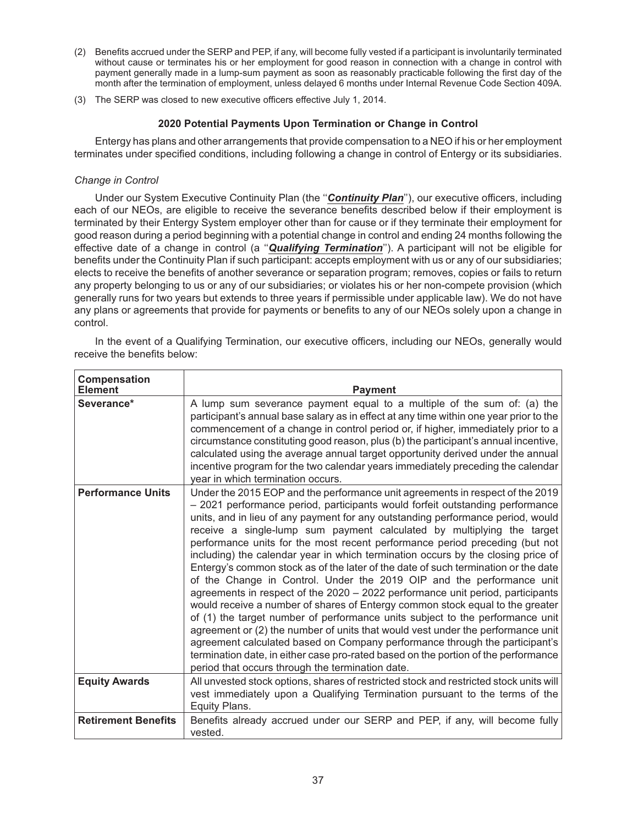- (2) Benefits accrued under the SERP and PEP, if any, will become fully vested if a participant is involuntarily terminated without cause or terminates his or her employment for good reason in connection with a change in control with payment generally made in a lump-sum payment as soon as reasonably practicable following the first day of the month after the termination of employment, unless delayed 6 months under Internal Revenue Code Section 409A.
- (3) The SERP was closed to new executive officers effective July 1, 2014.

## **2020 Potential Payments Upon Termination or Change in Control**

Entergy has plans and other arrangements that provide compensation to a NEO if his or her employment terminates under specified conditions, including following a change in control of Entergy or its subsidiaries.

## *Change in Control*

Under our System Executive Continuity Plan (the ''*Continuity Plan*''), our executive officers, including each of our NEOs, are eligible to receive the severance benefits described below if their employment is terminated by their Entergy System employer other than for cause or if they terminate their employment for good reason during a period beginning with a potential change in control and ending 24 months following the effective date of a change in control (a ''*Qualifying Termination*''). A participant will not be eligible for benefits under the Continuity Plan if such participant: accepts employment with us or any of our subsidiaries; elects to receive the benefits of another severance or separation program; removes, copies or fails to return any property belonging to us or any of our subsidiaries; or violates his or her non-compete provision (which generally runs for two years but extends to three years if permissible under applicable law). We do not have any plans or agreements that provide for payments or benefits to any of our NEOs solely upon a change in control.

In the event of a Qualifying Termination, our executive officers, including our NEOs, generally would receive the benefits below:

| Compensation<br><b>Element</b> | <b>Payment</b>                                                                                                                                                                                                                                                                                                                                                                                                                                                                                                                                                                                                                                                                                                                                                                                                                                                                                                                                                                                                                                                                                                                                                                                                                |
|--------------------------------|-------------------------------------------------------------------------------------------------------------------------------------------------------------------------------------------------------------------------------------------------------------------------------------------------------------------------------------------------------------------------------------------------------------------------------------------------------------------------------------------------------------------------------------------------------------------------------------------------------------------------------------------------------------------------------------------------------------------------------------------------------------------------------------------------------------------------------------------------------------------------------------------------------------------------------------------------------------------------------------------------------------------------------------------------------------------------------------------------------------------------------------------------------------------------------------------------------------------------------|
| Severance*                     | A lump sum severance payment equal to a multiple of the sum of: (a) the<br>participant's annual base salary as in effect at any time within one year prior to the<br>commencement of a change in control period or, if higher, immediately prior to a<br>circumstance constituting good reason, plus (b) the participant's annual incentive,<br>calculated using the average annual target opportunity derived under the annual<br>incentive program for the two calendar years immediately preceding the calendar<br>year in which termination occurs.                                                                                                                                                                                                                                                                                                                                                                                                                                                                                                                                                                                                                                                                       |
| <b>Performance Units</b>       | Under the 2015 EOP and the performance unit agreements in respect of the 2019<br>- 2021 performance period, participants would forfeit outstanding performance<br>units, and in lieu of any payment for any outstanding performance period, would<br>receive a single-lump sum payment calculated by multiplying the target<br>performance units for the most recent performance period preceding (but not<br>including) the calendar year in which termination occurs by the closing price of<br>Entergy's common stock as of the later of the date of such termination or the date<br>of the Change in Control. Under the 2019 OIP and the performance unit<br>agreements in respect of the 2020 - 2022 performance unit period, participants<br>would receive a number of shares of Entergy common stock equal to the greater<br>of (1) the target number of performance units subject to the performance unit<br>agreement or (2) the number of units that would vest under the performance unit<br>agreement calculated based on Company performance through the participant's<br>termination date, in either case pro-rated based on the portion of the performance<br>period that occurs through the termination date. |
| <b>Equity Awards</b>           | All unvested stock options, shares of restricted stock and restricted stock units will<br>vest immediately upon a Qualifying Termination pursuant to the terms of the<br>Equity Plans.                                                                                                                                                                                                                                                                                                                                                                                                                                                                                                                                                                                                                                                                                                                                                                                                                                                                                                                                                                                                                                        |
| <b>Retirement Benefits</b>     | Benefits already accrued under our SERP and PEP, if any, will become fully<br>vested.                                                                                                                                                                                                                                                                                                                                                                                                                                                                                                                                                                                                                                                                                                                                                                                                                                                                                                                                                                                                                                                                                                                                         |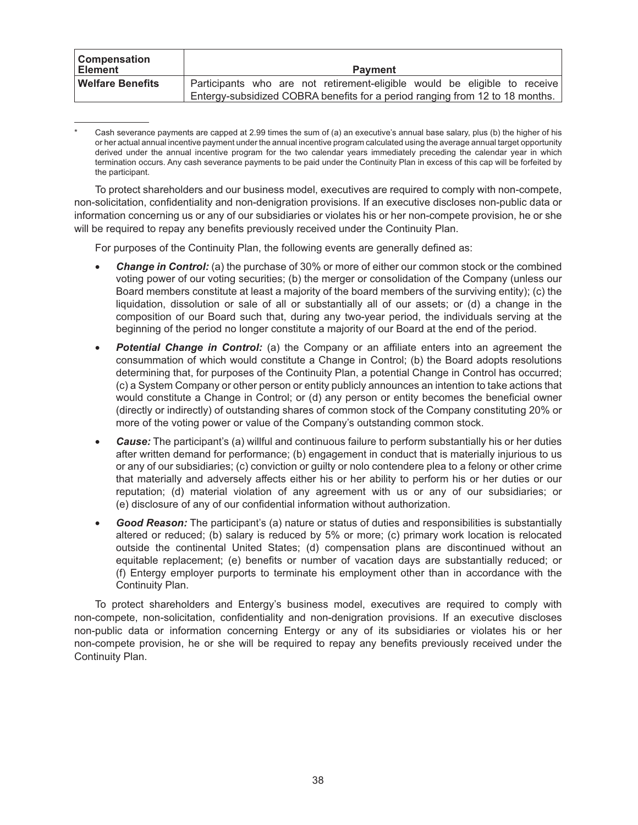| <b>Compensation</b><br>∣ Element | <b>Payment</b>                                                               |
|----------------------------------|------------------------------------------------------------------------------|
| Welfare Benefits                 | Participants who are not retirement-eligible would be eligible to receive    |
|                                  | Entergy-subsidized COBRA benefits for a period ranging from 12 to 18 months. |

Cash severance payments are capped at 2.99 times the sum of (a) an executive's annual base salary, plus (b) the higher of his or her actual annual incentive payment under the annual incentive program calculated using the average annual target opportunity derived under the annual incentive program for the two calendar years immediately preceding the calendar year in which termination occurs. Any cash severance payments to be paid under the Continuity Plan in excess of this cap will be forfeited by the participant.

To protect shareholders and our business model, executives are required to comply with non-compete, non-solicitation, confidentiality and non-denigration provisions. If an executive discloses non-public data or information concerning us or any of our subsidiaries or violates his or her non-compete provision, he or she will be required to repay any benefits previously received under the Continuity Plan.

For purposes of the Continuity Plan, the following events are generally defined as:

- *Change in Control:* (a) the purchase of 30% or more of either our common stock or the combined voting power of our voting securities; (b) the merger or consolidation of the Company (unless our Board members constitute at least a majority of the board members of the surviving entity); (c) the liquidation, dissolution or sale of all or substantially all of our assets; or (d) a change in the composition of our Board such that, during any two-year period, the individuals serving at the beginning of the period no longer constitute a majority of our Board at the end of the period.
- *Potential Change in Control:* (a) the Company or an affiliate enters into an agreement the consummation of which would constitute a Change in Control; (b) the Board adopts resolutions determining that, for purposes of the Continuity Plan, a potential Change in Control has occurred; (c) a System Company or other person or entity publicly announces an intention to take actions that would constitute a Change in Control; or (d) any person or entity becomes the beneficial owner (directly or indirectly) of outstanding shares of common stock of the Company constituting 20% or more of the voting power or value of the Company's outstanding common stock.
- *Cause:* The participant's (a) willful and continuous failure to perform substantially his or her duties after written demand for performance; (b) engagement in conduct that is materially injurious to us or any of our subsidiaries; (c) conviction or guilty or nolo contendere plea to a felony or other crime that materially and adversely affects either his or her ability to perform his or her duties or our reputation; (d) material violation of any agreement with us or any of our subsidiaries; or (e) disclosure of any of our confidential information without authorization.
- *Good Reason:* The participant's (a) nature or status of duties and responsibilities is substantially altered or reduced; (b) salary is reduced by 5% or more; (c) primary work location is relocated outside the continental United States; (d) compensation plans are discontinued without an equitable replacement; (e) benefits or number of vacation days are substantially reduced; or (f) Entergy employer purports to terminate his employment other than in accordance with the Continuity Plan.

To protect shareholders and Entergy's business model, executives are required to comply with non-compete, non-solicitation, confidentiality and non-denigration provisions. If an executive discloses non-public data or information concerning Entergy or any of its subsidiaries or violates his or her non-compete provision, he or she will be required to repay any benefits previously received under the Continuity Plan.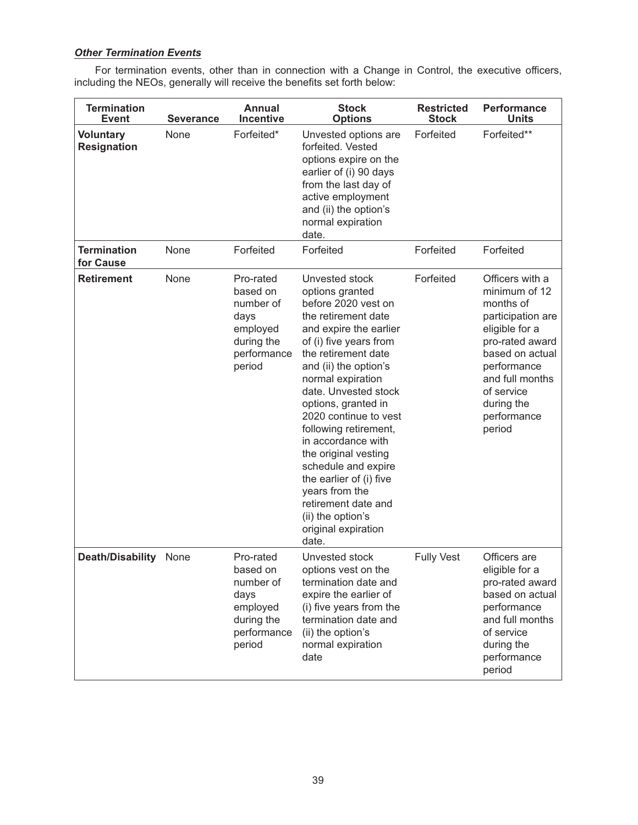# *Other Termination Events*

For termination events, other than in connection with a Change in Control, the executive officers, including the NEOs, generally will receive the benefits set forth below:

| <b>Termination</b><br><b>Event</b>     | <b>Severance</b> | <b>Annual</b><br><b>Incentive</b>                                                             | <b>Stock</b><br><b>Options</b>                                                                                                                                                                                                                                                                                                                                                                                                                                                                          | <b>Restricted</b><br><b>Stock</b> | <b>Performance</b><br><b>Units</b>                                                                                                                                                                                |
|----------------------------------------|------------------|-----------------------------------------------------------------------------------------------|---------------------------------------------------------------------------------------------------------------------------------------------------------------------------------------------------------------------------------------------------------------------------------------------------------------------------------------------------------------------------------------------------------------------------------------------------------------------------------------------------------|-----------------------------------|-------------------------------------------------------------------------------------------------------------------------------------------------------------------------------------------------------------------|
| <b>Voluntary</b><br><b>Resignation</b> | None             | Forfeited*                                                                                    | Unvested options are<br>forfeited. Vested<br>options expire on the<br>earlier of (i) 90 days<br>from the last day of<br>active employment<br>and (ii) the option's<br>normal expiration<br>date.                                                                                                                                                                                                                                                                                                        | Forfeited                         | Forfeited**                                                                                                                                                                                                       |
| <b>Termination</b><br>for Cause        | None             | Forfeited                                                                                     | Forfeited                                                                                                                                                                                                                                                                                                                                                                                                                                                                                               | Forfeited                         | Forfeited                                                                                                                                                                                                         |
| <b>Retirement</b>                      | None             | Pro-rated<br>based on<br>number of<br>days<br>employed<br>during the<br>performance<br>period | Unvested stock<br>options granted<br>before 2020 vest on<br>the retirement date<br>and expire the earlier<br>of (i) five years from<br>the retirement date<br>and (ii) the option's<br>normal expiration<br>date. Unvested stock<br>options, granted in<br>2020 continue to vest<br>following retirement,<br>in accordance with<br>the original vesting<br>schedule and expire<br>the earlier of (i) five<br>years from the<br>retirement date and<br>(ii) the option's<br>original expiration<br>date. | Forfeited                         | Officers with a<br>minimum of 12<br>months of<br>participation are<br>eligible for a<br>pro-rated award<br>based on actual<br>performance<br>and full months<br>of service<br>during the<br>performance<br>period |
| Death/Disability None                  |                  | Pro-rated<br>based on<br>number of<br>days<br>employed<br>during the<br>performance<br>period | Unvested stock<br>options vest on the<br>termination date and<br>expire the earlier of<br>(i) five years from the<br>termination date and<br>(ii) the option's<br>normal expiration<br>date                                                                                                                                                                                                                                                                                                             | <b>Fully Vest</b>                 | Officers are<br>eligible for a<br>pro-rated award<br>based on actual<br>performance<br>and full months<br>of service<br>during the<br>performance<br>period                                                       |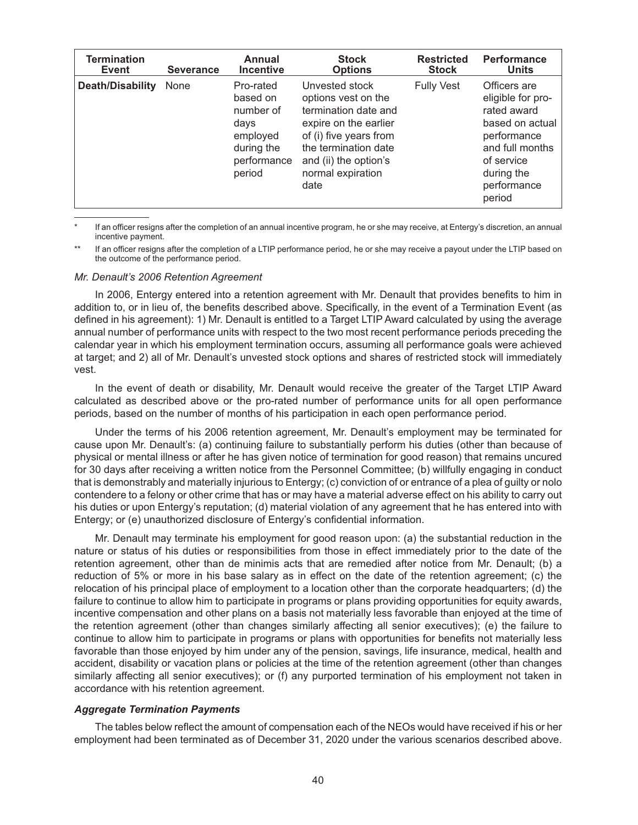| <b>Termination</b>      | <b>Severance</b> | Annual                                                                                        | <b>Stock</b>                                                                                                                                                                                   | <b>Restricted</b> | <b>Performance</b>                                                                                                                                         |
|-------------------------|------------------|-----------------------------------------------------------------------------------------------|------------------------------------------------------------------------------------------------------------------------------------------------------------------------------------------------|-------------------|------------------------------------------------------------------------------------------------------------------------------------------------------------|
| <b>Event</b>            |                  | <b>Incentive</b>                                                                              | <b>Options</b>                                                                                                                                                                                 | <b>Stock</b>      | <b>Units</b>                                                                                                                                               |
| <b>Death/Disability</b> | None             | Pro-rated<br>based on<br>number of<br>days<br>employed<br>during the<br>performance<br>period | Unvested stock<br>options vest on the<br>termination date and<br>expire on the earlier<br>of (i) five years from<br>the termination date<br>and (ii) the option's<br>normal expiration<br>date | <b>Fully Vest</b> | Officers are<br>eligible for pro-<br>rated award<br>based on actual<br>performance<br>and full months<br>of service<br>during the<br>performance<br>period |

If an officer resigns after the completion of an annual incentive program, he or she may receive, at Entergy's discretion, an annual incentive payment.

If an officer resigns after the completion of a LTIP performance period, he or she may receive a payout under the LTIP based on the outcome of the performance period.

#### *Mr. Denault's 2006 Retention Agreement*

In 2006, Entergy entered into a retention agreement with Mr. Denault that provides benefits to him in addition to, or in lieu of, the benefits described above. Specifically, in the event of a Termination Event (as defined in his agreement): 1) Mr. Denault is entitled to a Target LTIP Award calculated by using the average annual number of performance units with respect to the two most recent performance periods preceding the calendar year in which his employment termination occurs, assuming all performance goals were achieved at target; and 2) all of Mr. Denault's unvested stock options and shares of restricted stock will immediately vest.

In the event of death or disability, Mr. Denault would receive the greater of the Target LTIP Award calculated as described above or the pro-rated number of performance units for all open performance periods, based on the number of months of his participation in each open performance period.

Under the terms of his 2006 retention agreement, Mr. Denault's employment may be terminated for cause upon Mr. Denault's: (a) continuing failure to substantially perform his duties (other than because of physical or mental illness or after he has given notice of termination for good reason) that remains uncured for 30 days after receiving a written notice from the Personnel Committee; (b) willfully engaging in conduct that is demonstrably and materially injurious to Entergy; (c) conviction of or entrance of a plea of guilty or nolo contendere to a felony or other crime that has or may have a material adverse effect on his ability to carry out his duties or upon Entergy's reputation; (d) material violation of any agreement that he has entered into with Entergy; or (e) unauthorized disclosure of Entergy's confidential information.

Mr. Denault may terminate his employment for good reason upon: (a) the substantial reduction in the nature or status of his duties or responsibilities from those in effect immediately prior to the date of the retention agreement, other than de minimis acts that are remedied after notice from Mr. Denault; (b) a reduction of 5% or more in his base salary as in effect on the date of the retention agreement; (c) the relocation of his principal place of employment to a location other than the corporate headquarters; (d) the failure to continue to allow him to participate in programs or plans providing opportunities for equity awards, incentive compensation and other plans on a basis not materially less favorable than enjoyed at the time of the retention agreement (other than changes similarly affecting all senior executives); (e) the failure to continue to allow him to participate in programs or plans with opportunities for benefits not materially less favorable than those enjoyed by him under any of the pension, savings, life insurance, medical, health and accident, disability or vacation plans or policies at the time of the retention agreement (other than changes similarly affecting all senior executives); or (f) any purported termination of his employment not taken in accordance with his retention agreement.

#### *Aggregate Termination Payments*

The tables below reflect the amount of compensation each of the NEOs would have received if his or her employment had been terminated as of December 31, 2020 under the various scenarios described above.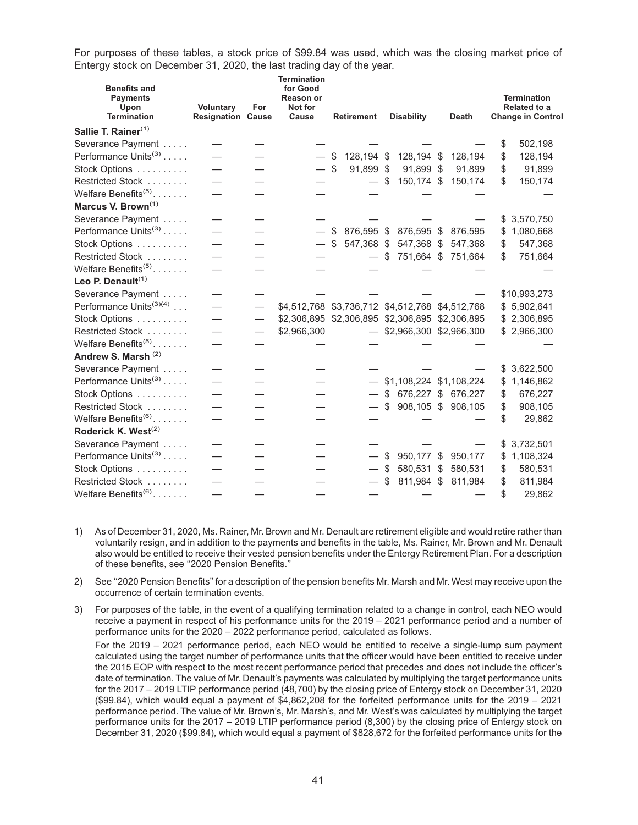For purposes of these tables, a stock price of \$99.84 was used, which was the closing market price of Entergy stock on December 31, 2020, the last trading day of the year.

| <b>Benefits and</b><br><b>Payments</b><br>Upon<br><b>Termination</b> | <b>Voluntary</b><br>Resignation | For<br>Cause             | Termination<br>for Good<br><b>Reason or</b><br>Not for<br>Cause | <b>Retirement</b> |      | <b>Disability</b>           | <b>Death</b>       |    | Termination<br>Related to a<br><b>Change in Control</b> |
|----------------------------------------------------------------------|---------------------------------|--------------------------|-----------------------------------------------------------------|-------------------|------|-----------------------------|--------------------|----|---------------------------------------------------------|
| Sallie T. Rainer <sup>(1)</sup>                                      |                                 |                          |                                                                 |                   |      |                             |                    |    |                                                         |
| Severance Payment                                                    |                                 |                          |                                                                 |                   |      |                             |                    | \$ | 502,198                                                 |
| Performance Units <sup>(3)</sup>                                     |                                 |                          |                                                                 | \$<br>128,194 \$  |      | 128,194 \$                  | 128,194            | \$ | 128,194                                                 |
| Stock Options                                                        | $\overline{\phantom{0}}$        |                          | $-$ \$                                                          | 91,899 \$         |      | 91,899 \$                   | 91,899             | \$ | 91,899                                                  |
| Restricted Stock                                                     |                                 |                          |                                                                 |                   | \$   | 150,174 \$                  | 150,174            | \$ | 150,174                                                 |
| Welfare Benefits $(5)$                                               |                                 |                          |                                                                 |                   |      |                             |                    |    |                                                         |
| Marcus V. Brown <sup>(1)</sup>                                       |                                 |                          |                                                                 |                   |      |                             |                    |    |                                                         |
| Severance Payment                                                    |                                 |                          |                                                                 |                   |      |                             |                    | S. | 3,570,750                                               |
| Performance Units <sup>(3)</sup>                                     |                                 |                          |                                                                 | \$<br>876,595 \$  |      | 876,595 \$                  | 876,595            | \$ | 1,080,668                                               |
| Stock Options                                                        | $\overline{\phantom{0}}$        |                          |                                                                 | \$<br>547,368 \$  |      | 547,368 \$                  | 547,368            | \$ | 547,368                                                 |
| Restricted Stock                                                     |                                 |                          |                                                                 | $-$ \$            |      | 751,664 \$                  | 751,664            | \$ | 751,664                                                 |
| Welfare Benefits <sup>(5)</sup>                                      |                                 |                          |                                                                 |                   |      |                             |                    |    |                                                         |
| Leo P. Denault $(1)$                                                 |                                 |                          |                                                                 |                   |      |                             |                    |    |                                                         |
| Severance Payment                                                    |                                 |                          |                                                                 |                   |      |                             |                    |    | \$10,993,273                                            |
| Performance Units <sup>(3)(4)</sup>                                  | $\overline{\phantom{0}}$        |                          | \$4,512,768 \$3,736,712 \$4,512,768 \$4,512,768                 |                   |      |                             |                    | \$ | 5,902,641                                               |
| Stock Options                                                        |                                 |                          | \$2,306,895 \$2,306,895 \$2,306,895 \$2,306,895                 |                   |      |                             |                    |    | \$2,306,895                                             |
| Restricted Stock                                                     |                                 | $\overline{\phantom{0}}$ | \$2,966,300                                                     |                   |      | $-$ \$2,966,300 \$2,966,300 |                    |    | \$2,966,300                                             |
| Welfare Benefits <sup>(5)</sup>                                      |                                 |                          |                                                                 |                   |      |                             |                    |    |                                                         |
| Andrew S. Marsh (2)                                                  |                                 |                          |                                                                 |                   |      |                             |                    |    |                                                         |
| Severance Payment                                                    |                                 |                          |                                                                 |                   |      |                             |                    | \$ | 3,622,500                                               |
| Performance Units <sup>(3)</sup>                                     | $\overline{\phantom{0}}$        |                          |                                                                 |                   |      | $-$ \$1,108,224 \$1,108,224 |                    | \$ | 1,146,862                                               |
| Stock Options                                                        |                                 |                          |                                                                 |                   |      | \$ 676,227 \$ 676,227       |                    | \$ | 676,227                                                 |
| Restricted Stock                                                     |                                 |                          |                                                                 | $-$ \$            |      |                             | 908,105 \$ 908,105 | \$ | 908,105                                                 |
| Welfare Benefits <sup>(6)</sup>                                      | $\overline{\phantom{0}}$        |                          |                                                                 |                   |      |                             |                    | \$ | 29,862                                                  |
| Roderick K. West <sup>(2)</sup>                                      |                                 |                          |                                                                 |                   |      |                             |                    |    |                                                         |
| Severance Payment                                                    |                                 |                          |                                                                 |                   |      |                             |                    | \$ | 3,732,501                                               |
| Performance Units <sup>(3)</sup>                                     |                                 |                          |                                                                 |                   | - \$ |                             | 950,177 \$ 950,177 | \$ | 1,108,324                                               |
| Stock Options                                                        |                                 |                          |                                                                 |                   | -\$  | 580,531                     | \$<br>580,531      | \$ | 580,531                                                 |
| Restricted Stock                                                     |                                 |                          |                                                                 |                   | \$   | 811,984 \$                  | 811,984            | \$ | 811,984                                                 |
| Welfare Benefits <sup>(6)</sup>                                      | $\overline{\phantom{0}}$        |                          |                                                                 |                   |      |                             |                    | \$ | 29,862                                                  |

<sup>1)</sup> As of December 31, 2020, Ms. Rainer, Mr. Brown and Mr. Denault are retirement eligible and would retire rather than voluntarily resign, and in addition to the payments and benefits in the table, Ms. Rainer, Mr. Brown and Mr. Denault also would be entitled to receive their vested pension benefits under the Entergy Retirement Plan. For a description of these benefits, see ''2020 Pension Benefits.''

- 2) See ''2020 Pension Benefits'' for a description of the pension benefits Mr. Marsh and Mr. West may receive upon the occurrence of certain termination events.
- 3) For purposes of the table, in the event of a qualifying termination related to a change in control, each NEO would receive a payment in respect of his performance units for the 2019 – 2021 performance period and a number of performance units for the 2020 – 2022 performance period, calculated as follows.

For the 2019 – 2021 performance period, each NEO would be entitled to receive a single-lump sum payment calculated using the target number of performance units that the officer would have been entitled to receive under the 2015 EOP with respect to the most recent performance period that precedes and does not include the officer's date of termination. The value of Mr. Denault's payments was calculated by multiplying the target performance units for the 2017 – 2019 LTIP performance period (48,700) by the closing price of Entergy stock on December 31, 2020 (\$99.84), which would equal a payment of \$4,862,208 for the forfeited performance units for the 2019 – 2021 performance period. The value of Mr. Brown's, Mr. Marsh's, and Mr. West's was calculated by multiplying the target performance units for the 2017 – 2019 LTIP performance period (8,300) by the closing price of Entergy stock on December 31, 2020 (\$99.84), which would equal a payment of \$828,672 for the forfeited performance units for the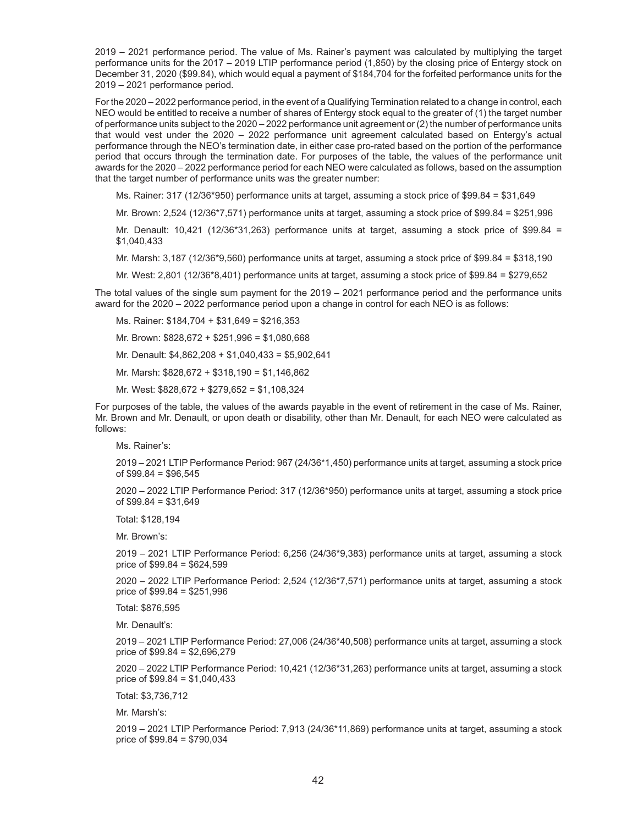2019 – 2021 performance period. The value of Ms. Rainer's payment was calculated by multiplying the target performance units for the 2017 – 2019 LTIP performance period (1,850) by the closing price of Entergy stock on December 31, 2020 (\$99.84), which would equal a payment of \$184,704 for the forfeited performance units for the 2019 – 2021 performance period.

For the 2020 – 2022 performance period, in the event of a Qualifying Termination related to a change in control, each NEO would be entitled to receive a number of shares of Entergy stock equal to the greater of (1) the target number of performance units subject to the 2020 – 2022 performance unit agreement or (2) the number of performance units that would vest under the 2020 – 2022 performance unit agreement calculated based on Entergy's actual performance through the NEO's termination date, in either case pro-rated based on the portion of the performance period that occurs through the termination date. For purposes of the table, the values of the performance unit awards for the 2020 – 2022 performance period for each NEO were calculated as follows, based on the assumption that the target number of performance units was the greater number:

Ms. Rainer: 317 (12/36\*950) performance units at target, assuming a stock price of \$99.84 = \$31,649

Mr. Brown: 2,524 (12/36\*7,571) performance units at target, assuming a stock price of \$99.84 = \$251,996

Mr. Denault:  $10,421$  ( $12/36*31,263$ ) performance units at target, assuming a stock price of \$99.84 = \$1,040,433

Mr. Marsh: 3,187 (12/36\*9,560) performance units at target, assuming a stock price of \$99.84 = \$318,190

Mr. West: 2,801 (12/36\*8,401) performance units at target, assuming a stock price of \$99.84 = \$279,652

The total values of the single sum payment for the 2019 – 2021 performance period and the performance units award for the 2020 – 2022 performance period upon a change in control for each NEO is as follows:

- Ms. Rainer: \$184,704 + \$31,649 = \$216,353
- Mr. Brown: \$828,672 + \$251,996 = \$1,080,668
- Mr. Denault: \$4,862,208 + \$1,040,433 = \$5,902,641
- Mr. Marsh: \$828,672 + \$318,190 = \$1,146,862
- Mr. West: \$828,672 + \$279,652 = \$1,108,324

For purposes of the table, the values of the awards payable in the event of retirement in the case of Ms. Rainer, Mr. Brown and Mr. Denault, or upon death or disability, other than Mr. Denault, for each NEO were calculated as follows:

Ms. Rainer's:

2019 – 2021 LTIP Performance Period: 967 (24/36\*1,450) performance units at target, assuming a stock price of \$99.84 = \$96,545

2020 – 2022 LTIP Performance Period: 317 (12/36\*950) performance units at target, assuming a stock price of \$99.84 = \$31,649

Total: \$128,194

Mr. Brown's:

2019 – 2021 LTIP Performance Period: 6,256 (24/36\*9,383) performance units at target, assuming a stock price of \$99.84 = \$624,599

2020 – 2022 LTIP Performance Period: 2,524 (12/36\*7,571) performance units at target, assuming a stock price of \$99.84 = \$251,996

Total: \$876,595

Mr. Denault's:

2019 – 2021 LTIP Performance Period: 27,006 (24/36\*40,508) performance units at target, assuming a stock price of \$99.84 = \$2,696,279

2020 – 2022 LTIP Performance Period: 10,421 (12/36\*31,263) performance units at target, assuming a stock price of \$99.84 = \$1,040,433

Total: \$3,736,712

Mr. Marsh's:

2019 – 2021 LTIP Performance Period: 7,913 (24/36\*11,869) performance units at target, assuming a stock price of \$99.84 = \$790,034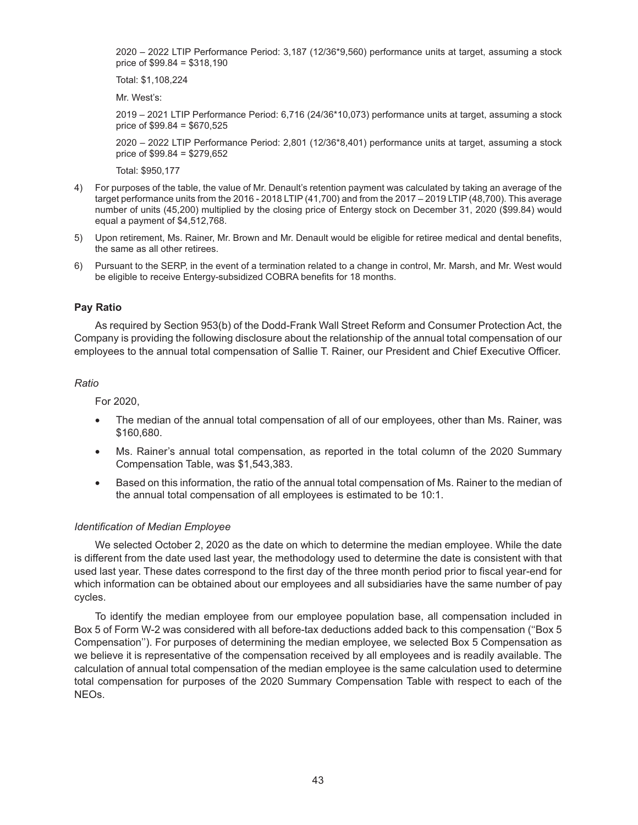2020 – 2022 LTIP Performance Period: 3,187 (12/36\*9,560) performance units at target, assuming a stock price of \$99.84 = \$318,190

Total: \$1,108,224

Mr. West's:

2019 – 2021 LTIP Performance Period: 6,716 (24/36\*10,073) performance units at target, assuming a stock price of \$99.84 = \$670,525

2020 – 2022 LTIP Performance Period: 2,801 (12/36\*8,401) performance units at target, assuming a stock price of \$99.84 = \$279,652

Total: \$950,177

- 4) For purposes of the table, the value of Mr. Denault's retention payment was calculated by taking an average of the target performance units from the 2016 - 2018 LTIP (41,700) and from the 2017 – 2019 LTIP (48,700). This average number of units (45,200) multiplied by the closing price of Entergy stock on December 31, 2020 (\$99.84) would equal a payment of \$4,512,768.
- 5) Upon retirement, Ms. Rainer, Mr. Brown and Mr. Denault would be eligible for retiree medical and dental benefits, the same as all other retirees.
- 6) Pursuant to the SERP, in the event of a termination related to a change in control, Mr. Marsh, and Mr. West would be eligible to receive Entergy-subsidized COBRA benefits for 18 months.

#### **Pay Ratio**

As required by Section 953(b) of the Dodd-Frank Wall Street Reform and Consumer Protection Act, the Company is providing the following disclosure about the relationship of the annual total compensation of our employees to the annual total compensation of Sallie T. Rainer, our President and Chief Executive Officer.

#### *Ratio*

For 2020,

- The median of the annual total compensation of all of our employees, other than Ms. Rainer, was \$160,680.
- Ms. Rainer's annual total compensation, as reported in the total column of the 2020 Summary Compensation Table, was \$1,543,383.
- Based on this information, the ratio of the annual total compensation of Ms. Rainer to the median of the annual total compensation of all employees is estimated to be 10:1.

#### *Identification of Median Employee*

We selected October 2, 2020 as the date on which to determine the median employee. While the date is different from the date used last year, the methodology used to determine the date is consistent with that used last year. These dates correspond to the first day of the three month period prior to fiscal year-end for which information can be obtained about our employees and all subsidiaries have the same number of pay cycles.

To identify the median employee from our employee population base, all compensation included in Box 5 of Form W-2 was considered with all before-tax deductions added back to this compensation (''Box 5 Compensation''). For purposes of determining the median employee, we selected Box 5 Compensation as we believe it is representative of the compensation received by all employees and is readily available. The calculation of annual total compensation of the median employee is the same calculation used to determine total compensation for purposes of the 2020 Summary Compensation Table with respect to each of the NEOs.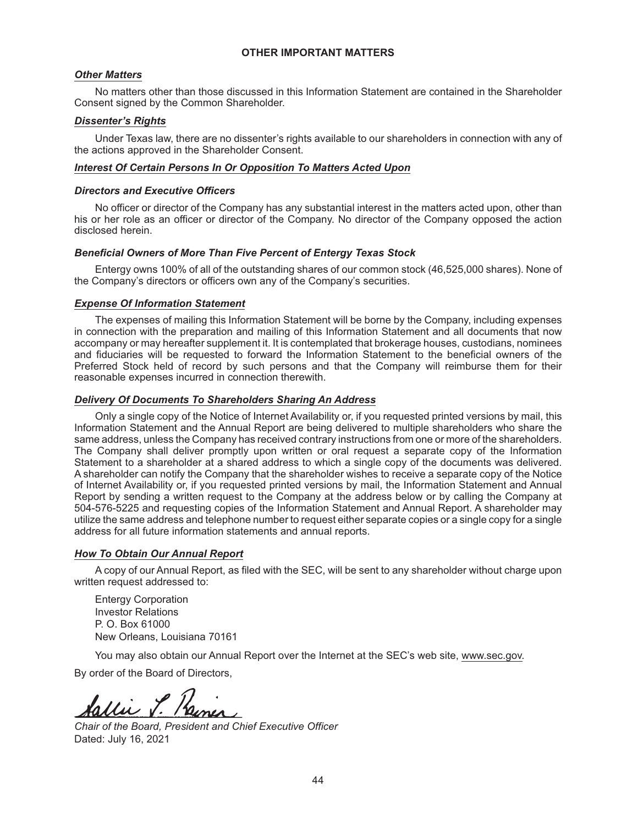## **OTHER IMPORTANT MATTERS**

### *Other Matters*

No matters other than those discussed in this Information Statement are contained in the Shareholder Consent signed by the Common Shareholder.

## *Dissenter's Rights*

Under Texas law, there are no dissenter's rights available to our shareholders in connection with any of the actions approved in the Shareholder Consent.

#### *Interest Of Certain Persons In Or Opposition To Matters Acted Upon*

#### *Directors and Executive Officers*

No officer or director of the Company has any substantial interest in the matters acted upon, other than his or her role as an officer or director of the Company. No director of the Company opposed the action disclosed herein.

#### *Beneficial Owners of More Than Five Percent of Entergy Texas Stock*

Entergy owns 100% of all of the outstanding shares of our common stock (46,525,000 shares). None of the Company's directors or officers own any of the Company's securities.

#### *Expense Of Information Statement*

The expenses of mailing this Information Statement will be borne by the Company, including expenses in connection with the preparation and mailing of this Information Statement and all documents that now accompany or may hereafter supplement it. It is contemplated that brokerage houses, custodians, nominees and fiduciaries will be requested to forward the Information Statement to the beneficial owners of the Preferred Stock held of record by such persons and that the Company will reimburse them for their reasonable expenses incurred in connection therewith.

## *Delivery Of Documents To Shareholders Sharing An Address*

Only a single copy of the Notice of Internet Availability or, if you requested printed versions by mail, this Information Statement and the Annual Report are being delivered to multiple shareholders who share the same address, unless the Company has received contrary instructions from one or more of the shareholders. The Company shall deliver promptly upon written or oral request a separate copy of the Information Statement to a shareholder at a shared address to which a single copy of the documents was delivered. A shareholder can notify the Company that the shareholder wishes to receive a separate copy of the Notice of Internet Availability or, if you requested printed versions by mail, the Information Statement and Annual Report by sending a written request to the Company at the address below or by calling the Company at 504-576-5225 and requesting copies of the Information Statement and Annual Report. A shareholder may utilize the same address and telephone number to request either separate copies or a single copy for a single address for all future information statements and annual reports.

## *How To Obtain Our Annual Report*

A copy of our Annual Report, as filed with the SEC, will be sent to any shareholder without charge upon written request addressed to:

Entergy Corporation Investor Relations P. O. Box 61000 New Orleans, Louisiana 70161

You may also obtain our Annual Report over the Internet at the SEC's web site, www.sec.gov.

By order of the Board of Directors,

*Chair of the Board, President and Chief Executive Officer* Dated: July 16, 2021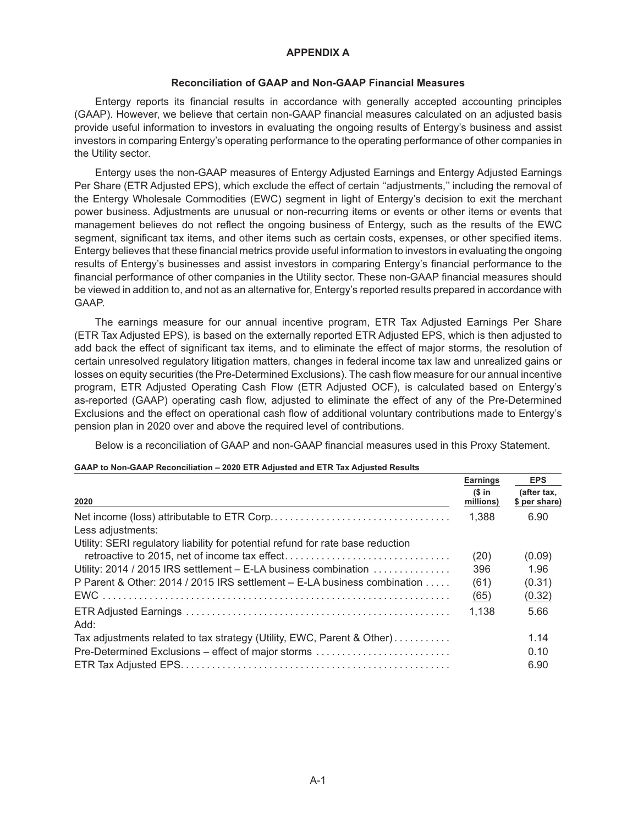## **APPENDIX A**

## **Reconciliation of GAAP and Non-GAAP Financial Measures**

Entergy reports its financial results in accordance with generally accepted accounting principles (GAAP). However, we believe that certain non-GAAP financial measures calculated on an adjusted basis provide useful information to investors in evaluating the ongoing results of Entergy's business and assist investors in comparing Entergy's operating performance to the operating performance of other companies in the Utility sector.

Entergy uses the non-GAAP measures of Entergy Adjusted Earnings and Entergy Adjusted Earnings Per Share (ETR Adjusted EPS), which exclude the effect of certain ''adjustments,'' including the removal of the Entergy Wholesale Commodities (EWC) segment in light of Entergy's decision to exit the merchant power business. Adjustments are unusual or non-recurring items or events or other items or events that management believes do not reflect the ongoing business of Entergy, such as the results of the EWC segment, significant tax items, and other items such as certain costs, expenses, or other specified items. Entergy believes that these financial metrics provide useful information to investors in evaluating the ongoing results of Entergy's businesses and assist investors in comparing Entergy's financial performance to the financial performance of other companies in the Utility sector. These non-GAAP financial measures should be viewed in addition to, and not as an alternative for, Entergy's reported results prepared in accordance with GAAP.

The earnings measure for our annual incentive program, ETR Tax Adjusted Earnings Per Share (ETR Tax Adjusted EPS), is based on the externally reported ETR Adjusted EPS, which is then adjusted to add back the effect of significant tax items, and to eliminate the effect of major storms, the resolution of certain unresolved regulatory litigation matters, changes in federal income tax law and unrealized gains or losses on equity securities (the Pre-Determined Exclusions). The cash flow measure for our annual incentive program, ETR Adjusted Operating Cash Flow (ETR Adjusted OCF), is calculated based on Entergy's as-reported (GAAP) operating cash flow, adjusted to eliminate the effect of any of the Pre-Determined Exclusions and the effect on operational cash flow of additional voluntary contributions made to Entergy's pension plan in 2020 over and above the required level of contributions.

Below is a reconciliation of GAAP and non-GAAP financial measures used in this Proxy Statement.

| GAAP to Non-GAAP Reconciliation – 2020 ETR Adjusted and ETR Tax Adjusted Results |
|----------------------------------------------------------------------------------|
|----------------------------------------------------------------------------------|

|                                                                                 | <b>Earnings</b> | <b>EPS</b>                   |
|---------------------------------------------------------------------------------|-----------------|------------------------------|
| 2020                                                                            |                 | (after tax,<br>\$ per share) |
| Less adjustments:                                                               | 1.388           | 6.90                         |
| Utility: SERI regulatory liability for potential refund for rate base reduction |                 |                              |
|                                                                                 | (20)            | (0.09)                       |
| Utility: 2014 / 2015 IRS settlement - E-LA business combination                 | 396             | 1.96                         |
| P Parent & Other: 2014 / 2015 IRS settlement – E-LA business combination        | (61)            | (0.31)                       |
|                                                                                 | (65)            | (0.32)                       |
| Add:                                                                            | 1,138           | 5.66                         |
| Tax adjustments related to tax strategy (Utility, EWC, Parent & Other)          |                 | 1.14                         |
| Pre-Determined Exclusions – effect of major storms                              |                 | 0.10                         |
|                                                                                 |                 | 6.90                         |